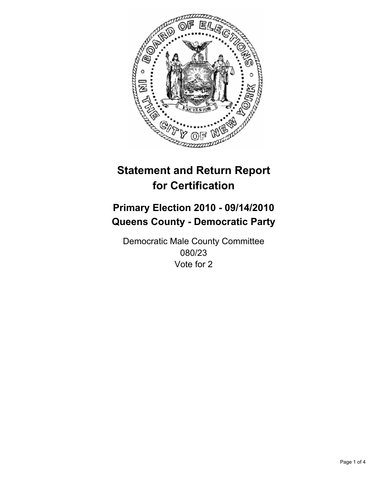

# **Primary Election 2010 - 09/14/2010 Queens County - Democratic Party**

Democratic Male County Committee 080/23 Vote for 2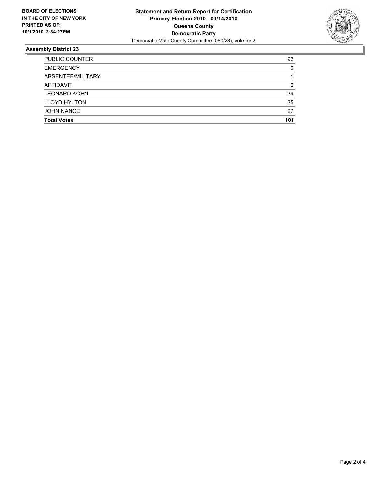

| <b>Total Votes</b>    | 101 |
|-----------------------|-----|
| <b>JOHN NANCE</b>     | 27  |
| <b>LLOYD HYLTON</b>   | 35  |
| <b>LEONARD KOHN</b>   | 39  |
| <b>AFFIDAVIT</b>      | 0   |
| ABSENTEE/MILITARY     |     |
| <b>EMERGENCY</b>      | 0   |
| <b>PUBLIC COUNTER</b> | 92  |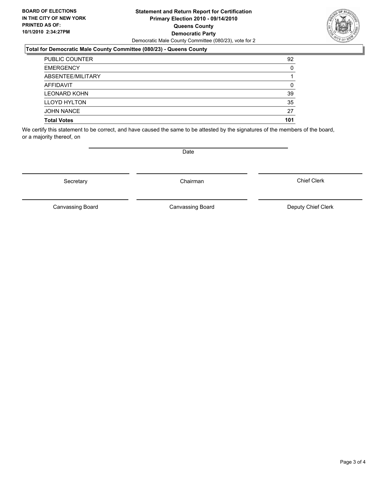# **Statement and Return Report for Certification Primary Election 2010 - 09/14/2010 Queens County Democratic Party** Democratic Male County Committee (080/23), vote for 2

# **Total for Democratic Male County Committee (080/23) - Queens County**

| <b>PUBLIC COUNTER</b> | 92  |
|-----------------------|-----|
| <b>EMERGENCY</b>      | 0   |
| ABSENTEE/MILITARY     |     |
| <b>AFFIDAVIT</b>      | 0   |
| <b>LEONARD KOHN</b>   | 39  |
| <b>LLOYD HYLTON</b>   | 35  |
| <b>JOHN NANCE</b>     | 27  |
| <b>Total Votes</b>    | 101 |

We certify this statement to be correct, and have caused the same to be attested by the signatures of the members of the board, or a majority thereof, on

Secretary **Chairman** 

Canvassing Board

**Date** 

Canvassing Board **Canvassing Board** Canvassing Board **Deputy Chief Clerk** 

Chief Clerk

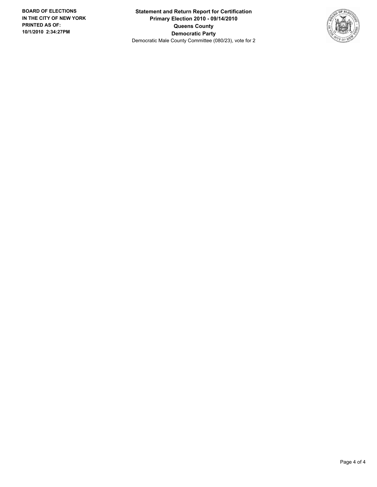**Statement and Return Report for Certification Primary Election 2010 - 09/14/2010 Queens County Democratic Party** Democratic Male County Committee (080/23), vote for 2

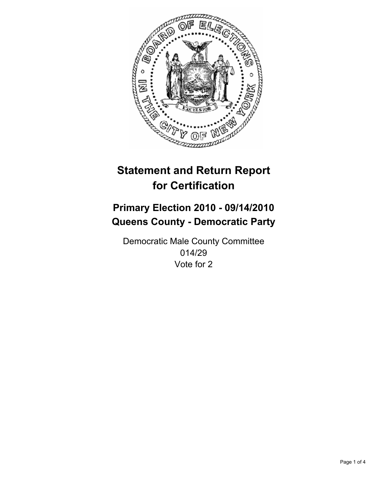

# **Primary Election 2010 - 09/14/2010 Queens County - Democratic Party**

Democratic Male County Committee 014/29 Vote for 2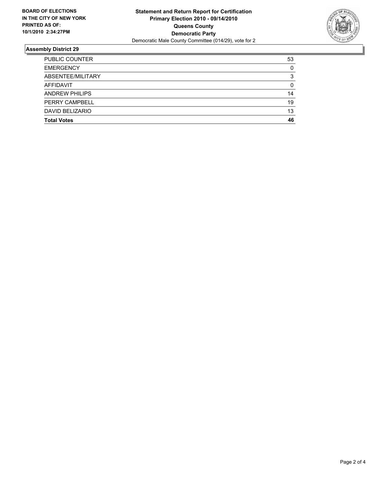

| <b>Total Votes</b>    | 46 |
|-----------------------|----|
| DAVID BELIZARIO       | 13 |
| PERRY CAMPBELL        | 19 |
| <b>ANDREW PHILIPS</b> | 14 |
| AFFIDAVIT             | 0  |
| ABSENTEE/MILITARY     | 3  |
| <b>EMERGENCY</b>      | 0  |
| <b>PUBLIC COUNTER</b> | 53 |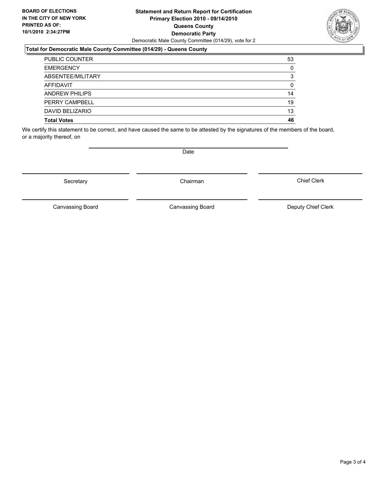# **Statement and Return Report for Certification Primary Election 2010 - 09/14/2010 Queens County Democratic Party** Democratic Male County Committee (014/29), vote for 2

# **Total for Democratic Male County Committee (014/29) - Queens County**

| <b>PUBLIC COUNTER</b> | 53 |
|-----------------------|----|
| <b>EMERGENCY</b>      | 0  |
| ABSENTEE/MILITARY     | 3  |
| <b>AFFIDAVIT</b>      | 0  |
| <b>ANDREW PHILIPS</b> | 14 |
| <b>PERRY CAMPBELL</b> | 19 |
| DAVID BELIZARIO       | 13 |
| <b>Total Votes</b>    | 46 |

We certify this statement to be correct, and have caused the same to be attested by the signatures of the members of the board, or a majority thereof, on

Secretary **Chairman** 

Canvassing Board

Canvassing Board Canvassing Board Canvassing Canvassing Board Deputy Chief Clerk

Chief Clerk



**Date**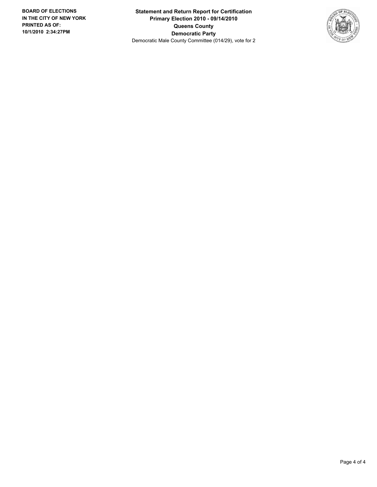**Statement and Return Report for Certification Primary Election 2010 - 09/14/2010 Queens County Democratic Party** Democratic Male County Committee (014/29), vote for 2

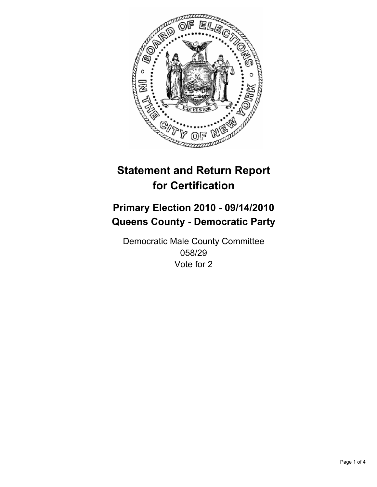

# **Primary Election 2010 - 09/14/2010 Queens County - Democratic Party**

Democratic Male County Committee 058/29 Vote for 2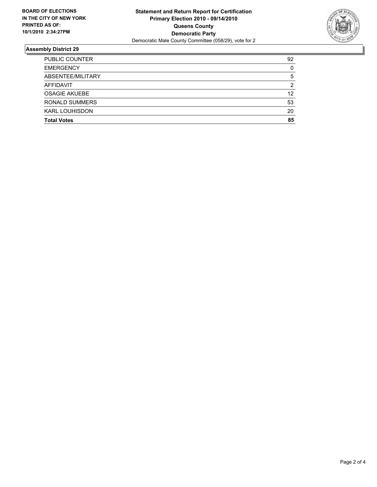

| <b>Total Votes</b>    | 85 |
|-----------------------|----|
| <b>KARL LOUHISDON</b> | 20 |
| <b>RONALD SUMMERS</b> | 53 |
| <b>OSAGIE AKUEBE</b>  | 12 |
| <b>AFFIDAVIT</b>      | 2  |
| ABSENTEE/MILITARY     | 5  |
| <b>EMERGENCY</b>      | 0  |
| <b>PUBLIC COUNTER</b> | 92 |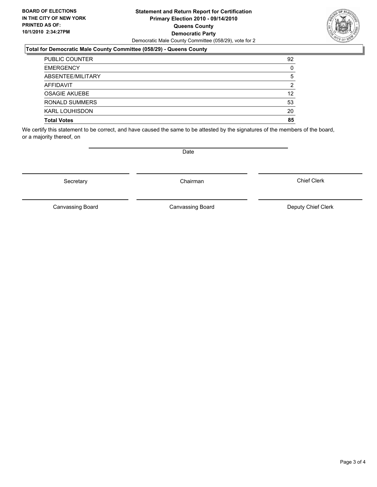# **Statement and Return Report for Certification Primary Election 2010 - 09/14/2010 Queens County Democratic Party** Democratic Male County Committee (058/29), vote for 2

# **Total for Democratic Male County Committee (058/29) - Queens County**

| <b>PUBLIC COUNTER</b> | 92 |
|-----------------------|----|
| <b>EMERGENCY</b>      | 0  |
| ABSENTEE/MILITARY     | 5  |
| AFFIDAVIT             | 2  |
| <b>OSAGIE AKUEBE</b>  | 12 |
| <b>RONALD SUMMERS</b> | 53 |
| <b>KARL LOUHISDON</b> | 20 |
| <b>Total Votes</b>    | 85 |

We certify this statement to be correct, and have caused the same to be attested by the signatures of the members of the board, or a majority thereof, on

Secretary **Chairman** 

Canvassing Board Canvassing Board Canvassing Canvassing Board Deputy Chief Clerk

Chief Clerk

Canvassing Board



**Date**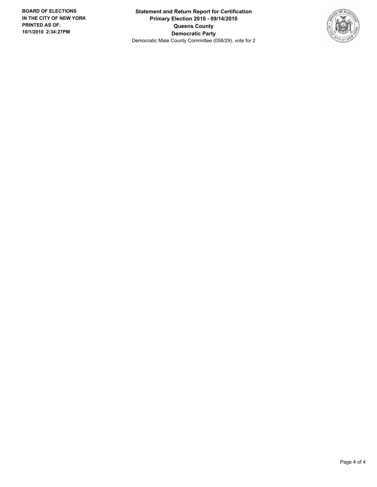**Statement and Return Report for Certification Primary Election 2010 - 09/14/2010 Queens County Democratic Party** Democratic Male County Committee (058/29), vote for 2

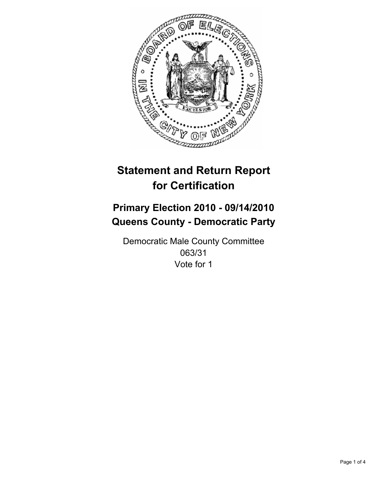

# **Primary Election 2010 - 09/14/2010 Queens County - Democratic Party**

Democratic Male County Committee 063/31 Vote for 1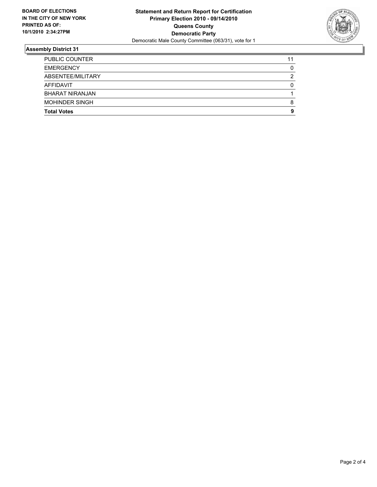

| <b>Total Votes</b>     | 9  |
|------------------------|----|
| <b>MOHINDER SINGH</b>  | 8  |
| <b>BHARAT NIRANJAN</b> |    |
| AFFIDAVIT              | 0  |
| ABSENTEE/MILITARY      | 2  |
| <b>EMERGENCY</b>       | 0  |
| PUBLIC COUNTER         | 11 |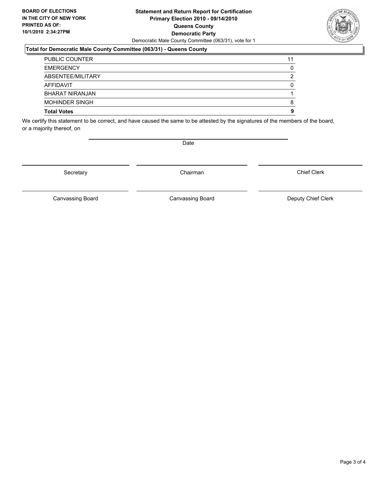# **Statement and Return Report for Certification Primary Election 2010 - 09/14/2010 Queens County Democratic Party** Democratic Male County Committee (063/31), vote for 1

### **Total for Democratic Male County Committee (063/31) - Queens County**

| <b>Total Votes</b>     | 9  |
|------------------------|----|
| <b>MOHINDER SINGH</b>  | 8  |
| <b>BHARAT NIRANJAN</b> |    |
| AFFIDAVIT              | 0  |
| ABSENTEE/MILITARY      | 2  |
| <b>EMERGENCY</b>       | 0  |
| <b>PUBLIC COUNTER</b>  | 11 |

We certify this statement to be correct, and have caused the same to be attested by the signatures of the members of the board, or a majority thereof, on

Secretary **Chairman** 

Date

Canvassing Board

Canvassing Board **Canvassing Board** Canvassing Board **Deputy Chief Clerk** 

Chief Clerk

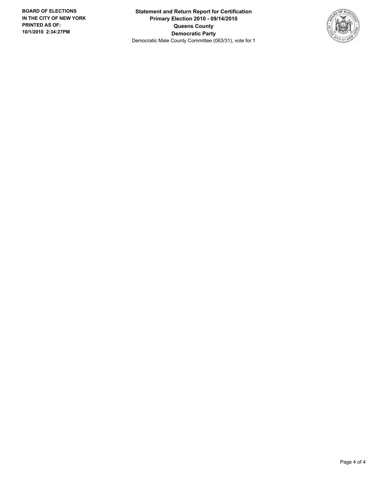**Statement and Return Report for Certification Primary Election 2010 - 09/14/2010 Queens County Democratic Party** Democratic Male County Committee (063/31), vote for 1

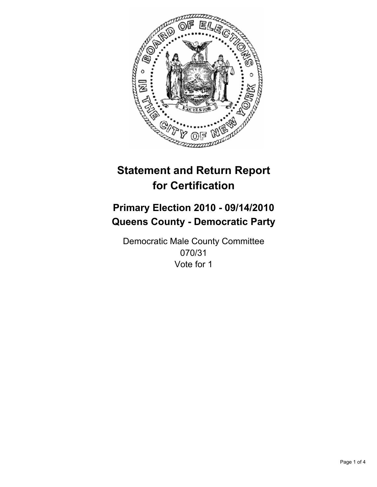

# **Primary Election 2010 - 09/14/2010 Queens County - Democratic Party**

Democratic Male County Committee 070/31 Vote for 1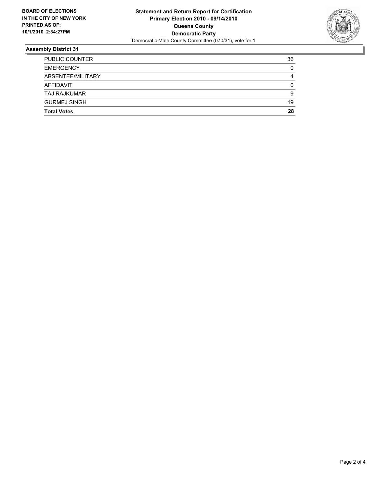

| <b>Total Votes</b>    | 28       |
|-----------------------|----------|
| <b>GURMEJ SINGH</b>   | 19       |
| <b>TAJ RAJKUMAR</b>   | 9        |
| AFFIDAVIT             | $\Omega$ |
| ABSENTEE/MILITARY     | 4        |
| <b>EMERGENCY</b>      | 0        |
| <b>PUBLIC COUNTER</b> | 36       |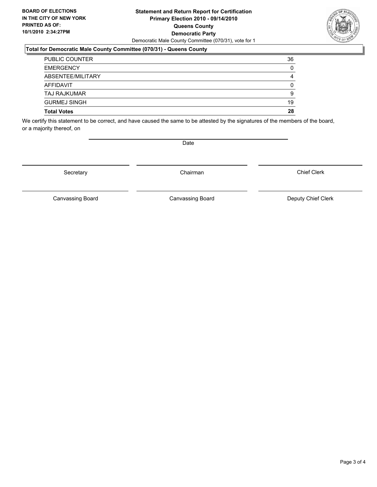# **Statement and Return Report for Certification Primary Election 2010 - 09/14/2010 Queens County Democratic Party** Democratic Male County Committee (070/31), vote for 1

#### **Total for Democratic Male County Committee (070/31) - Queens County**

| <b>PUBLIC COUNTER</b> | 36 |
|-----------------------|----|
| <b>EMERGENCY</b>      | 0  |
| ABSENTEE/MILITARY     | 4  |
| AFFIDAVIT             | 0  |
| <b>TAJ RAJKUMAR</b>   | 9  |
| <b>GURMEJ SINGH</b>   | 19 |
| <b>Total Votes</b>    | 28 |

We certify this statement to be correct, and have caused the same to be attested by the signatures of the members of the board, or a majority thereof, on

Secretary **Chairman** 

Canvassing Board **Canvassing Board** Canvassing Board **Deputy Chief Clerk** 

Canvassing Board

Chief Clerk



Date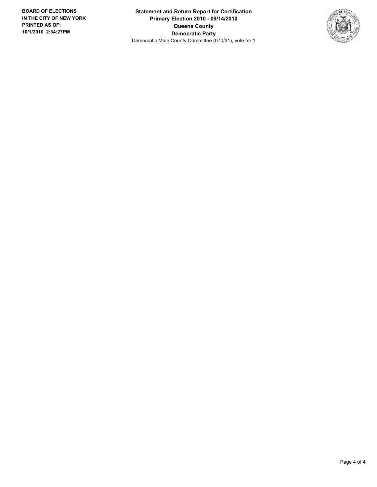**Statement and Return Report for Certification Primary Election 2010 - 09/14/2010 Queens County Democratic Party** Democratic Male County Committee (070/31), vote for 1

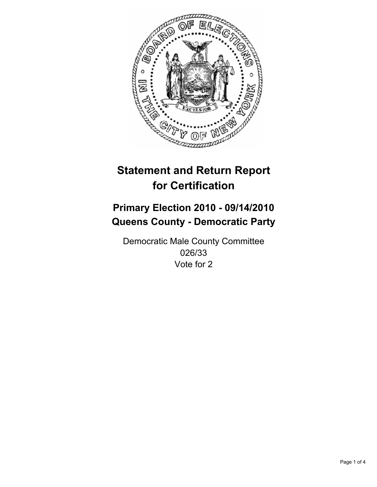

# **Primary Election 2010 - 09/14/2010 Queens County - Democratic Party**

Democratic Male County Committee 026/33 Vote for 2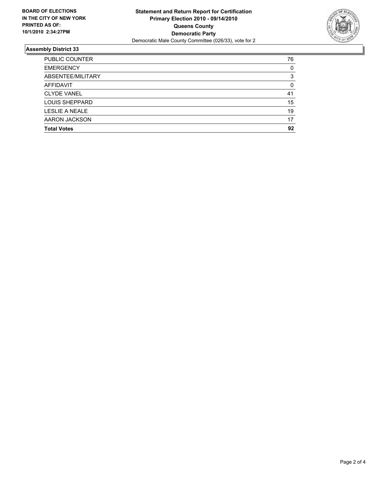

| <b>PUBLIC COUNTER</b> | 76 |
|-----------------------|----|
| <b>EMERGENCY</b>      | 0  |
| ABSENTEE/MILITARY     | 3  |
| AFFIDAVIT             | 0  |
| <b>CLYDE VANEL</b>    | 41 |
| LOUIS SHEPPARD        | 15 |
| LESLIE A NEALE        | 19 |
| AARON JACKSON         | 17 |
| <b>Total Votes</b>    | 92 |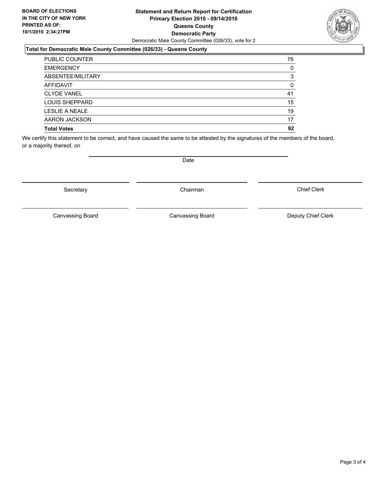# **Statement and Return Report for Certification Primary Election 2010 - 09/14/2010 Queens County Democratic Party** Democratic Male County Committee (026/33), vote for 2

# **Total for Democratic Male County Committee (026/33) - Queens County**

| <b>PUBLIC COUNTER</b> | 76 |
|-----------------------|----|
| <b>EMERGENCY</b>      | 0  |
| ABSENTEE/MILITARY     | 3  |
| <b>AFFIDAVIT</b>      | 0  |
| <b>CLYDE VANEL</b>    | 41 |
| LOUIS SHEPPARD        | 15 |
| LESLIE A NEALE        | 19 |
| AARON JACKSON         | 17 |
| <b>Total Votes</b>    | 92 |

We certify this statement to be correct, and have caused the same to be attested by the signatures of the members of the board, or a majority thereof, on

Secretary **Chairman** 

Canvassing Board

Date

Canvassing Board **Canvassing Board** Canvassing Board **Deputy Chief Clerk** 

Chief Clerk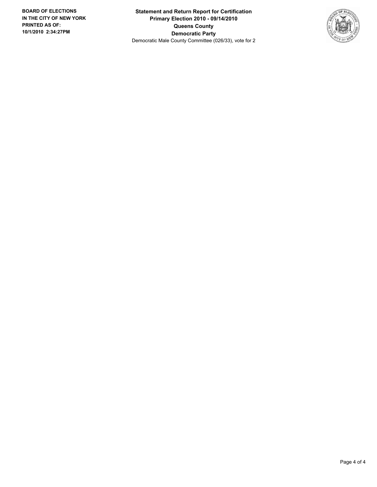**Statement and Return Report for Certification Primary Election 2010 - 09/14/2010 Queens County Democratic Party** Democratic Male County Committee (026/33), vote for 2

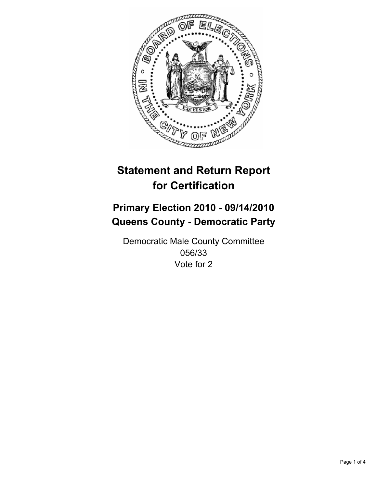

# **Primary Election 2010 - 09/14/2010 Queens County - Democratic Party**

Democratic Male County Committee 056/33 Vote for 2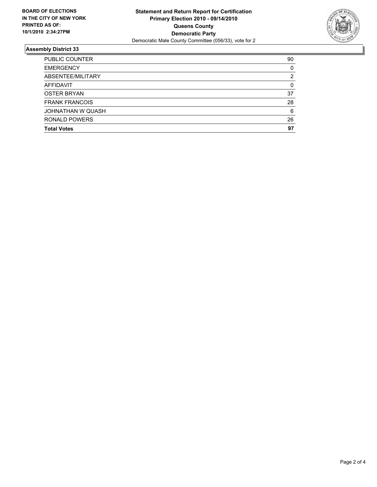

| <b>PUBLIC COUNTER</b> | 90 |
|-----------------------|----|
| <b>EMERGENCY</b>      | 0  |
| ABSENTEE/MILITARY     | 2  |
| <b>AFFIDAVIT</b>      | 0  |
| <b>OSTER BRYAN</b>    | 37 |
| <b>FRANK FRANCOIS</b> | 28 |
| JOHNATHAN W QUASH     | 6  |
| <b>RONALD POWERS</b>  | 26 |
| <b>Total Votes</b>    | 97 |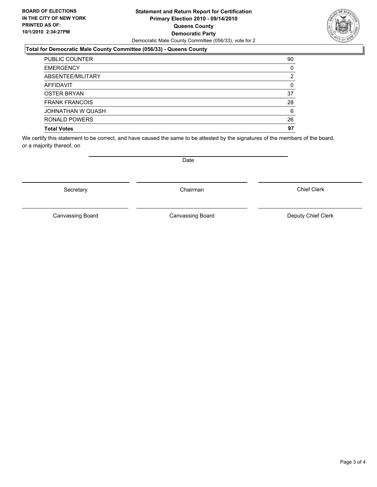# **Statement and Return Report for Certification Primary Election 2010 - 09/14/2010 Queens County Democratic Party** Democratic Male County Committee (056/33), vote for 2

# **Total for Democratic Male County Committee (056/33) - Queens County**

| <b>PUBLIC COUNTER</b> | 90 |
|-----------------------|----|
| <b>EMERGENCY</b>      | 0  |
| ABSENTEE/MILITARY     | 2  |
| <b>AFFIDAVIT</b>      | 0  |
| <b>OSTER BRYAN</b>    | 37 |
| <b>FRANK FRANCOIS</b> | 28 |
| JOHNATHAN W QUASH     | 6  |
| RONALD POWERS         | 26 |
| <b>Total Votes</b>    | 97 |

We certify this statement to be correct, and have caused the same to be attested by the signatures of the members of the board, or a majority thereof, on

Secretary **Chairman** 

Canvassing Board **Canvassing Board** Canvassing Board **Deputy Chief Clerk** 

Chief Clerk



Page 3 of 4

Canvassing Board

Date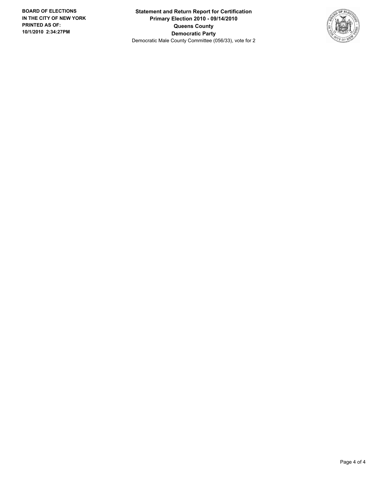**Statement and Return Report for Certification Primary Election 2010 - 09/14/2010 Queens County Democratic Party** Democratic Male County Committee (056/33), vote for 2

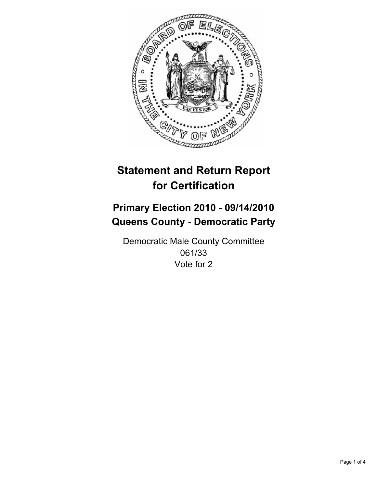

# **Primary Election 2010 - 09/14/2010 Queens County - Democratic Party**

Democratic Male County Committee 061/33 Vote for 2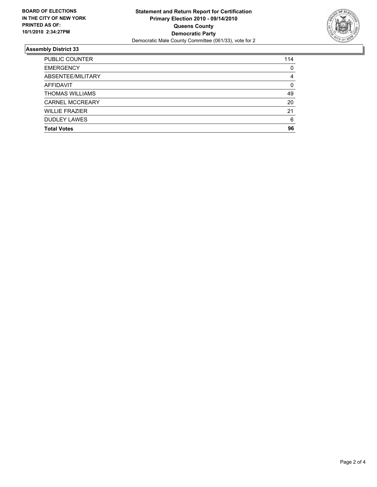

| <b>PUBLIC COUNTER</b>  | 114 |
|------------------------|-----|
| <b>EMERGENCY</b>       | 0   |
| ABSENTEE/MILITARY      | 4   |
| AFFIDAVIT              | 0   |
| <b>THOMAS WILLIAMS</b> | 49  |
| <b>CARNEL MCCREARY</b> | 20  |
| <b>WILLIE FRAZIER</b>  | 21  |
| <b>DUDLEY LAWES</b>    | 6   |
| <b>Total Votes</b>     | 96  |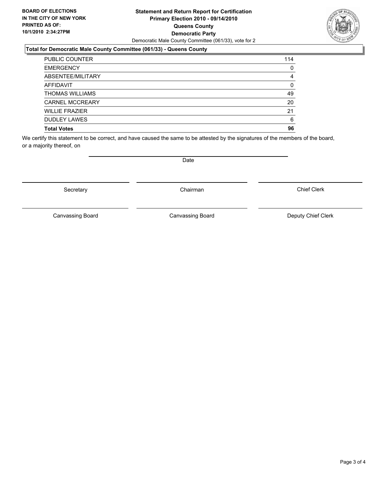# **Statement and Return Report for Certification Primary Election 2010 - 09/14/2010 Queens County Democratic Party** Democratic Male County Committee (061/33), vote for 2

# **Total for Democratic Male County Committee (061/33) - Queens County**

| <b>PUBLIC COUNTER</b>  | 114 |
|------------------------|-----|
| <b>EMERGENCY</b>       | 0   |
| ABSENTEE/MILITARY      | 4   |
| <b>AFFIDAVIT</b>       | 0   |
| <b>THOMAS WILLIAMS</b> | 49  |
| <b>CARNEL MCCREARY</b> | 20  |
| <b>WILLIE FRAZIER</b>  | 21  |
| <b>DUDLEY LAWES</b>    | 6   |
| <b>Total Votes</b>     | 96  |

We certify this statement to be correct, and have caused the same to be attested by the signatures of the members of the board, or a majority thereof, on

Secretary **Chairman** 

Canvassing Board

Canvassing Board **Canvassing Board** Canvassing Board **Deputy Chief Clerk** 

Chief Clerk

Date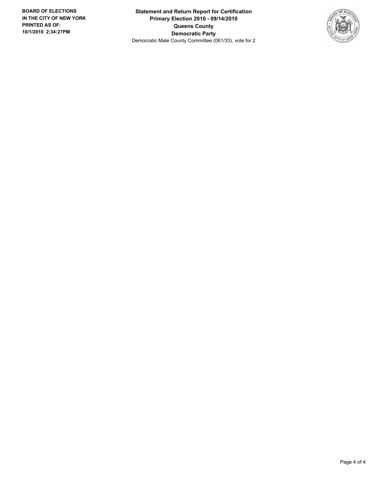**Statement and Return Report for Certification Primary Election 2010 - 09/14/2010 Queens County Democratic Party** Democratic Male County Committee (061/33), vote for 2

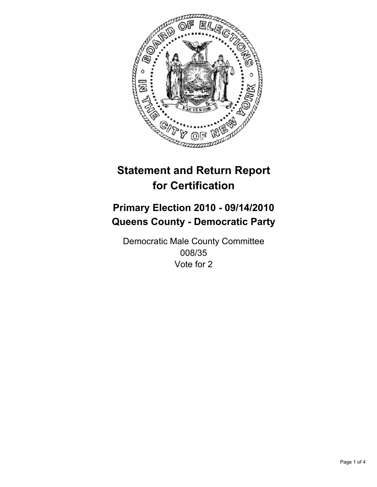

# **Primary Election 2010 - 09/14/2010 Queens County - Democratic Party**

Democratic Male County Committee 008/35 Vote for 2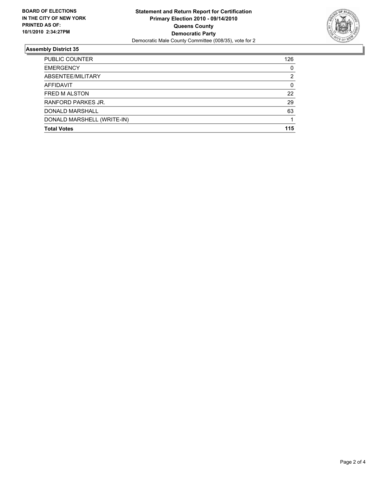

| <b>Total Votes</b>         | 115 |
|----------------------------|-----|
| DONALD MARSHELL (WRITE-IN) |     |
| DONALD MARSHALL            | 63  |
| RANFORD PARKES JR.         | 29  |
| <b>FRED M ALSTON</b>       | 22  |
| <b>AFFIDAVIT</b>           | 0   |
| ABSENTEE/MILITARY          | 2   |
| <b>EMERGENCY</b>           | 0   |
| PUBLIC COUNTER             | 126 |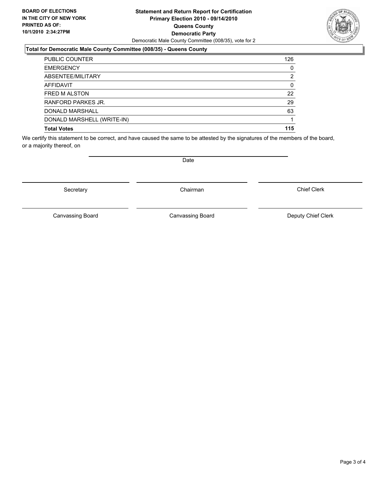## **Statement and Return Report for Certification Primary Election 2010 - 09/14/2010 Queens County Democratic Party** Democratic Male County Committee (008/35), vote for 2

## **Total for Democratic Male County Committee (008/35) - Queens County**

| <b>PUBLIC COUNTER</b>      | 126 |
|----------------------------|-----|
| <b>EMERGENCY</b>           | 0   |
| ABSENTEE/MILITARY          | 2   |
| <b>AFFIDAVIT</b>           | 0   |
| <b>FRED M ALSTON</b>       | 22  |
| RANFORD PARKES JR.         | 29  |
| DONALD MARSHALL            | 63  |
| DONALD MARSHELL (WRITE-IN) |     |
| <b>Total Votes</b>         | 115 |

We certify this statement to be correct, and have caused the same to be attested by the signatures of the members of the board, or a majority thereof, on

Date

Secretary **Chairman** 

Canvassing Board

Canvassing Board **Canvassing Board** Canvassing Board **Deputy Chief Clerk** 

Chief Clerk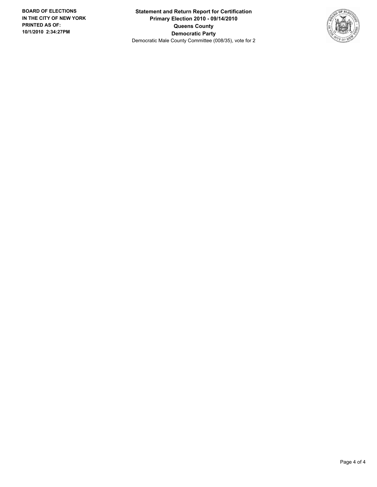**Statement and Return Report for Certification Primary Election 2010 - 09/14/2010 Queens County Democratic Party** Democratic Male County Committee (008/35), vote for 2

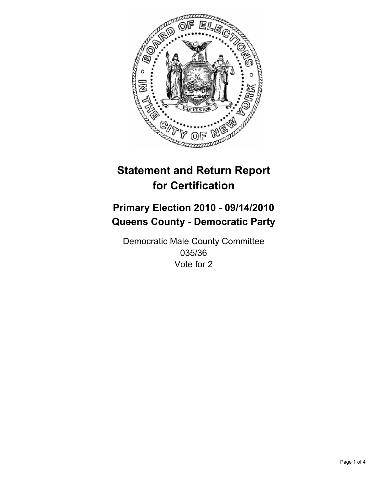

# **Primary Election 2010 - 09/14/2010 Queens County - Democratic Party**

Democratic Male County Committee 035/36 Vote for 2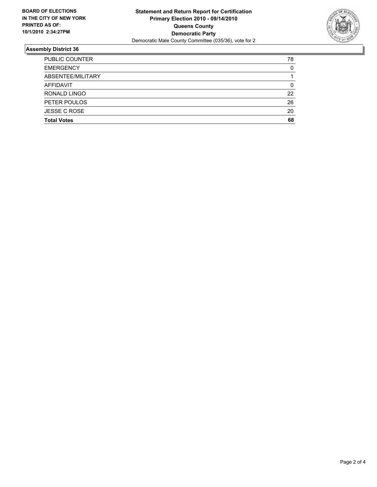

| <b>Total Votes</b>  | 68 |
|---------------------|----|
| <b>JESSE C ROSE</b> | 20 |
| PETER POULOS        | 26 |
| RONALD LINGO        | 22 |
| <b>AFFIDAVIT</b>    | 0  |
| ABSENTEE/MILITARY   |    |
| <b>EMERGENCY</b>    | 0  |
| PUBLIC COUNTER      | 78 |
|                     |    |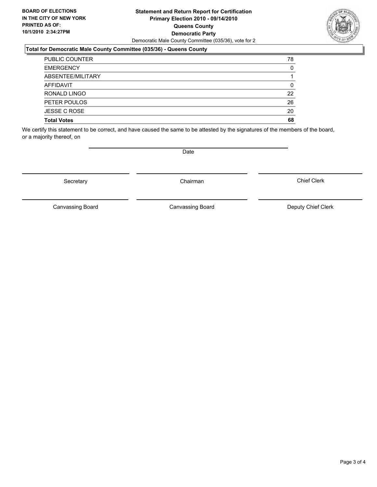### **Statement and Return Report for Certification Primary Election 2010 - 09/14/2010 Queens County Democratic Party** Democratic Male County Committee (035/36), vote for 2

### **Total for Democratic Male County Committee (035/36) - Queens County**

| <b>PUBLIC COUNTER</b> | 78 |
|-----------------------|----|
| <b>EMERGENCY</b>      | 0  |
| ABSENTEE/MILITARY     |    |
| <b>AFFIDAVIT</b>      | 0  |
| <b>RONALD LINGO</b>   | 22 |
| PETER POULOS          | 26 |
| <b>JESSE C ROSE</b>   | 20 |
| <b>Total Votes</b>    | 68 |

We certify this statement to be correct, and have caused the same to be attested by the signatures of the members of the board, or a majority thereof, on

Secretary **Chairman** 

Canvassing Board Canvassing Board Canvassing Canvassing Board Deputy Chief Clerk

Chief Clerk

Canvassing Board

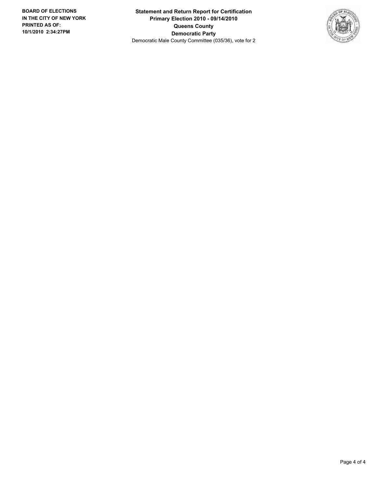**Statement and Return Report for Certification Primary Election 2010 - 09/14/2010 Queens County Democratic Party** Democratic Male County Committee (035/36), vote for 2

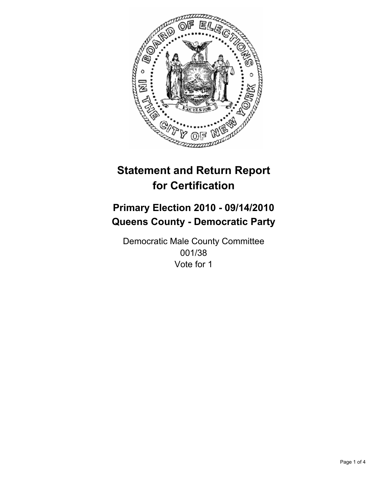

# **Primary Election 2010 - 09/14/2010 Queens County - Democratic Party**

Democratic Male County Committee 001/38 Vote for 1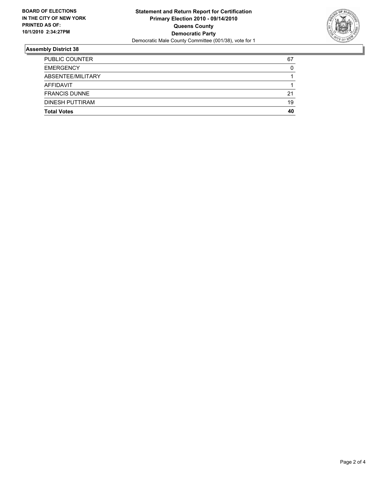

| <b>Total Votes</b>    | 40 |
|-----------------------|----|
| DINESH PUTTIRAM       | 19 |
| <b>FRANCIS DUNNE</b>  | 21 |
| AFFIDAVIT             |    |
| ABSENTEE/MILITARY     |    |
| <b>EMERGENCY</b>      | 0  |
| <b>PUBLIC COUNTER</b> | 67 |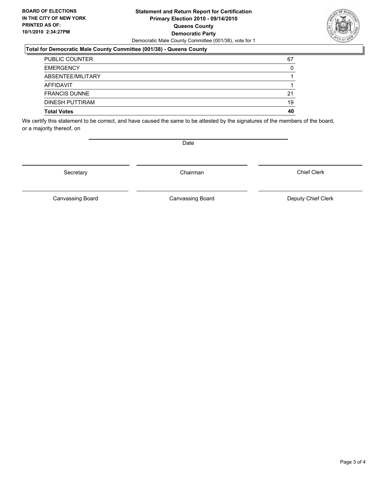### **Statement and Return Report for Certification Primary Election 2010 - 09/14/2010 Queens County Democratic Party** Democratic Male County Committee (001/38), vote for 1

### **Total for Democratic Male County Committee (001/38) - Queens County**

| <b>PUBLIC COUNTER</b> | 67 |
|-----------------------|----|
| <b>EMERGENCY</b>      | 0  |
| ABSENTEE/MILITARY     | 1  |
| AFFIDAVIT             |    |
| <b>FRANCIS DUNNE</b>  | 21 |
| DINESH PUTTIRAM       | 19 |
| <b>Total Votes</b>    | 40 |

We certify this statement to be correct, and have caused the same to be attested by the signatures of the members of the board, or a majority thereof, on

Secretary **Chairman** 

Canvassing Board **Canvassing Board** Canvassing Board **Deputy Chief Clerk** 

Canvassing Board

Chief Clerk

Page 3 of 4

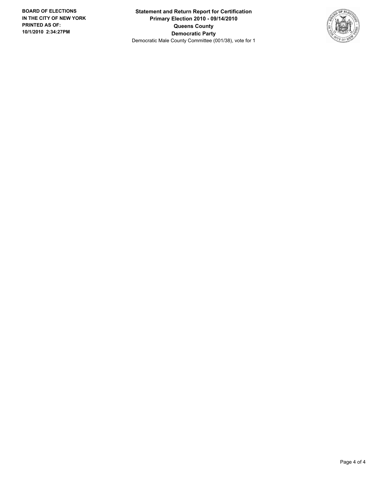**Statement and Return Report for Certification Primary Election 2010 - 09/14/2010 Queens County Democratic Party** Democratic Male County Committee (001/38), vote for 1

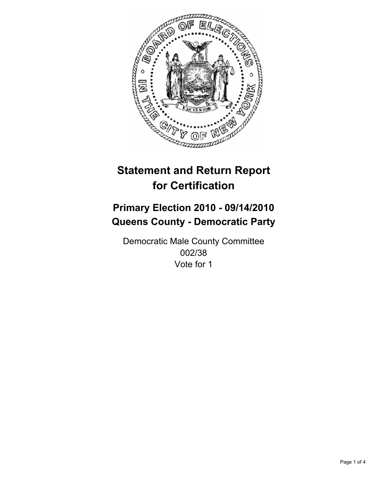

# **Primary Election 2010 - 09/14/2010 Queens County - Democratic Party**

Democratic Male County Committee 002/38 Vote for 1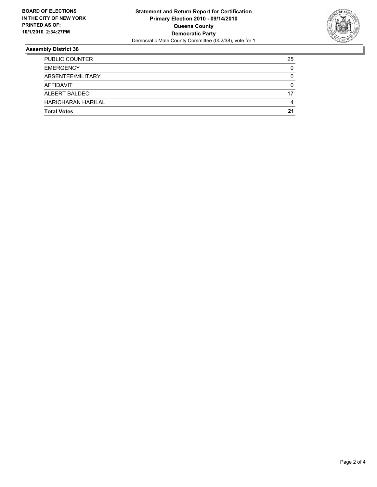

| <b>Total Votes</b>        | 21 |
|---------------------------|----|
| <b>HARICHARAN HARILAL</b> | 4  |
| ALBERT BALDEO             | 17 |
| AFFIDAVIT                 | 0  |
| ABSENTEE/MILITARY         | 0  |
| <b>EMERGENCY</b>          | 0  |
| PUBLIC COUNTER            | 25 |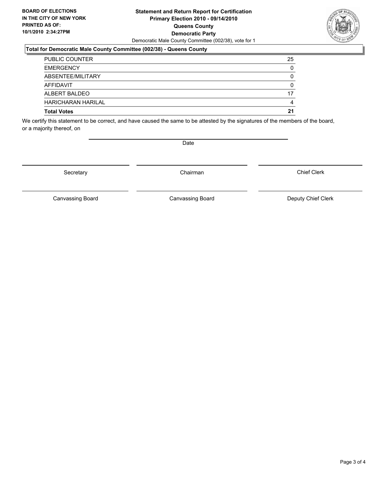### **Statement and Return Report for Certification Primary Election 2010 - 09/14/2010 Queens County Democratic Party** Democratic Male County Committee (002/38), vote for 1

#### **Total for Democratic Male County Committee (002/38) - Queens County**

| ALBERT BALDEO<br><b>HARICHARAN HARILAL</b> | 17<br>4 |
|--------------------------------------------|---------|
|                                            |         |
| AFFIDAVIT                                  | 0       |
| ABSENTEE/MILITARY                          | 0       |
| <b>EMERGENCY</b>                           | 0       |
| <b>PUBLIC COUNTER</b>                      | 25      |

We certify this statement to be correct, and have caused the same to be attested by the signatures of the members of the board, or a majority thereof, on

Secretary **Chairman** 

Canvassing Board **Canvassing Board** Canvassing Board **Deputy Chief Clerk** 

Canvassing Board

Chief Clerk

Page 3 of 4

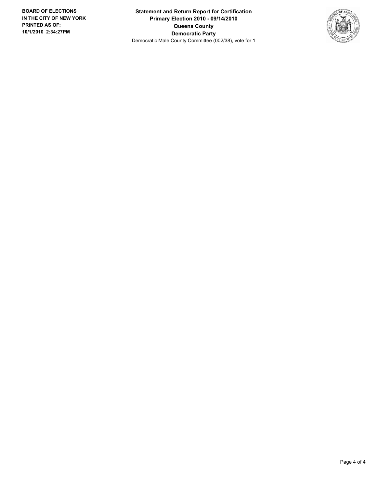**Statement and Return Report for Certification Primary Election 2010 - 09/14/2010 Queens County Democratic Party** Democratic Male County Committee (002/38), vote for 1

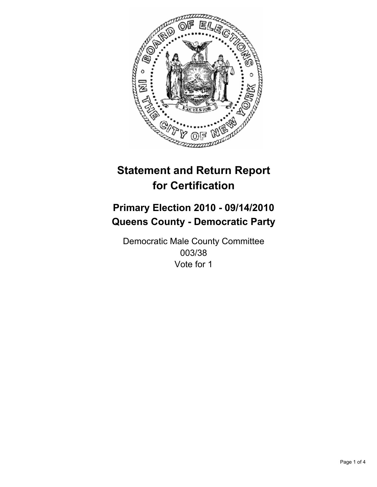

# **Primary Election 2010 - 09/14/2010 Queens County - Democratic Party**

Democratic Male County Committee 003/38 Vote for 1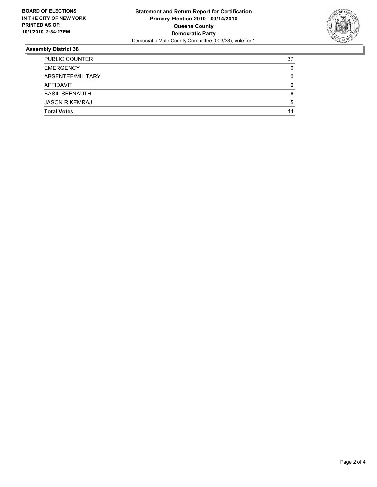

| <b>Total Votes</b>    | 11 |
|-----------------------|----|
| <b>JASON R KEMRAJ</b> | 5  |
| <b>BASIL SEENAUTH</b> | 6  |
| AFFIDAVIT             | 0  |
| ABSENTEE/MILITARY     | 0  |
| <b>EMERGENCY</b>      | 0  |
| PUBLIC COUNTER        | 37 |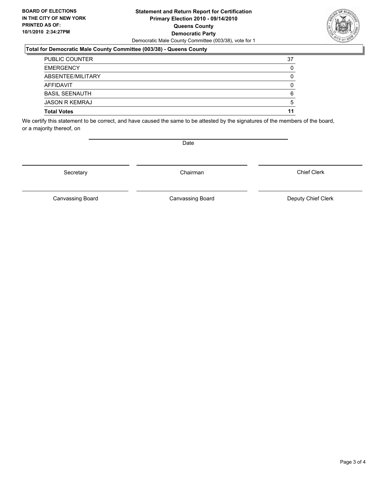### **Statement and Return Report for Certification Primary Election 2010 - 09/14/2010 Queens County Democratic Party** Democratic Male County Committee (003/38), vote for 1

### **Total for Democratic Male County Committee (003/38) - Queens County**

| <b>PUBLIC COUNTER</b> | 37 |
|-----------------------|----|
| <b>EMERGENCY</b>      | 0  |
| ABSENTEE/MILITARY     | 0  |
| AFFIDAVIT             | 0  |
| <b>BASIL SEENAUTH</b> | 6  |
| <b>JASON R KEMRAJ</b> | 5  |
| <b>Total Votes</b>    | 11 |

We certify this statement to be correct, and have caused the same to be attested by the signatures of the members of the board, or a majority thereof, on

Secretary **Chairman** 

Canvassing Board **Canvassing Board** Canvassing Board **Deputy Chief Clerk** 

Canvassing Board

Chief Clerk

Page 3 of 4

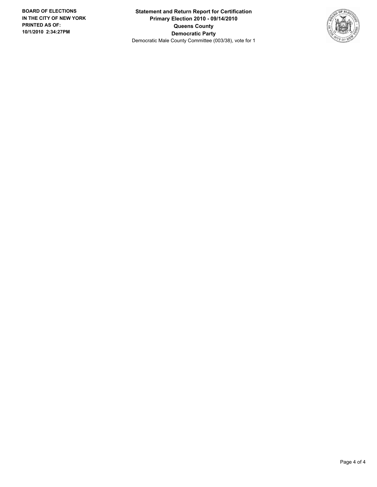**Statement and Return Report for Certification Primary Election 2010 - 09/14/2010 Queens County Democratic Party** Democratic Male County Committee (003/38), vote for 1

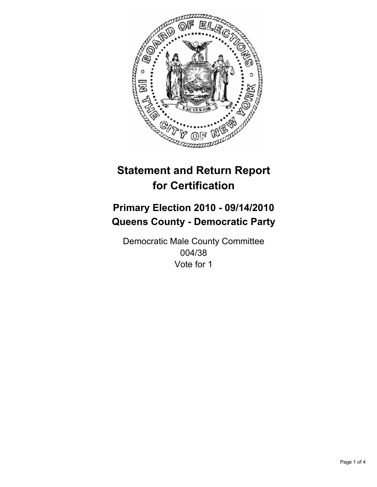

# **Primary Election 2010 - 09/14/2010 Queens County - Democratic Party**

Democratic Male County Committee 004/38 Vote for 1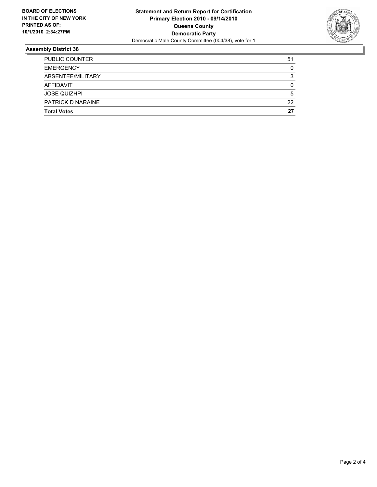

| <b>Total Votes</b>       | 27 |
|--------------------------|----|
| <b>PATRICK D NARAINE</b> | 22 |
| <b>JOSE QUIZHPI</b>      | 5  |
| AFFIDAVIT                | 0  |
| ABSENTEE/MILITARY        | 3  |
| <b>EMERGENCY</b>         | 0  |
| <b>PUBLIC COUNTER</b>    | 51 |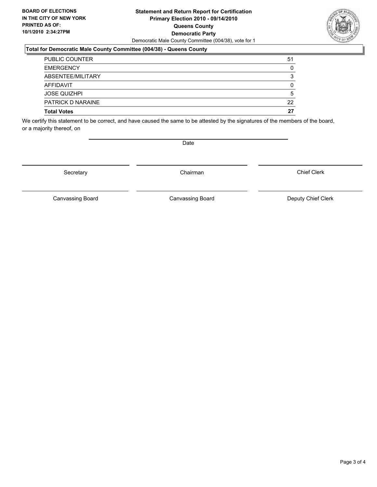### **Statement and Return Report for Certification Primary Election 2010 - 09/14/2010 Queens County Democratic Party** Democratic Male County Committee (004/38), vote for 1

#### **Total for Democratic Male County Committee (004/38) - Queens County**

| <b>PUBLIC COUNTER</b>    | 51 |
|--------------------------|----|
| <b>EMERGENCY</b>         | 0  |
| ABSENTEE/MILITARY        | 3  |
| AFFIDAVIT                | 0  |
| <b>JOSE QUIZHPI</b>      | 5  |
| <b>PATRICK D NARAINE</b> | 22 |
| <b>Total Votes</b>       | 27 |

We certify this statement to be correct, and have caused the same to be attested by the signatures of the members of the board, or a majority thereof, on

Secretary **Chairman** 

Canvassing Board **Canvassing Board** Canvassing Board **Deputy Chief Clerk** 

Canvassing Board

Chief Clerk

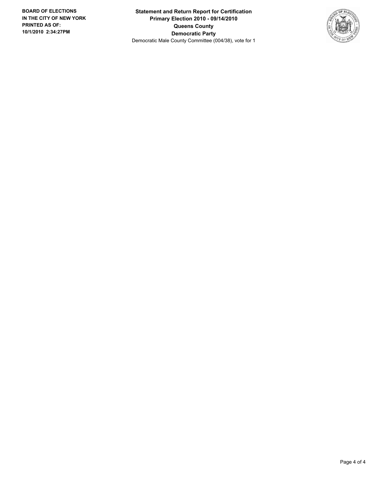**Statement and Return Report for Certification Primary Election 2010 - 09/14/2010 Queens County Democratic Party** Democratic Male County Committee (004/38), vote for 1

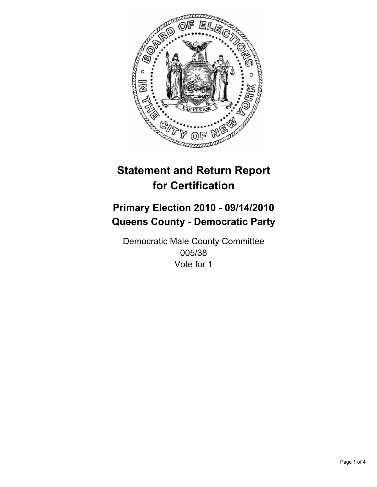

# **Primary Election 2010 - 09/14/2010 Queens County - Democratic Party**

Democratic Male County Committee 005/38 Vote for 1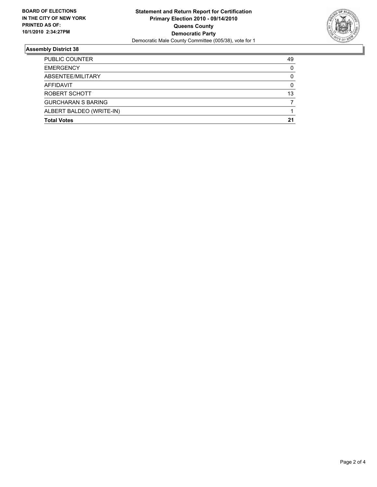

| <b>Total Votes</b>        | 21 |
|---------------------------|----|
| ALBERT BALDEO (WRITE-IN)  |    |
|                           |    |
| <b>GURCHARAN S BARING</b> |    |
| ROBERT SCHOTT             | 13 |
| <b>AFFIDAVIT</b>          | 0  |
| ABSENTEE/MILITARY         | 0  |
| <b>EMERGENCY</b>          | 0  |
| <b>PUBLIC COUNTER</b>     | 49 |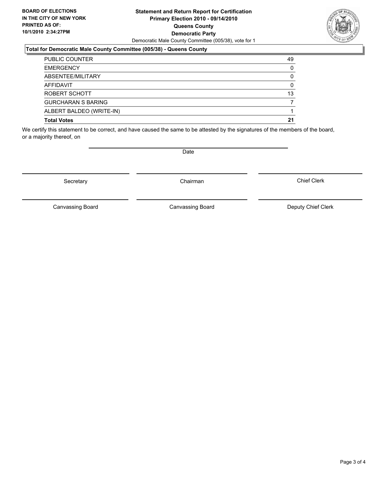### **Statement and Return Report for Certification Primary Election 2010 - 09/14/2010 Queens County Democratic Party** Democratic Male County Committee (005/38), vote for 1

## **Total for Democratic Male County Committee (005/38) - Queens County**

| PUBLIC COUNTER            | 49       |
|---------------------------|----------|
| <b>EMERGENCY</b>          | $\Omega$ |
| ABSENTEE/MILITARY         | 0        |
| <b>AFFIDAVIT</b>          | 0        |
| ROBERT SCHOTT             | 13       |
| <b>GURCHARAN S BARING</b> |          |
| ALBERT BALDEO (WRITE-IN)  |          |
| <b>Total Votes</b>        | 21       |

We certify this statement to be correct, and have caused the same to be attested by the signatures of the members of the board, or a majority thereof, on

Secretary **Chairman** 

Canvassing Board

Canvassing Board Canvassing Board Canvassing Canvassing Board Deputy Chief Clerk

Chief Clerk

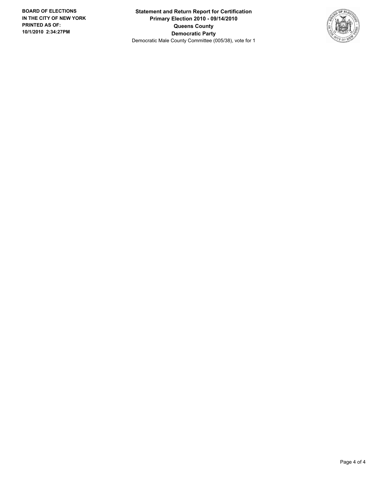**Statement and Return Report for Certification Primary Election 2010 - 09/14/2010 Queens County Democratic Party** Democratic Male County Committee (005/38), vote for 1

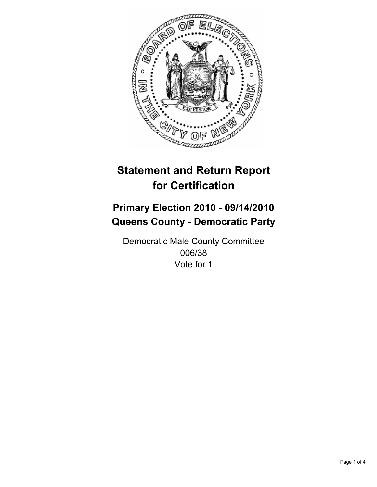

# **Primary Election 2010 - 09/14/2010 Queens County - Democratic Party**

Democratic Male County Committee 006/38 Vote for 1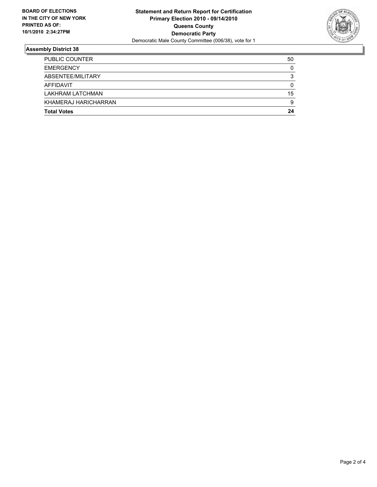

| <b>Total Votes</b>    | 24 |
|-----------------------|----|
| KHAMERAJ HARICHARRAN  | 9  |
| LAKHRAM LATCHMAN      | 15 |
| AFFIDAVIT             | 0  |
| ABSENTEE/MILITARY     | 3  |
| <b>EMERGENCY</b>      | 0  |
| <b>PUBLIC COUNTER</b> | 50 |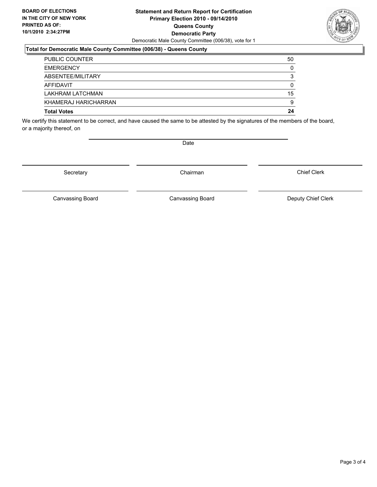### **Statement and Return Report for Certification Primary Election 2010 - 09/14/2010 Queens County Democratic Party** Democratic Male County Committee (006/38), vote for 1

#### **Total for Democratic Male County Committee (006/38) - Queens County**

| <b>Total Votes</b>    | 24 |
|-----------------------|----|
| KHAMERAJ HARICHARRAN  | 9  |
| LAKHRAM LATCHMAN      | 15 |
| AFFIDAVIT             | 0  |
| ABSENTEE/MILITARY     | 3  |
| <b>EMERGENCY</b>      | 0  |
| <b>PUBLIC COUNTER</b> | 50 |

We certify this statement to be correct, and have caused the same to be attested by the signatures of the members of the board, or a majority thereof, on

Secretary **Chairman** 

Canvassing Board **Canvassing Board** Canvassing Board **Deputy Chief Clerk** 

Canvassing Board

Chief Clerk

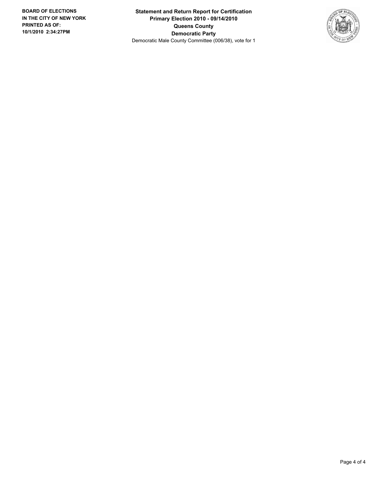**Statement and Return Report for Certification Primary Election 2010 - 09/14/2010 Queens County Democratic Party** Democratic Male County Committee (006/38), vote for 1

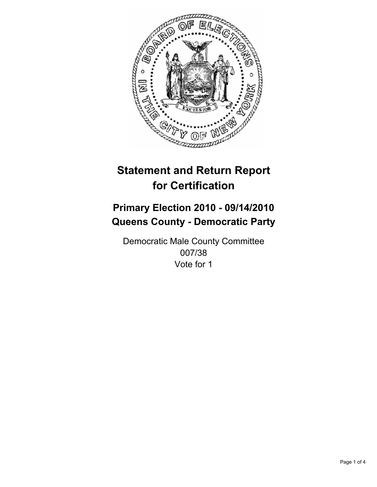

# **Primary Election 2010 - 09/14/2010 Queens County - Democratic Party**

Democratic Male County Committee 007/38 Vote for 1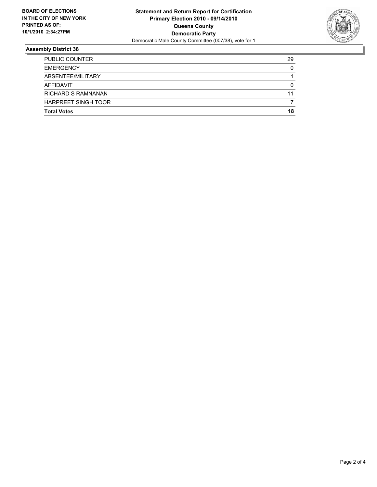

| <b>Total Votes</b>         | 18 |
|----------------------------|----|
| <b>HARPREET SINGH TOOR</b> |    |
| <b>RICHARD S RAMNANAN</b>  | 11 |
| AFFIDAVIT                  | 0  |
| ABSENTEE/MILITARY          |    |
| <b>EMERGENCY</b>           | 0  |
| <b>PUBLIC COUNTER</b>      | 29 |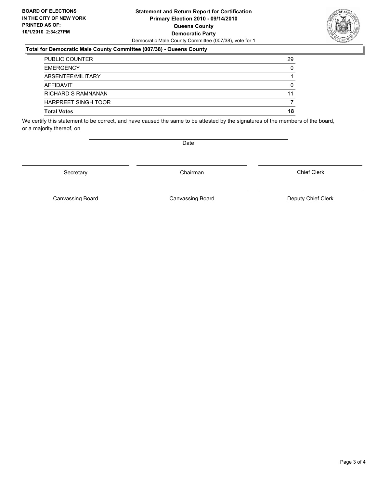### **Statement and Return Report for Certification Primary Election 2010 - 09/14/2010 Queens County Democratic Party** Democratic Male County Committee (007/38), vote for 1

#### **Total for Democratic Male County Committee (007/38) - Queens County**

| <b>Total Votes</b>         | 18 |
|----------------------------|----|
| <b>HARPREET SINGH TOOR</b> |    |
| <b>RICHARD S RAMNANAN</b>  | 11 |
| AFFIDAVIT                  | 0  |
| ABSENTEE/MILITARY          |    |
| <b>EMERGENCY</b>           | 0  |
| <b>PUBLIC COUNTER</b>      | 29 |

We certify this statement to be correct, and have caused the same to be attested by the signatures of the members of the board, or a majority thereof, on

Secretary **Chairman** 

Canvassing Board **Canvassing Board** Canvassing Board **Deputy Chief Clerk** 

Canvassing Board

Chief Clerk

Page 3 of 4

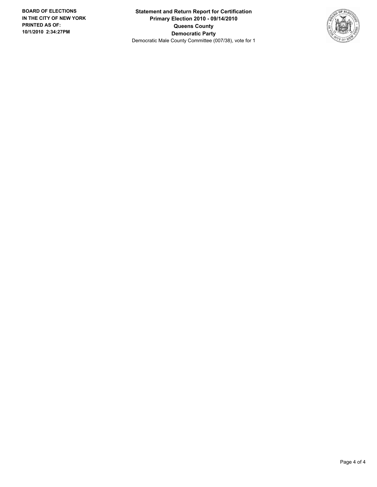**Statement and Return Report for Certification Primary Election 2010 - 09/14/2010 Queens County Democratic Party** Democratic Male County Committee (007/38), vote for 1

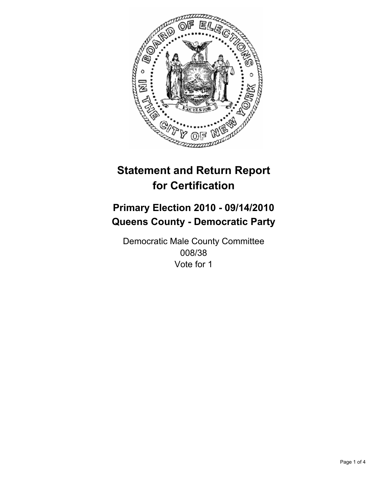

# **Primary Election 2010 - 09/14/2010 Queens County - Democratic Party**

Democratic Male County Committee 008/38 Vote for 1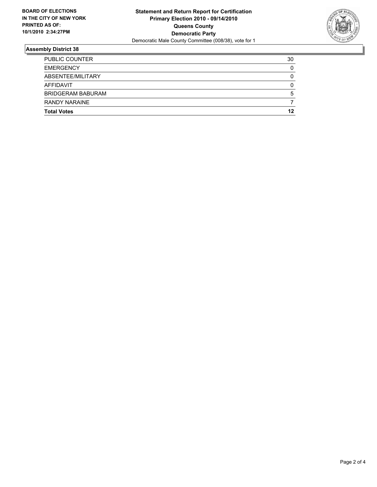

| <b>Total Votes</b>       | 12 |
|--------------------------|----|
| <b>RANDY NARAINE</b>     |    |
| <b>BRIDGERAM BABURAM</b> | 5  |
| AFFIDAVIT                | 0  |
| ABSENTEE/MILITARY        | 0  |
| <b>EMERGENCY</b>         | 0  |
| <b>PUBLIC COUNTER</b>    | 30 |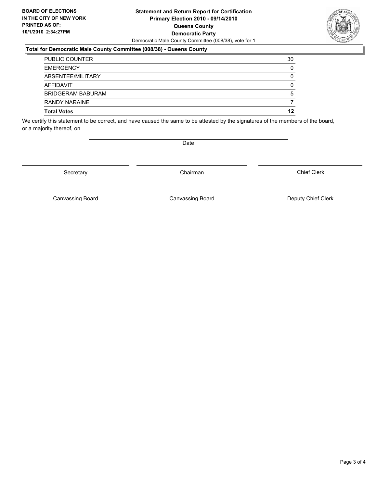### **Statement and Return Report for Certification Primary Election 2010 - 09/14/2010 Queens County Democratic Party** Democratic Male County Committee (008/38), vote for 1

#### **Total for Democratic Male County Committee (008/38) - Queens County**

| <b>Total Votes</b>       | 12 |
|--------------------------|----|
| RANDY NARAINE            |    |
| <b>BRIDGERAM BABURAM</b> | 5  |
| AFFIDAVIT                | 0  |
| ABSENTEE/MILITARY        | 0  |
| <b>EMERGENCY</b>         | 0  |
| <b>PUBLIC COUNTER</b>    | 30 |

We certify this statement to be correct, and have caused the same to be attested by the signatures of the members of the board, or a majority thereof, on

Secretary **Chairman** 

Canvassing Board

Canvassing Board **Canvassing Board** Canvassing Board **Deputy Chief Clerk** 

Chief Clerk

Page 3 of 4

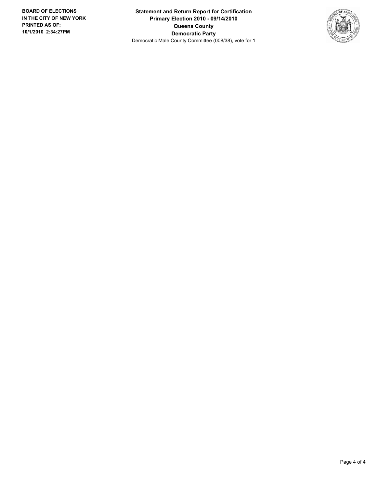**Statement and Return Report for Certification Primary Election 2010 - 09/14/2010 Queens County Democratic Party** Democratic Male County Committee (008/38), vote for 1

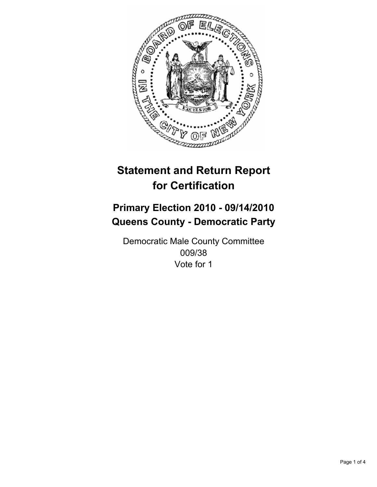

## **Primary Election 2010 - 09/14/2010 Queens County - Democratic Party**

Democratic Male County Committee 009/38 Vote for 1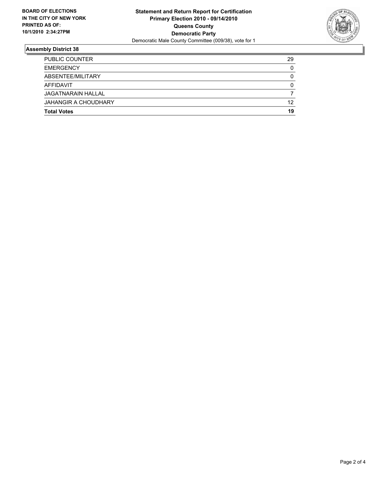

| <b>Total Votes</b>        | 19 |
|---------------------------|----|
| JAHANGIR A CHOUDHARY      | 12 |
| <b>JAGATNARAIN HALLAL</b> |    |
| AFFIDAVIT                 | 0  |
| ABSENTEE/MILITARY         | 0  |
| <b>EMERGENCY</b>          | 0  |
| <b>PUBLIC COUNTER</b>     | 29 |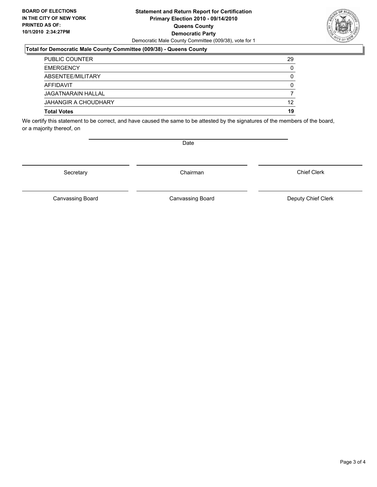#### **Statement and Return Report for Certification Primary Election 2010 - 09/14/2010 Queens County Democratic Party** Democratic Male County Committee (009/38), vote for 1

#### **Total for Democratic Male County Committee (009/38) - Queens County**

| <b>Total Votes</b>          | 19 |
|-----------------------------|----|
| <b>JAHANGIR A CHOUDHARY</b> | 12 |
| <b>JAGATNARAIN HALLAL</b>   |    |
| AFFIDAVIT                   | 0  |
| ABSENTEE/MILITARY           | 0  |
| <b>EMERGENCY</b>            | 0  |
| <b>PUBLIC COUNTER</b>       | 29 |

We certify this statement to be correct, and have caused the same to be attested by the signatures of the members of the board, or a majority thereof, on

Secretary **Chairman** 

Canvassing Board **Canvassing Board** Canvassing Board **Deputy Chief Clerk** 

Canvassing Board

Chief Clerk

Page 3 of 4



Date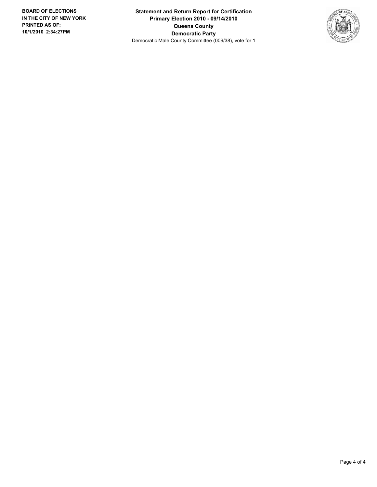**Statement and Return Report for Certification Primary Election 2010 - 09/14/2010 Queens County Democratic Party** Democratic Male County Committee (009/38), vote for 1

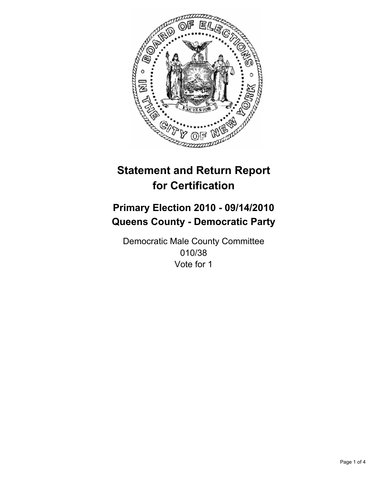

## **Primary Election 2010 - 09/14/2010 Queens County - Democratic Party**

Democratic Male County Committee 010/38 Vote for 1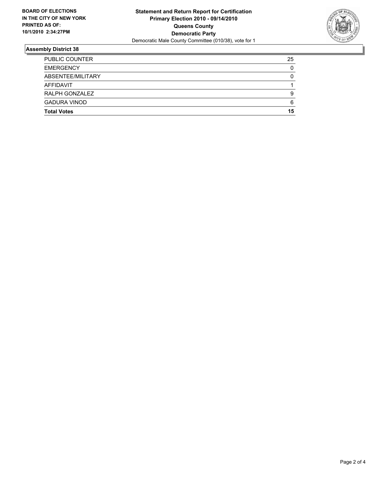

| <b>Total Votes</b>    | 15 |
|-----------------------|----|
| <b>GADURA VINOD</b>   | 6  |
| RALPH GONZALEZ        | 9  |
| AFFIDAVIT             |    |
| ABSENTEE/MILITARY     | 0  |
| <b>EMERGENCY</b>      | 0  |
| <b>PUBLIC COUNTER</b> | 25 |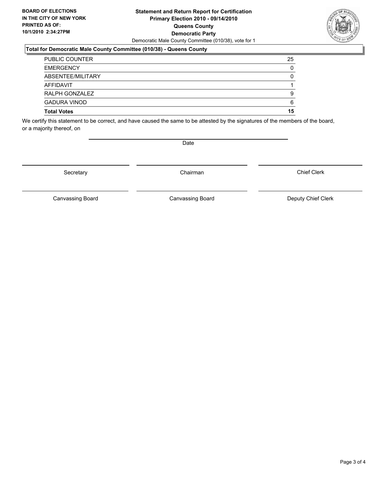### **Statement and Return Report for Certification Primary Election 2010 - 09/14/2010 Queens County Democratic Party** Democratic Male County Committee (010/38), vote for 1

#### **Total for Democratic Male County Committee (010/38) - Queens County**

| <b>Total Votes</b>    | 15 |
|-----------------------|----|
| <b>GADURA VINOD</b>   | 6  |
| RALPH GONZALEZ        | 9  |
| AFFIDAVIT             |    |
| ABSENTEE/MILITARY     | 0  |
| <b>EMERGENCY</b>      | 0  |
| <b>PUBLIC COUNTER</b> | 25 |

We certify this statement to be correct, and have caused the same to be attested by the signatures of the members of the board, or a majority thereof, on

Secretary **Chairman** 

Chief Clerk

Canvassing Board **Canvassing Board** Canvassing Board **Deputy Chief Clerk** 

Canvassing Board



Date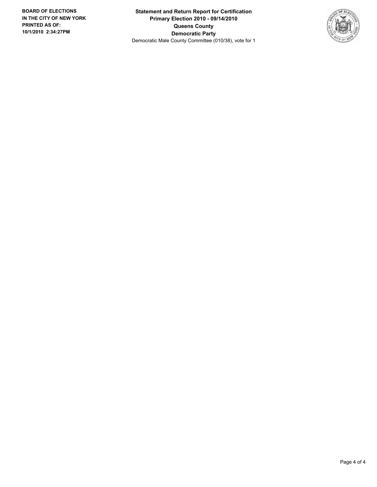**Statement and Return Report for Certification Primary Election 2010 - 09/14/2010 Queens County Democratic Party** Democratic Male County Committee (010/38), vote for 1

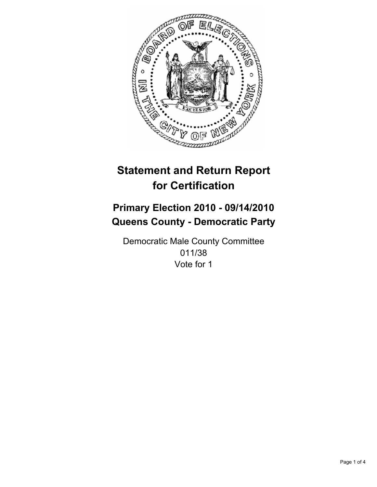

## **Primary Election 2010 - 09/14/2010 Queens County - Democratic Party**

Democratic Male County Committee 011/38 Vote for 1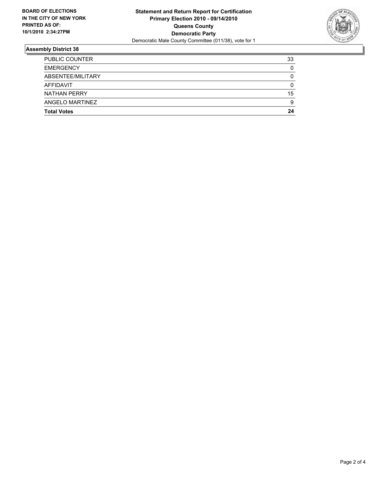

| <b>Total Votes</b>    | 24       |
|-----------------------|----------|
| ANGELO MARTINEZ       | 9        |
| <b>NATHAN PERRY</b>   | 15       |
| AFFIDAVIT             | $\Omega$ |
| ABSENTEE/MILITARY     | 0        |
| <b>EMERGENCY</b>      | 0        |
| <b>PUBLIC COUNTER</b> | 33       |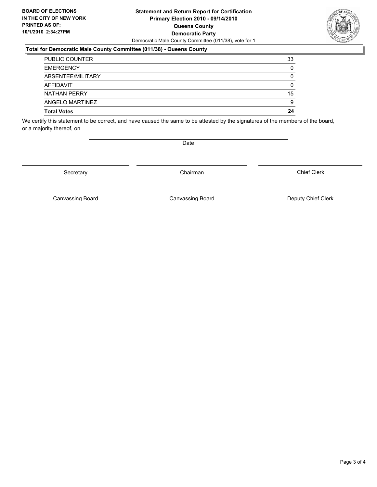### **Statement and Return Report for Certification Primary Election 2010 - 09/14/2010 Queens County Democratic Party** Democratic Male County Committee (011/38), vote for 1

#### **Total for Democratic Male County Committee (011/38) - Queens County**

| <b>PUBLIC COUNTER</b> | 33 |
|-----------------------|----|
| <b>EMERGENCY</b>      | 0  |
| ABSENTEE/MILITARY     | 0  |
| AFFIDAVIT             | 0  |
| <b>NATHAN PERRY</b>   | 15 |
| ANGELO MARTINEZ       | 9  |
| <b>Total Votes</b>    | 24 |

We certify this statement to be correct, and have caused the same to be attested by the signatures of the members of the board, or a majority thereof, on

Secretary **Chairman** 

Date

Canvassing Board

Canvassing Board **Canvassing Board** Canvassing Board **Deputy Chief Clerk** 

Chief Clerk

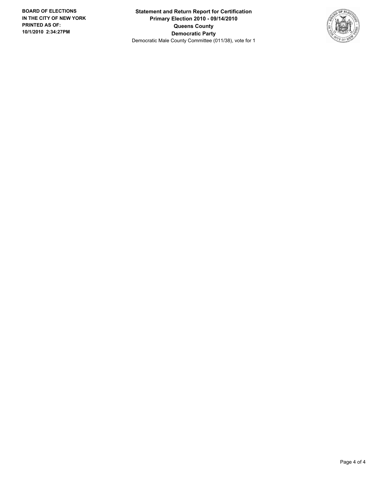**Statement and Return Report for Certification Primary Election 2010 - 09/14/2010 Queens County Democratic Party** Democratic Male County Committee (011/38), vote for 1

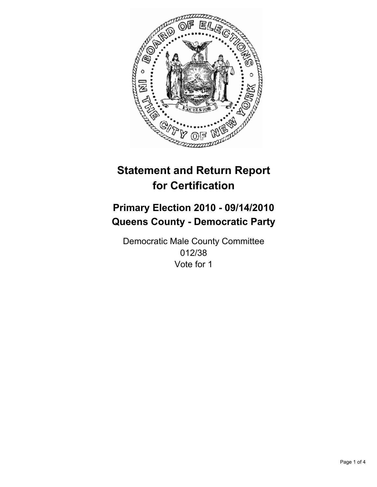

## **Primary Election 2010 - 09/14/2010 Queens County - Democratic Party**

Democratic Male County Committee 012/38 Vote for 1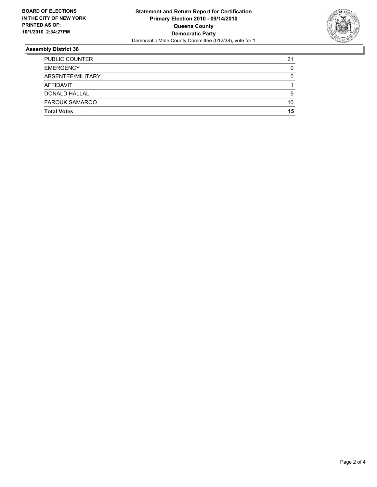

| <b>Total Votes</b>    | 15 |
|-----------------------|----|
| <b>FAROUK SAMAROO</b> | 10 |
| DONALD HALLAL         | 5  |
| AFFIDAVIT             |    |
| ABSENTEE/MILITARY     | 0  |
| <b>EMERGENCY</b>      | 0  |
| <b>PUBLIC COUNTER</b> | 21 |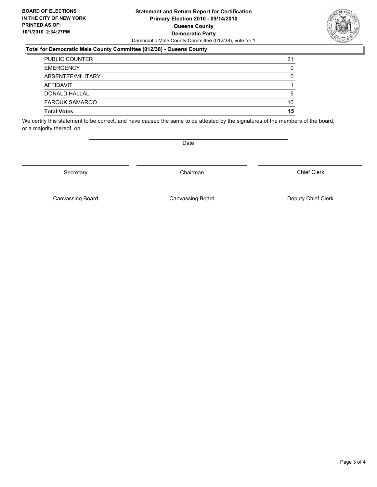### **Statement and Return Report for Certification Primary Election 2010 - 09/14/2010 Queens County Democratic Party** Democratic Male County Committee (012/38), vote for 1

#### **Total for Democratic Male County Committee (012/38) - Queens County**

| <b>Total Votes</b>    | 15 |
|-----------------------|----|
| <b>FAROUK SAMAROO</b> | 10 |
| <b>DONALD HALLAL</b>  | 5  |
| AFFIDAVIT             |    |
| ABSENTEE/MILITARY     | 0  |
| <b>EMERGENCY</b>      | 0  |
| <b>PUBLIC COUNTER</b> | 21 |

We certify this statement to be correct, and have caused the same to be attested by the signatures of the members of the board, or a majority thereof, on

Secretary **Chairman** 

Canvassing Board **Canvassing Board** Canvassing Board **Deputy Chief Clerk** 

Canvassing Board

Chief Clerk

Page 3 of 4



Date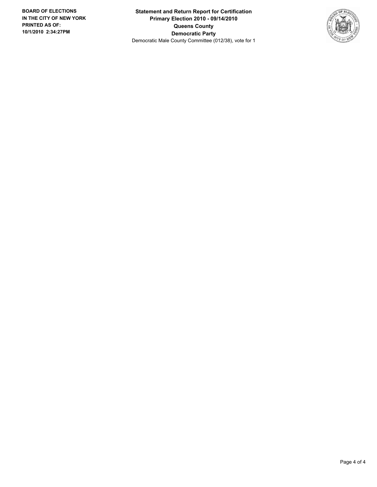**Statement and Return Report for Certification Primary Election 2010 - 09/14/2010 Queens County Democratic Party** Democratic Male County Committee (012/38), vote for 1

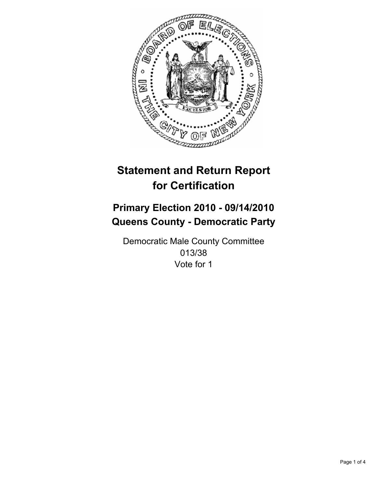

## **Primary Election 2010 - 09/14/2010 Queens County - Democratic Party**

Democratic Male County Committee 013/38 Vote for 1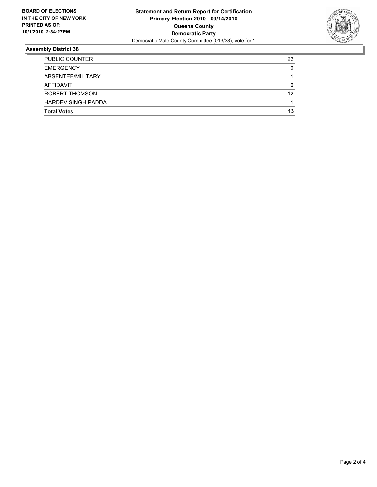

| <b>Total Votes</b>        | 13 |
|---------------------------|----|
| <b>HARDEV SINGH PADDA</b> |    |
| <b>ROBERT THOMSON</b>     | 12 |
| AFFIDAVIT                 | 0  |
| ABSENTEE/MILITARY         |    |
| <b>EMERGENCY</b>          | 0  |
| <b>PUBLIC COUNTER</b>     | 22 |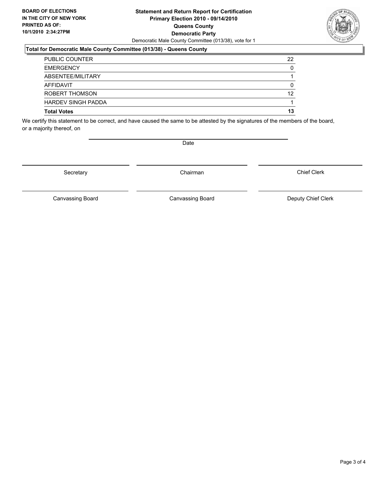### **Statement and Return Report for Certification Primary Election 2010 - 09/14/2010 Queens County Democratic Party** Democratic Male County Committee (013/38), vote for 1

#### **Total for Democratic Male County Committee (013/38) - Queens County**

| <b>Total Votes</b>        | 13 |
|---------------------------|----|
| <b>HARDEV SINGH PADDA</b> |    |
| <b>ROBERT THOMSON</b>     | 12 |
| AFFIDAVIT                 | 0  |
| ABSENTEE/MILITARY         |    |
| <b>EMERGENCY</b>          | 0  |
| <b>PUBLIC COUNTER</b>     | 22 |

We certify this statement to be correct, and have caused the same to be attested by the signatures of the members of the board, or a majority thereof, on

Secretary **Chairman** 

Canvassing Board **Canvassing Board** Canvassing Board **Deputy Chief Clerk** 

Canvassing Board

Chief Clerk



Date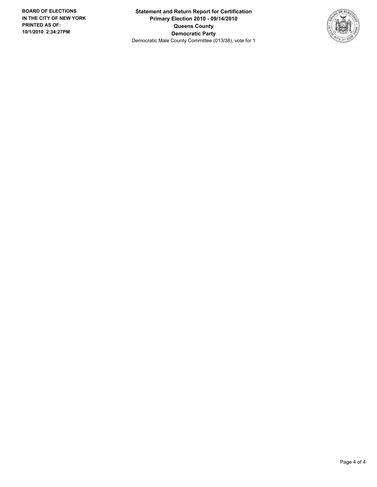**Statement and Return Report for Certification Primary Election 2010 - 09/14/2010 Queens County Democratic Party** Democratic Male County Committee (013/38), vote for 1

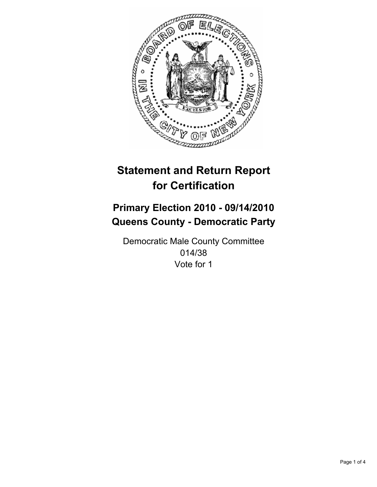

## **Primary Election 2010 - 09/14/2010 Queens County - Democratic Party**

Democratic Male County Committee 014/38 Vote for 1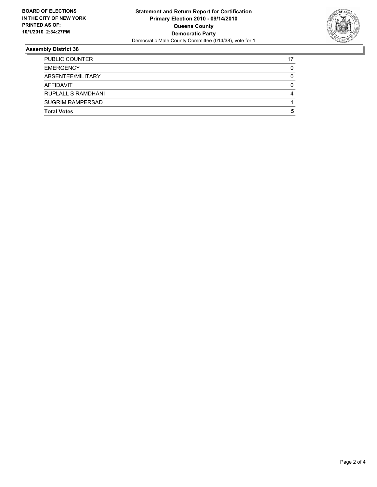

| <b>Total Votes</b>      | 5  |
|-------------------------|----|
| <b>SUGRIM RAMPERSAD</b> |    |
| RUPLALL S RAMDHANI      | 4  |
| AFFIDAVIT               | 0  |
| ABSENTEE/MILITARY       | 0  |
| <b>EMERGENCY</b>        | 0  |
| <b>PUBLIC COUNTER</b>   | 17 |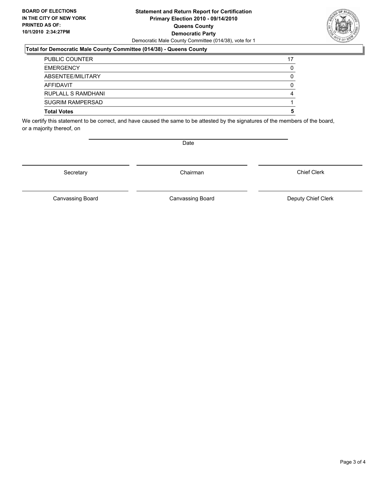#### **Statement and Return Report for Certification Primary Election 2010 - 09/14/2010 Queens County Democratic Party** Democratic Male County Committee (014/38), vote for 1

#### **Total for Democratic Male County Committee (014/38) - Queens County**

| <b>Total Votes</b>      | 5  |
|-------------------------|----|
| <b>SUGRIM RAMPERSAD</b> |    |
| RUPLALL S RAMDHANI      | 4  |
| AFFIDAVIT               | 0  |
| ABSENTEE/MILITARY       | 0  |
| <b>EMERGENCY</b>        | 0  |
| <b>PUBLIC COUNTER</b>   | 17 |

We certify this statement to be correct, and have caused the same to be attested by the signatures of the members of the board, or a majority thereof, on

Secretary **Chairman** 

Canvassing Board

Canvassing Board **Canvassing Board** Canvassing Board **Deputy Chief Clerk** 

Chief Clerk



Date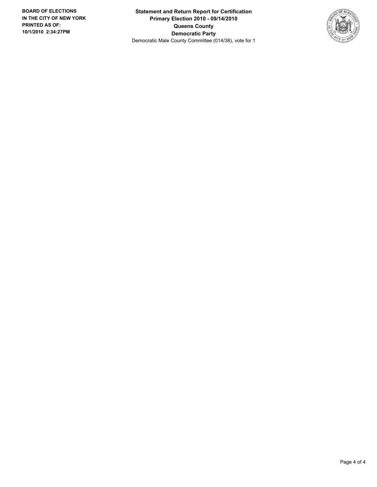**Statement and Return Report for Certification Primary Election 2010 - 09/14/2010 Queens County Democratic Party** Democratic Male County Committee (014/38), vote for 1

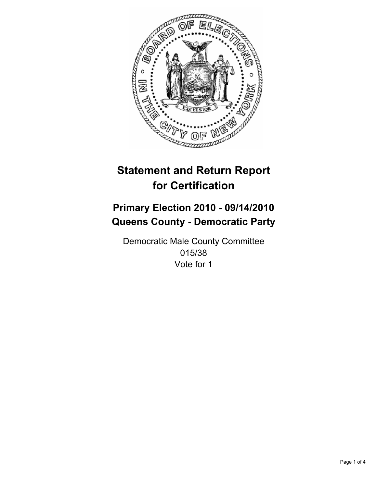

## **Primary Election 2010 - 09/14/2010 Queens County - Democratic Party**

Democratic Male County Committee 015/38 Vote for 1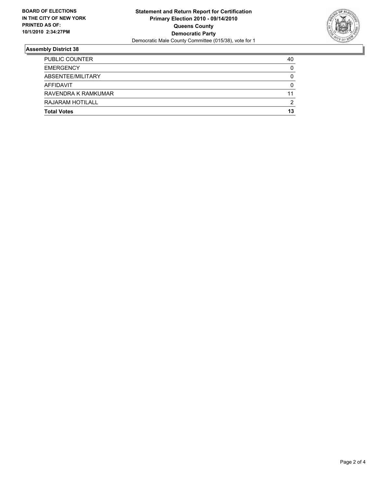

| <b>Total Votes</b>    | 13 |
|-----------------------|----|
| RAJARAM HOTILALL      | 2  |
| RAVENDRA K RAMKUMAR   | 11 |
| AFFIDAVIT             | 0  |
| ABSENTEE/MILITARY     | 0  |
| <b>EMERGENCY</b>      | 0  |
| <b>PUBLIC COUNTER</b> | 40 |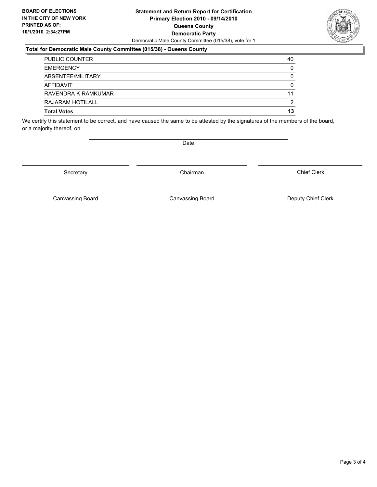### **Statement and Return Report for Certification Primary Election 2010 - 09/14/2010 Queens County Democratic Party** Democratic Male County Committee (015/38), vote for 1

#### **Total for Democratic Male County Committee (015/38) - Queens County**

| <b>Total Votes</b>    | 13 |
|-----------------------|----|
| RAJARAM HOTILALL      | 2  |
| RAVENDRA K RAMKUMAR   | 11 |
| AFFIDAVIT             | 0  |
| ABSENTEE/MILITARY     | 0  |
| <b>EMERGENCY</b>      | 0  |
| <b>PUBLIC COUNTER</b> | 40 |

We certify this statement to be correct, and have caused the same to be attested by the signatures of the members of the board, or a majority thereof, on

Secretary **Chairman** 

Canvassing Board

Canvassing Board **Canvassing Board** Canvassing Board **Deputy Chief Clerk** 

Chief Clerk

Page 3 of 4



Date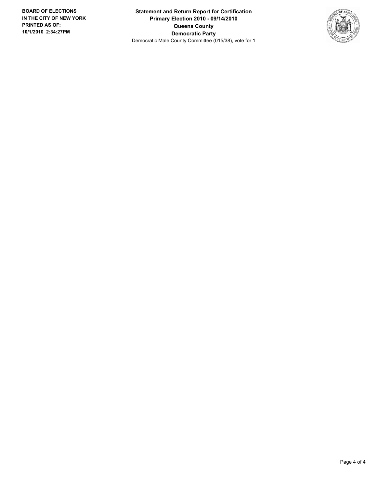**Statement and Return Report for Certification Primary Election 2010 - 09/14/2010 Queens County Democratic Party** Democratic Male County Committee (015/38), vote for 1

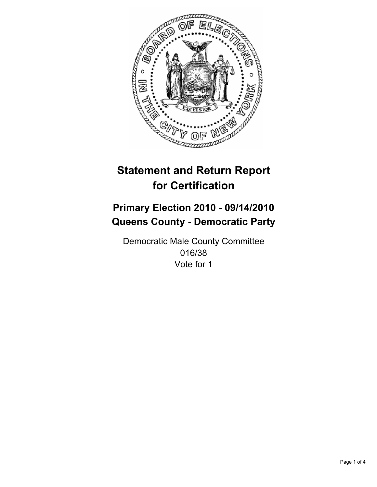

## **Primary Election 2010 - 09/14/2010 Queens County - Democratic Party**

Democratic Male County Committee 016/38 Vote for 1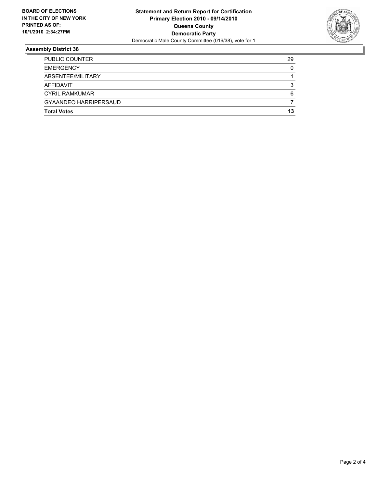

| <b>Total Votes</b>           | 13 |
|------------------------------|----|
| <b>GYAANDEO HARRIPERSAUD</b> |    |
| <b>CYRIL RAMKUMAR</b>        | 6  |
| AFFIDAVIT                    | 3  |
| ABSENTEE/MILITARY            |    |
| <b>EMERGENCY</b>             | 0  |
| <b>PUBLIC COUNTER</b>        | 29 |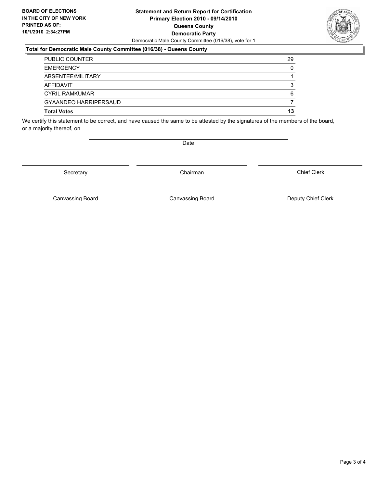### **Statement and Return Report for Certification Primary Election 2010 - 09/14/2010 Queens County Democratic Party** Democratic Male County Committee (016/38), vote for 1

#### **Total for Democratic Male County Committee (016/38) - Queens County**

| <b>Total Votes</b>           | 13 |
|------------------------------|----|
| <b>GYAANDEO HARRIPERSAUD</b> |    |
| <b>CYRIL RAMKUMAR</b>        | 6  |
| AFFIDAVIT                    | 3  |
| ABSENTEE/MILITARY            |    |
| <b>EMERGENCY</b>             | 0  |
| <b>PUBLIC COUNTER</b>        | 29 |

We certify this statement to be correct, and have caused the same to be attested by the signatures of the members of the board, or a majority thereof, on

Secretary **Chairman** 

Canvassing Board **Canvassing Board** Canvassing Board **Deputy Chief Clerk** 

Canvassing Board

Chief Clerk



Date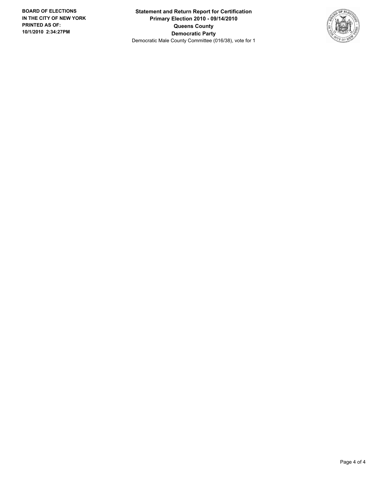**Statement and Return Report for Certification Primary Election 2010 - 09/14/2010 Queens County Democratic Party** Democratic Male County Committee (016/38), vote for 1

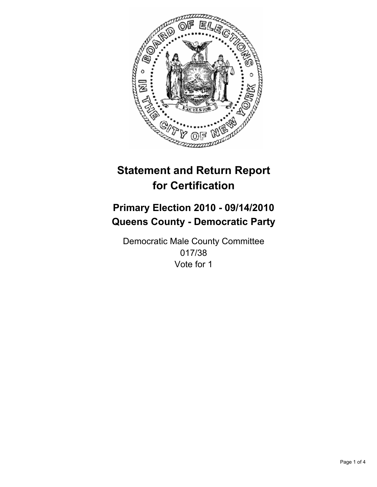

## **Primary Election 2010 - 09/14/2010 Queens County - Democratic Party**

Democratic Male County Committee 017/38 Vote for 1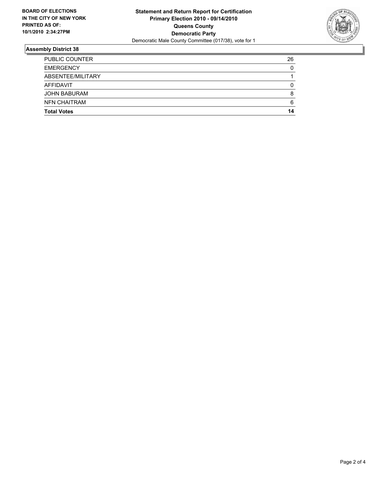

| <b>Total Votes</b>    | 14 |
|-----------------------|----|
| <b>NFN CHAITRAM</b>   | 6  |
| <b>JOHN BABURAM</b>   | 8  |
| AFFIDAVIT             | 0  |
| ABSENTEE/MILITARY     |    |
| <b>EMERGENCY</b>      | 0  |
| <b>PUBLIC COUNTER</b> | 26 |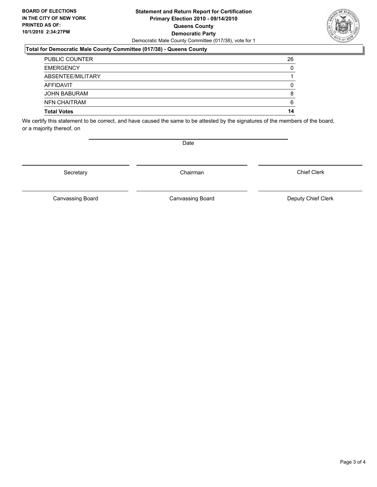### **Statement and Return Report for Certification Primary Election 2010 - 09/14/2010 Queens County Democratic Party** Democratic Male County Committee (017/38), vote for 1

#### **Total for Democratic Male County Committee (017/38) - Queens County**

| <b>Total Votes</b>    | 14 |
|-----------------------|----|
| NFN CHAITRAM          | 6  |
| <b>JOHN BABURAM</b>   | 8  |
| <b>AFFIDAVIT</b>      | 0  |
| ABSENTEE/MILITARY     | 1  |
| <b>EMERGENCY</b>      | 0  |
| <b>PUBLIC COUNTER</b> | 26 |

We certify this statement to be correct, and have caused the same to be attested by the signatures of the members of the board, or a majority thereof, on

Secretary **Chairman** 

Date

Canvassing Board

Canvassing Board **Canvassing Board** Canvassing Board **Deputy Chief Clerk** 

Chief Clerk

Page 3 of 4

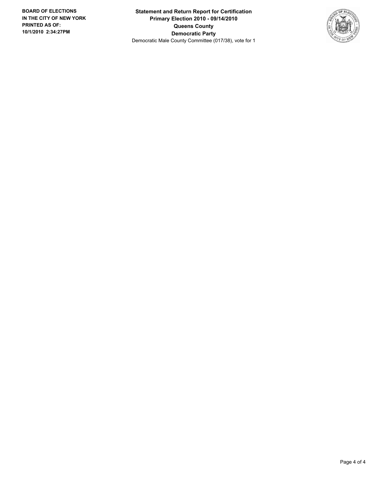**Statement and Return Report for Certification Primary Election 2010 - 09/14/2010 Queens County Democratic Party** Democratic Male County Committee (017/38), vote for 1

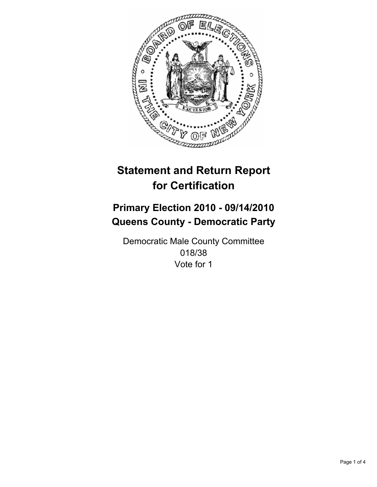

# **Primary Election 2010 - 09/14/2010 Queens County - Democratic Party**

Democratic Male County Committee 018/38 Vote for 1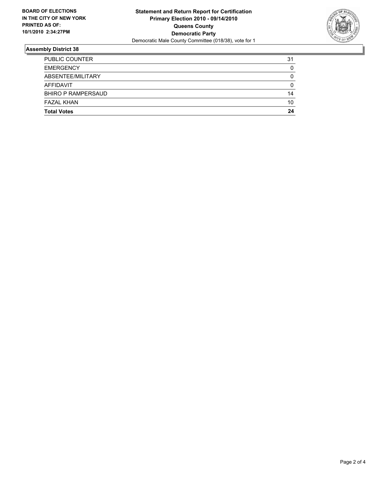

| <b>Total Votes</b>        | 24 |
|---------------------------|----|
| FAZAI KHAN                | 10 |
| <b>BHIRO P RAMPERSAUD</b> | 14 |
| AFFIDAVIT                 | 0  |
| ABSENTEE/MILITARY         | 0  |
| <b>EMERGENCY</b>          | 0  |
| <b>PUBLIC COUNTER</b>     | 31 |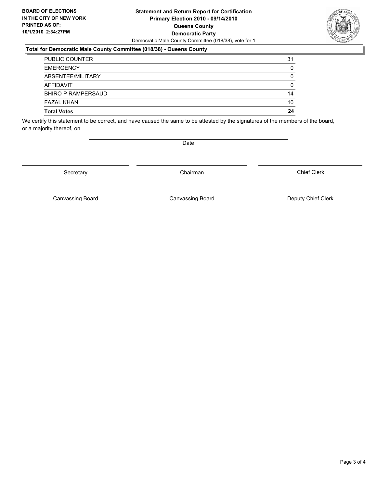## **Statement and Return Report for Certification Primary Election 2010 - 09/14/2010 Queens County Democratic Party** Democratic Male County Committee (018/38), vote for 1

## **Total for Democratic Male County Committee (018/38) - Queens County**

| <b>PUBLIC COUNTER</b>     | 31 |
|---------------------------|----|
| <b>EMERGENCY</b>          | 0  |
| ABSENTEE/MILITARY         | 0  |
| AFFIDAVIT                 | 0  |
| <b>BHIRO P RAMPERSAUD</b> | 14 |
| <b>FAZAL KHAN</b>         | 10 |
| <b>Total Votes</b>        | 24 |

We certify this statement to be correct, and have caused the same to be attested by the signatures of the members of the board, or a majority thereof, on

Secretary **Chairman** 

Canvassing Board

Canvassing Board **Canvassing Board** Canvassing Board **Deputy Chief Clerk** 

Chief Clerk

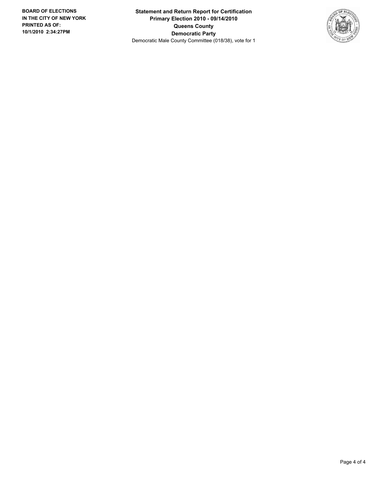**Statement and Return Report for Certification Primary Election 2010 - 09/14/2010 Queens County Democratic Party** Democratic Male County Committee (018/38), vote for 1

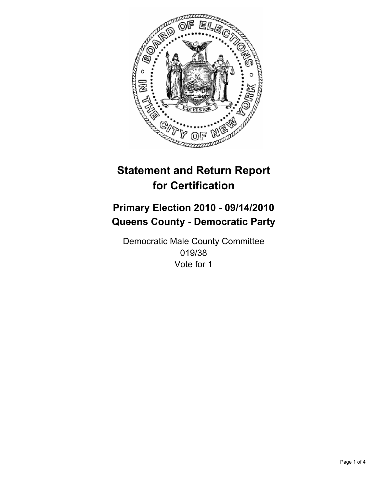

# **Primary Election 2010 - 09/14/2010 Queens County - Democratic Party**

Democratic Male County Committee 019/38 Vote for 1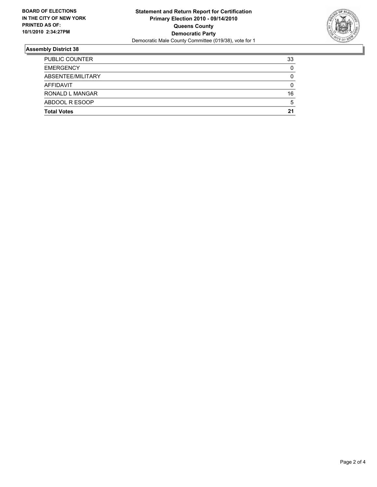

| <b>Total Votes</b>    | 21 |
|-----------------------|----|
| ABDOOL R ESOOP        | 5  |
| RONALD L MANGAR       | 16 |
| AFFIDAVIT             | 0  |
| ABSENTEE/MILITARY     | 0  |
| <b>EMERGENCY</b>      | 0  |
| <b>PUBLIC COUNTER</b> | 33 |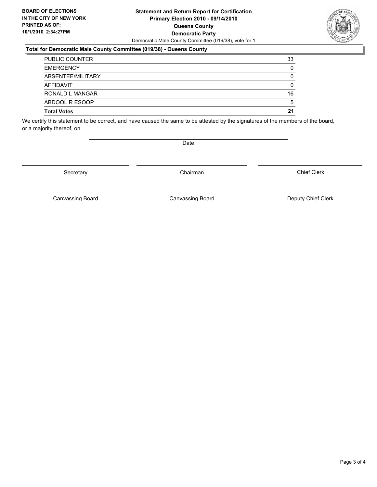## **Statement and Return Report for Certification Primary Election 2010 - 09/14/2010 Queens County Democratic Party** Democratic Male County Committee (019/38), vote for 1

## **Total for Democratic Male County Committee (019/38) - Queens County**

| <b>PUBLIC COUNTER</b> | 33 |
|-----------------------|----|
| <b>EMERGENCY</b>      | 0  |
| ABSENTEE/MILITARY     | 0  |
| AFFIDAVIT             | 0  |
| RONALD L MANGAR       | 16 |
| ABDOOL R ESOOP        | 5  |
| <b>Total Votes</b>    | 21 |

We certify this statement to be correct, and have caused the same to be attested by the signatures of the members of the board, or a majority thereof, on

Secretary **Chairman** 

Canvassing Board

Canvassing Board **Canvassing Board** Canvassing Board **Deputy Chief Clerk** 

Chief Clerk

Page 3 of 4

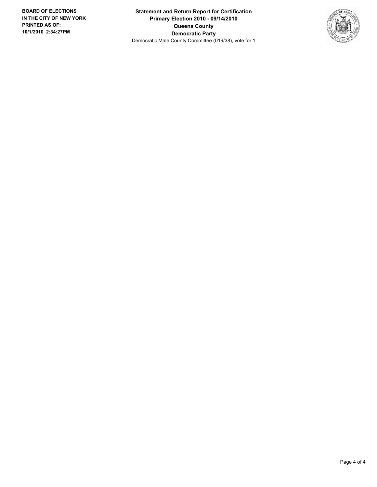**Statement and Return Report for Certification Primary Election 2010 - 09/14/2010 Queens County Democratic Party** Democratic Male County Committee (019/38), vote for 1

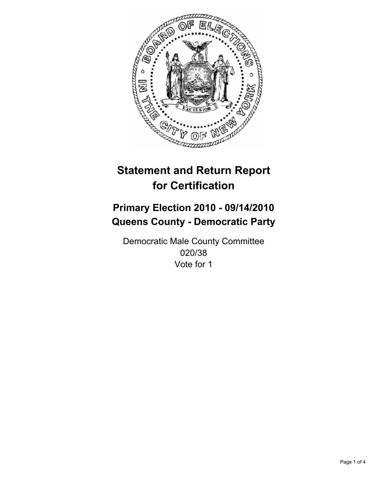

# **Primary Election 2010 - 09/14/2010 Queens County - Democratic Party**

Democratic Male County Committee 020/38 Vote for 1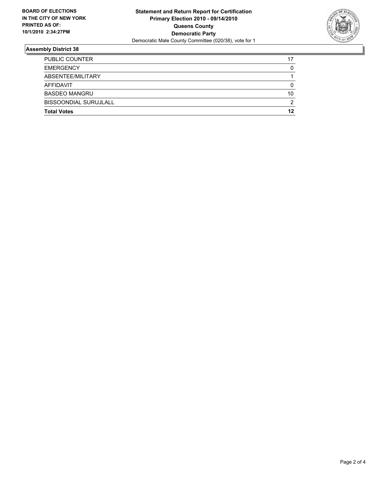

| <b>PUBLIC COUNTER</b>        | 17 |
|------------------------------|----|
| <b>EMERGENCY</b>             | 0  |
| ABSENTEE/MILITARY            |    |
| AFFIDAVIT                    | 0  |
| <b>BASDEO MANGRU</b>         | 10 |
| <b>BISSOONDIAL SURUJLALL</b> | 2  |
| <b>Total Votes</b>           | 12 |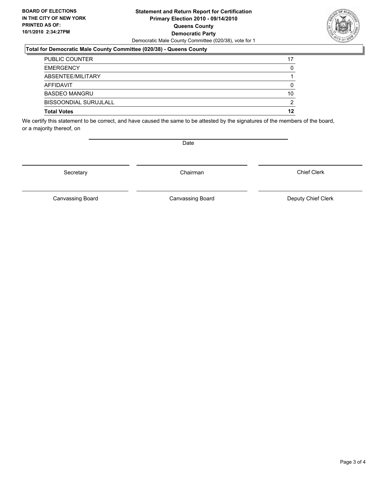## **Statement and Return Report for Certification Primary Election 2010 - 09/14/2010 Queens County Democratic Party** Democratic Male County Committee (020/38), vote for 1

## **Total for Democratic Male County Committee (020/38) - Queens County**

| <b>Total Votes</b>    | 12 |
|-----------------------|----|
| BISSOONDIAL SURUJLALL | 2  |
| <b>BASDEO MANGRU</b>  | 10 |
| AFFIDAVIT             | 0  |
| ABSENTEE/MILITARY     |    |
| <b>EMERGENCY</b>      | 0  |
| <b>PUBLIC COUNTER</b> | 17 |

We certify this statement to be correct, and have caused the same to be attested by the signatures of the members of the board, or a majority thereof, on

Secretary **Chairman** 

Canvassing Board **Canvassing Board** Canvassing Board **Deputy Chief Clerk** 

Canvassing Board

Chief Clerk

Page 3 of 4

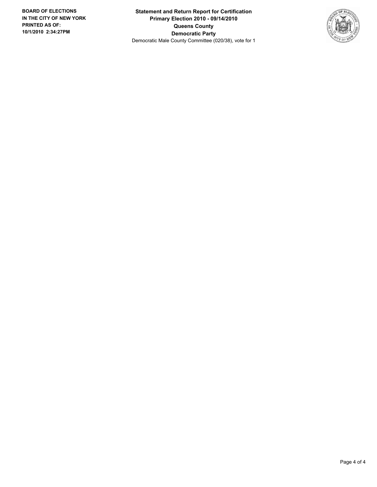**Statement and Return Report for Certification Primary Election 2010 - 09/14/2010 Queens County Democratic Party** Democratic Male County Committee (020/38), vote for 1

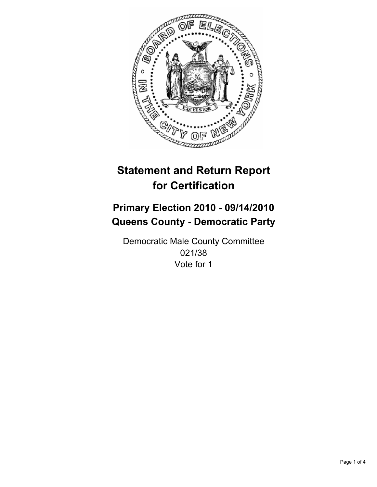

# **Primary Election 2010 - 09/14/2010 Queens County - Democratic Party**

Democratic Male County Committee 021/38 Vote for 1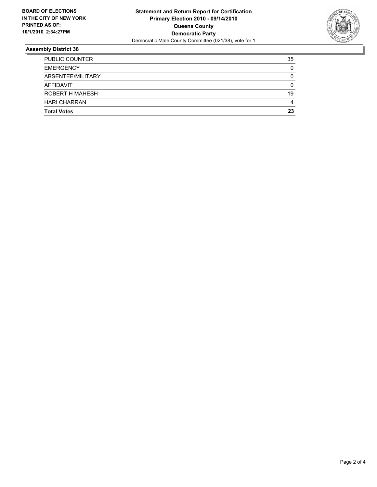

| <b>Total Votes</b>     | 23 |
|------------------------|----|
| <b>HARI CHARRAN</b>    | 4  |
| <b>ROBERT H MAHESH</b> | 19 |
| AFFIDAVIT              | 0  |
| ABSENTEE/MILITARY      | 0  |
| <b>EMERGENCY</b>       | 0  |
| <b>PUBLIC COUNTER</b>  | 35 |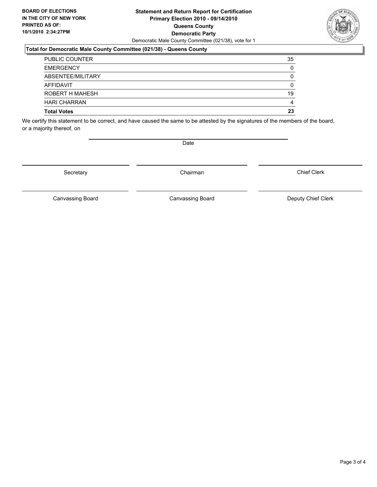## **Statement and Return Report for Certification Primary Election 2010 - 09/14/2010 Queens County Democratic Party** Democratic Male County Committee (021/38), vote for 1

#### **Total for Democratic Male County Committee (021/38) - Queens County**

| <b>Total Votes</b>    | 23 |
|-----------------------|----|
| <b>HARI CHARRAN</b>   | 4  |
| ROBERT H MAHESH       | 19 |
| AFFIDAVIT             | 0  |
| ABSENTEE/MILITARY     | 0  |
| <b>EMERGENCY</b>      | 0  |
| <b>PUBLIC COUNTER</b> | 35 |

We certify this statement to be correct, and have caused the same to be attested by the signatures of the members of the board, or a majority thereof, on

Secretary **Chairman** 

Canvassing Board

Canvassing Board **Canvassing Board** Canvassing Board **Deputy Chief Clerk** 

Chief Clerk

Page 3 of 4

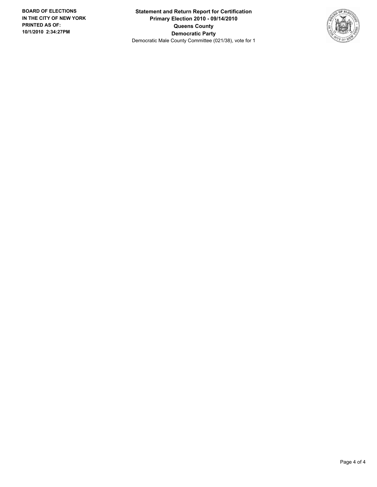**Statement and Return Report for Certification Primary Election 2010 - 09/14/2010 Queens County Democratic Party** Democratic Male County Committee (021/38), vote for 1

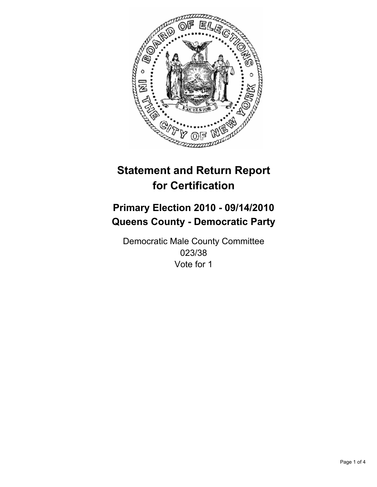

# **Primary Election 2010 - 09/14/2010 Queens County - Democratic Party**

Democratic Male County Committee 023/38 Vote for 1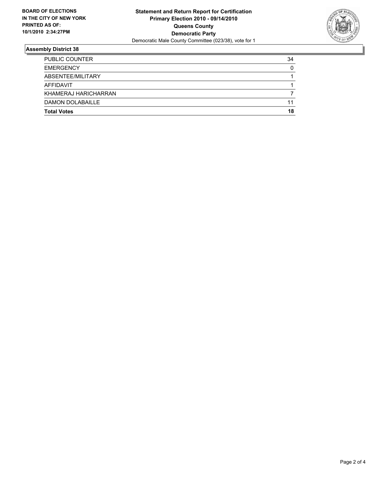

| ABSENTEE/MILITARY<br>AFFIDAVIT |    |
|--------------------------------|----|
| KHAMERAJ HARICHARRAN           |    |
| DAMON DOLABAILLE               | 11 |
| <b>Total Votes</b>             | 18 |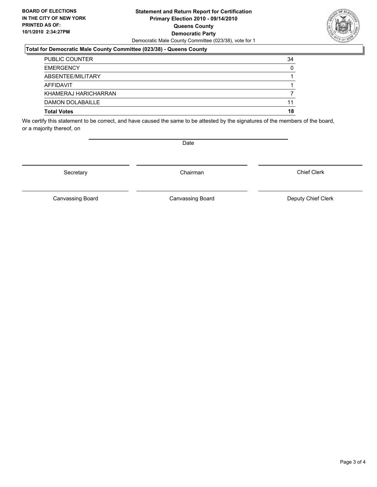## **Statement and Return Report for Certification Primary Election 2010 - 09/14/2010 Queens County Democratic Party** Democratic Male County Committee (023/38), vote for 1

#### **Total for Democratic Male County Committee (023/38) - Queens County**

| <b>PUBLIC COUNTER</b> | 34 |
|-----------------------|----|
| <b>EMERGENCY</b>      | 0  |
| ABSENTEE/MILITARY     |    |
| AFFIDAVIT             |    |
| KHAMERAJ HARICHARRAN  |    |
| DAMON DOLABAILLE      | 11 |
| <b>Total Votes</b>    | 18 |

We certify this statement to be correct, and have caused the same to be attested by the signatures of the members of the board, or a majority thereof, on

Secretary **Chairman** 

Canvassing Board **Canvassing Board** Canvassing Board **Deputy Chief Clerk** 

Canvassing Board

Chief Clerk

Page 3 of 4

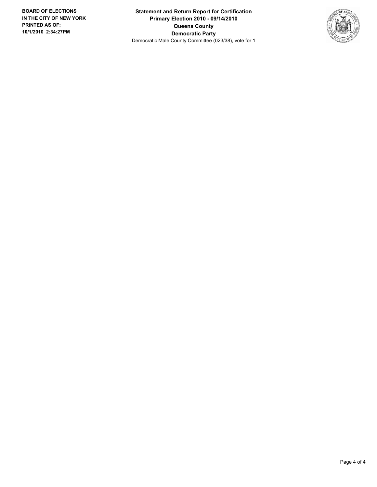**Statement and Return Report for Certification Primary Election 2010 - 09/14/2010 Queens County Democratic Party** Democratic Male County Committee (023/38), vote for 1

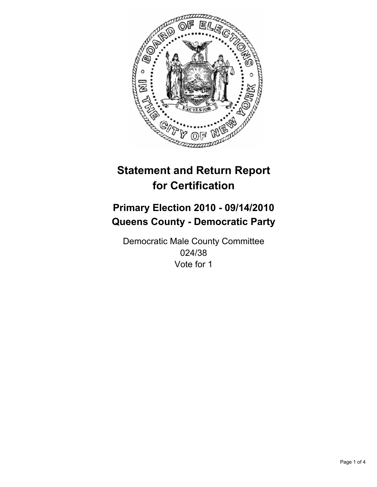

# **Primary Election 2010 - 09/14/2010 Queens County - Democratic Party**

Democratic Male County Committee 024/38 Vote for 1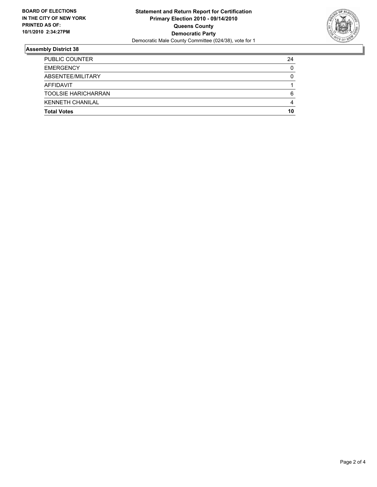

| <b>PUBLIC COUNTER</b>      | 24 |
|----------------------------|----|
| <b>EMERGENCY</b>           | 0  |
| ABSENTEE/MILITARY          | 0  |
| AFFIDAVIT                  |    |
| <b>TOOLSIE HARICHARRAN</b> | 6  |
| <b>KENNETH CHANILAL</b>    | 4  |
| <b>Total Votes</b>         | 10 |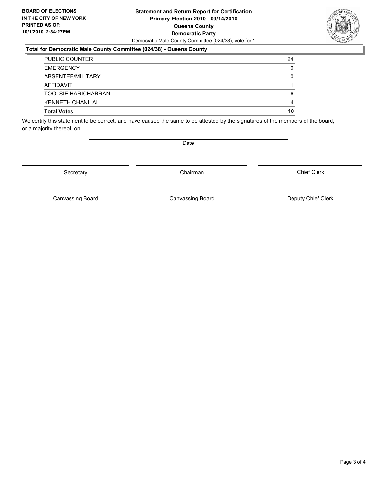## **Statement and Return Report for Certification Primary Election 2010 - 09/14/2010 Queens County Democratic Party** Democratic Male County Committee (024/38), vote for 1

#### **Total for Democratic Male County Committee (024/38) - Queens County**

| <b>PUBLIC COUNTER</b>      | 24 |
|----------------------------|----|
| <b>EMERGENCY</b>           | 0  |
| ABSENTEE/MILITARY          | 0  |
| AFFIDAVIT                  |    |
| <b>TOOLSIE HARICHARRAN</b> | 6  |
| <b>KENNETH CHANILAL</b>    | 4  |
| <b>Total Votes</b>         | 10 |

We certify this statement to be correct, and have caused the same to be attested by the signatures of the members of the board, or a majority thereof, on

Secretary **Chairman** 

Canvassing Board **Canvassing Board** Canvassing Board **Deputy Chief Clerk** 

Canvassing Board

Chief Clerk

Page 3 of 4

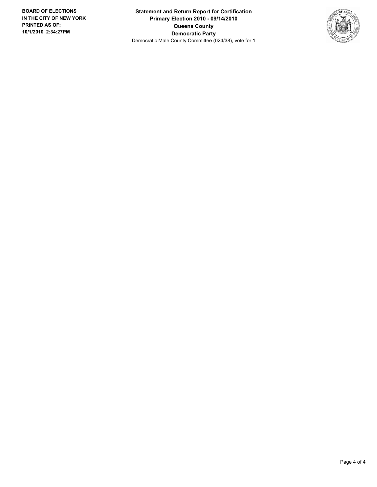**Statement and Return Report for Certification Primary Election 2010 - 09/14/2010 Queens County Democratic Party** Democratic Male County Committee (024/38), vote for 1

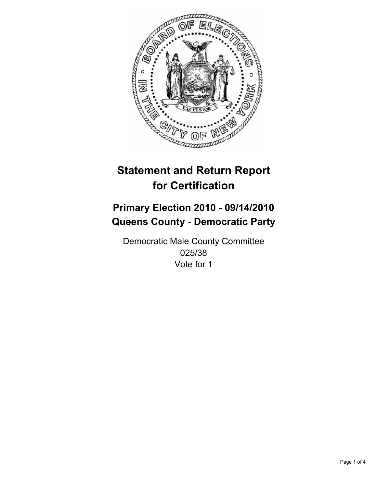

# **Primary Election 2010 - 09/14/2010 Queens County - Democratic Party**

Democratic Male County Committee 025/38 Vote for 1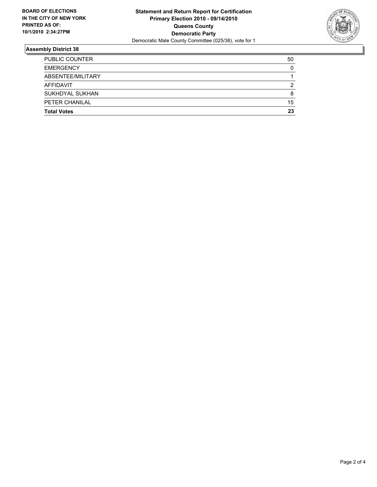

| <b>Total Votes</b>    | 23 |
|-----------------------|----|
| PETER CHANILAL        | 15 |
| SUKHDYAL SUKHAN       | 8  |
| AFFIDAVIT             | 2  |
| ABSENTEE/MILITARY     | 1  |
| <b>EMERGENCY</b>      | 0  |
| <b>PUBLIC COUNTER</b> | 50 |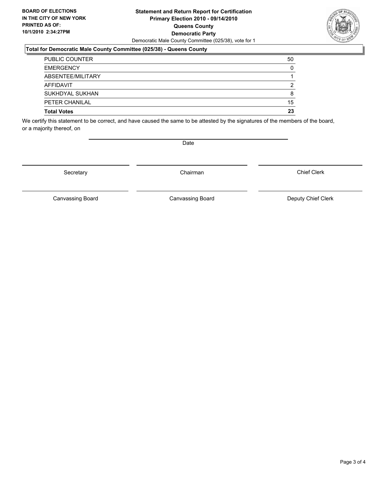## **Statement and Return Report for Certification Primary Election 2010 - 09/14/2010 Queens County Democratic Party** Democratic Male County Committee (025/38), vote for 1

#### **Total for Democratic Male County Committee (025/38) - Queens County**

| <b>PUBLIC COUNTER</b> | 50 |
|-----------------------|----|
| <b>EMERGENCY</b>      | 0  |
| ABSENTEE/MILITARY     |    |
| AFFIDAVIT             | 2  |
| SUKHDYAL SUKHAN       | 8  |
| PETER CHANILAL        | 15 |
| <b>Total Votes</b>    | 23 |

We certify this statement to be correct, and have caused the same to be attested by the signatures of the members of the board, or a majority thereof, on

Secretary **Chairman** 

Canvassing Board

Canvassing Board **Canvassing Board** Canvassing Board **Deputy Chief Clerk** 

Chief Clerk

Page 3 of 4

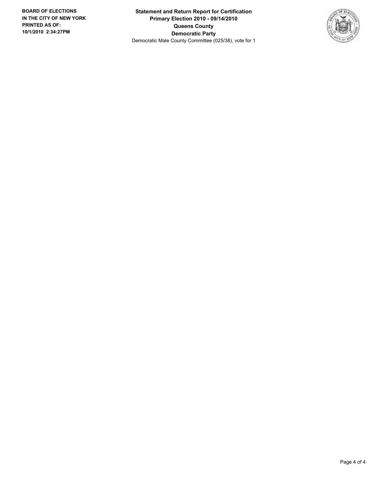**Statement and Return Report for Certification Primary Election 2010 - 09/14/2010 Queens County Democratic Party** Democratic Male County Committee (025/38), vote for 1

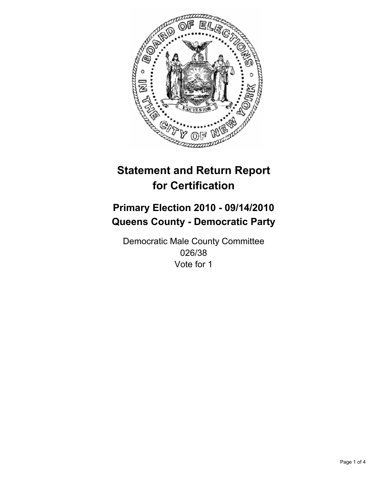

# **Primary Election 2010 - 09/14/2010 Queens County - Democratic Party**

Democratic Male County Committee 026/38 Vote for 1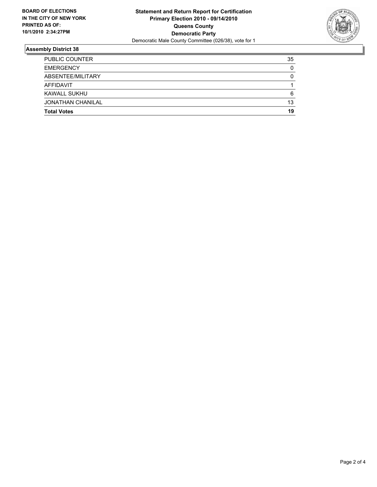

| <b>Total Votes</b>       | 19 |
|--------------------------|----|
| <b>JONATHAN CHANILAL</b> | 13 |
| KAWALL SUKHU             | 6  |
| AFFIDAVIT                |    |
| ABSENTEE/MILITARY        | 0  |
| <b>EMERGENCY</b>         | 0  |
| PUBLIC COUNTER           | 35 |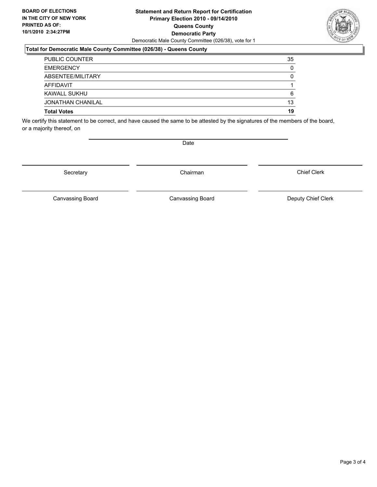## **Statement and Return Report for Certification Primary Election 2010 - 09/14/2010 Queens County Democratic Party** Democratic Male County Committee (026/38), vote for 1

#### **Total for Democratic Male County Committee (026/38) - Queens County**

| <b>Total Votes</b>       | 19 |
|--------------------------|----|
| <b>JONATHAN CHANILAL</b> | 13 |
| KAWALL SUKHU             | 6  |
| AFFIDAVIT                |    |
| ABSENTEE/MILITARY        | 0  |
| <b>EMERGENCY</b>         | 0  |
| <b>PUBLIC COUNTER</b>    | 35 |

We certify this statement to be correct, and have caused the same to be attested by the signatures of the members of the board, or a majority thereof, on

Secretary **Chairman** 

Canvassing Board

Canvassing Board **Canvassing Board** Canvassing Board **Deputy Chief Clerk** 

Chief Clerk

Page 3 of 4

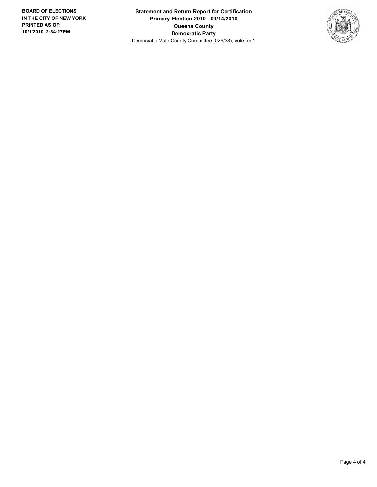**Statement and Return Report for Certification Primary Election 2010 - 09/14/2010 Queens County Democratic Party** Democratic Male County Committee (026/38), vote for 1

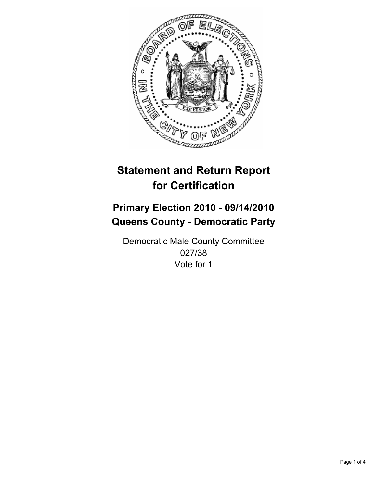

# **Primary Election 2010 - 09/14/2010 Queens County - Democratic Party**

Democratic Male County Committee 027/38 Vote for 1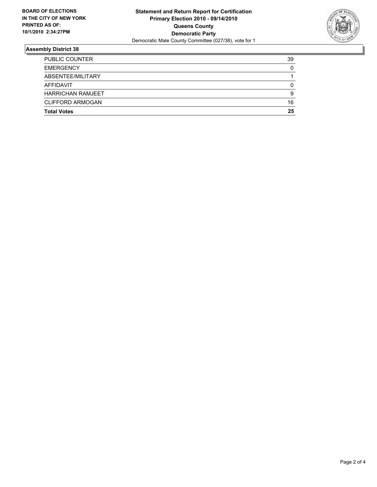

| <b>PUBLIC COUNTER</b>    | 39 |
|--------------------------|----|
| <b>EMERGENCY</b>         | 0  |
| ABSENTEE/MILITARY        |    |
| AFFIDAVIT                | 0  |
| <b>HARRICHAN RAMJEET</b> | 9  |
| <b>CLIFFORD ARMOGAN</b>  | 16 |
| <b>Total Votes</b>       | 25 |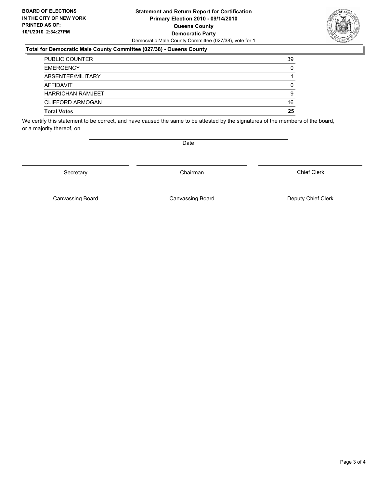## **Statement and Return Report for Certification Primary Election 2010 - 09/14/2010 Queens County Democratic Party** Democratic Male County Committee (027/38), vote for 1

#### **Total for Democratic Male County Committee (027/38) - Queens County**

| <b>Total Votes</b>       | 25 |
|--------------------------|----|
| <b>CLIFFORD ARMOGAN</b>  | 16 |
| <b>HARRICHAN RAMJEET</b> | 9  |
| AFFIDAVIT                | 0  |
| ABSENTEE/MILITARY        | 1  |
| <b>EMERGENCY</b>         | 0  |
| <b>PUBLIC COUNTER</b>    | 39 |

We certify this statement to be correct, and have caused the same to be attested by the signatures of the members of the board, or a majority thereof, on

Secretary **Chairman** 

Date

Canvassing Board **Canvassing Board** Canvassing Board **Deputy Chief Clerk** 

Canvassing Board

Chief Clerk

Page 3 of 4

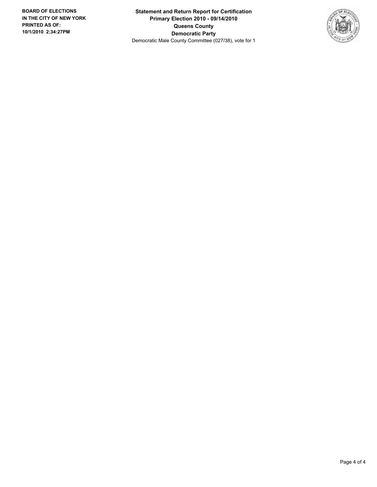**Statement and Return Report for Certification Primary Election 2010 - 09/14/2010 Queens County Democratic Party** Democratic Male County Committee (027/38), vote for 1

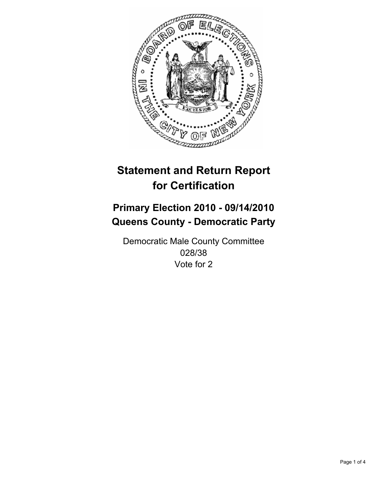

## **Primary Election 2010 - 09/14/2010 Queens County - Democratic Party**

Democratic Male County Committee 028/38 Vote for 2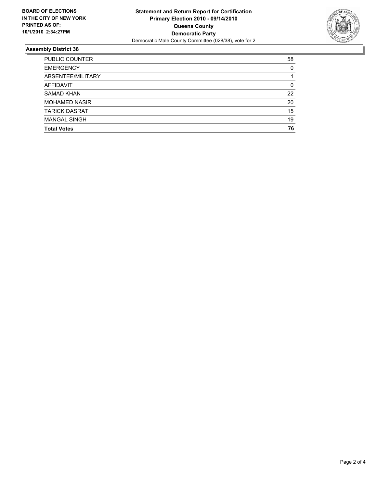

| <b>PUBLIC COUNTER</b> | 58 |
|-----------------------|----|
| <b>EMERGENCY</b>      | 0  |
| ABSENTEE/MILITARY     | 1  |
| <b>AFFIDAVIT</b>      | 0  |
| <b>SAMAD KHAN</b>     | 22 |
| <b>MOHAMED NASIR</b>  | 20 |
| <b>TARICK DASRAT</b>  | 15 |
| <b>MANGAL SINGH</b>   | 19 |
| <b>Total Votes</b>    | 76 |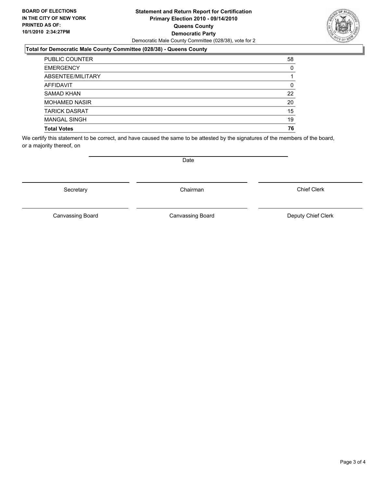## **Statement and Return Report for Certification Primary Election 2010 - 09/14/2010 Queens County Democratic Party** Democratic Male County Committee (028/38), vote for 2

## **Total for Democratic Male County Committee (028/38) - Queens County**

| <b>PUBLIC COUNTER</b> | 58 |
|-----------------------|----|
| <b>EMERGENCY</b>      | 0  |
| ABSENTEE/MILITARY     |    |
| <b>AFFIDAVIT</b>      | 0  |
| SAMAD KHAN            | 22 |
| <b>MOHAMED NASIR</b>  | 20 |
| <b>TARICK DASRAT</b>  | 15 |
| <b>MANGAL SINGH</b>   | 19 |
| <b>Total Votes</b>    | 76 |

We certify this statement to be correct, and have caused the same to be attested by the signatures of the members of the board, or a majority thereof, on

Secretary **Chairman** 

Canvassing Board

Canvassing Board **Canvassing Board** Canvassing Board **Deputy Chief Clerk** 

Chief Clerk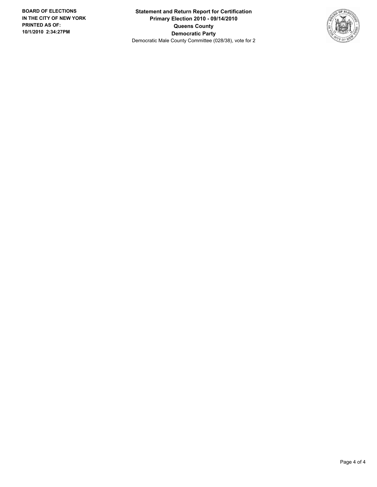**Statement and Return Report for Certification Primary Election 2010 - 09/14/2010 Queens County Democratic Party** Democratic Male County Committee (028/38), vote for 2

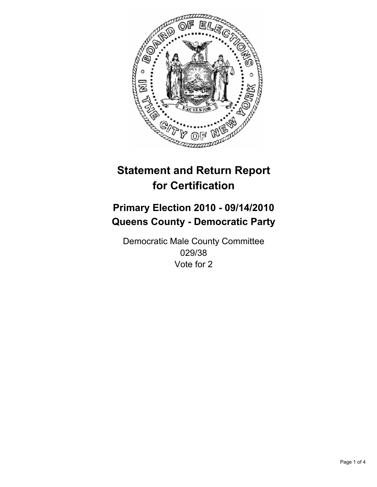

## **Primary Election 2010 - 09/14/2010 Queens County - Democratic Party**

Democratic Male County Committee 029/38 Vote for 2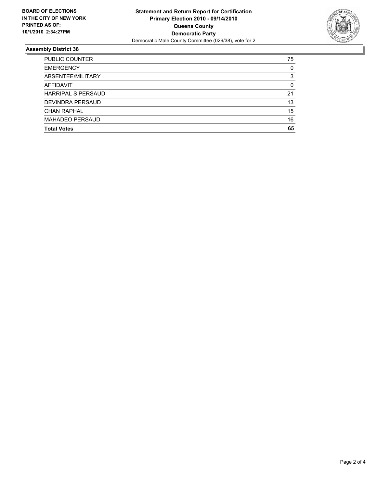

| <b>Total Votes</b>        | 65 |
|---------------------------|----|
| <b>MAHADEO PERSAUD</b>    | 16 |
| <b>CHAN RAPHAL</b>        | 15 |
| <b>DEVINDRA PERSAUD</b>   | 13 |
| <b>HARRIPAL S PERSAUD</b> | 21 |
| AFFIDAVIT                 | 0  |
| ABSENTEE/MILITARY         | 3  |
| <b>EMERGENCY</b>          | 0  |
| PUBLIC COUNTER            | 75 |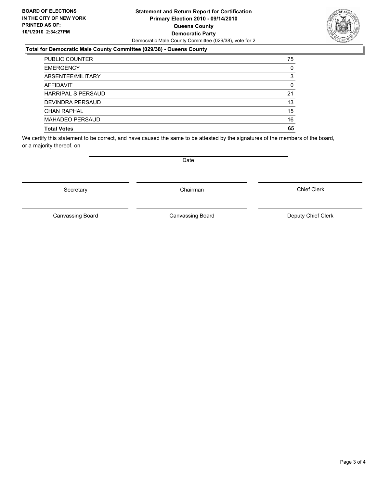## **Statement and Return Report for Certification Primary Election 2010 - 09/14/2010 Queens County Democratic Party** Democratic Male County Committee (029/38), vote for 2

## **Total for Democratic Male County Committee (029/38) - Queens County**

| <b>PUBLIC COUNTER</b>     | 75       |
|---------------------------|----------|
| <b>EMERGENCY</b>          | 0        |
| ABSENTEE/MILITARY         | 3        |
| <b>AFFIDAVIT</b>          | $\Omega$ |
| <b>HARRIPAL S PERSAUD</b> | 21       |
| <b>DEVINDRA PERSAUD</b>   | 13       |
| <b>CHAN RAPHAL</b>        | 15       |
| <b>MAHADEO PERSAUD</b>    | 16       |
| <b>Total Votes</b>        | 65       |

We certify this statement to be correct, and have caused the same to be attested by the signatures of the members of the board, or a majority thereof, on

Secretary **Chairman** 

Canvassing Board **Canvassing Board** Canvassing Board **Deputy Chief Clerk** 

Chief Clerk

Page 3 of 4

Canvassing Board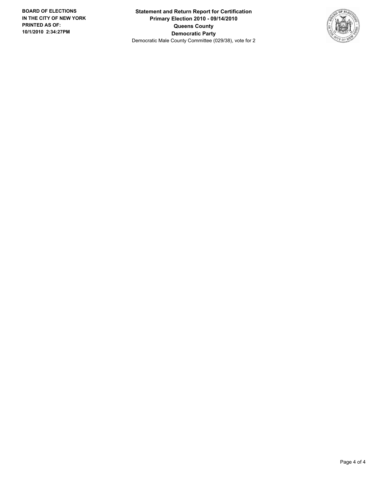**Statement and Return Report for Certification Primary Election 2010 - 09/14/2010 Queens County Democratic Party** Democratic Male County Committee (029/38), vote for 2

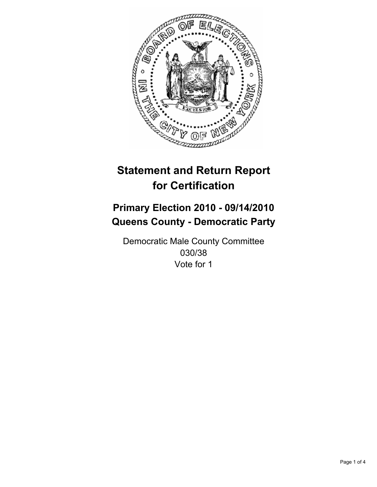

## **Primary Election 2010 - 09/14/2010 Queens County - Democratic Party**

Democratic Male County Committee 030/38 Vote for 1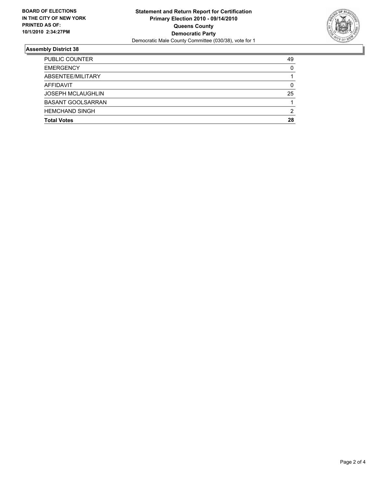

| <b>Total Votes</b>       | 28 |
|--------------------------|----|
| <b>HEMCHAND SINGH</b>    | 2  |
| <b>BASANT GOOLSARRAN</b> |    |
| <b>JOSEPH MCLAUGHLIN</b> | 25 |
| <b>AFFIDAVIT</b>         | 0  |
| ABSENTEE/MILITARY        |    |
| <b>EMERGENCY</b>         | 0  |
| <b>PUBLIC COUNTER</b>    | 49 |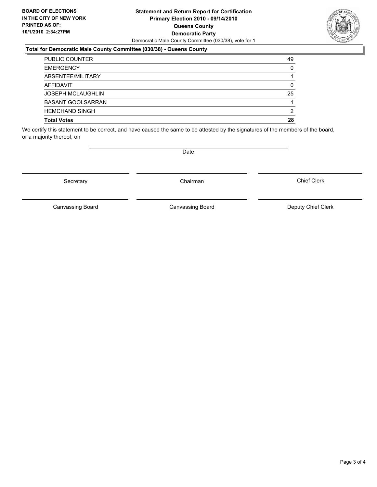## **Statement and Return Report for Certification Primary Election 2010 - 09/14/2010 Queens County Democratic Party** Democratic Male County Committee (030/38), vote for 1

## **Total for Democratic Male County Committee (030/38) - Queens County**

| <b>PUBLIC COUNTER</b>    | 49 |
|--------------------------|----|
| <b>EMERGENCY</b>         | 0  |
| ABSENTEE/MILITARY        |    |
| <b>AFFIDAVIT</b>         | 0  |
| <b>JOSEPH MCLAUGHLIN</b> | 25 |
| <b>BASANT GOOLSARRAN</b> |    |
| <b>HEMCHAND SINGH</b>    | 2  |
| <b>Total Votes</b>       | 28 |

We certify this statement to be correct, and have caused the same to be attested by the signatures of the members of the board, or a majority thereof, on

Secretary **Chairman** 

Canvassing Board Canvassing Board Canvassing Canvassing Board Deputy Chief Clerk

Chief Clerk

Canvassing Board

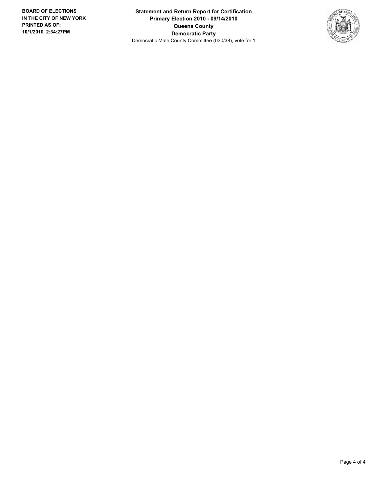**Statement and Return Report for Certification Primary Election 2010 - 09/14/2010 Queens County Democratic Party** Democratic Male County Committee (030/38), vote for 1

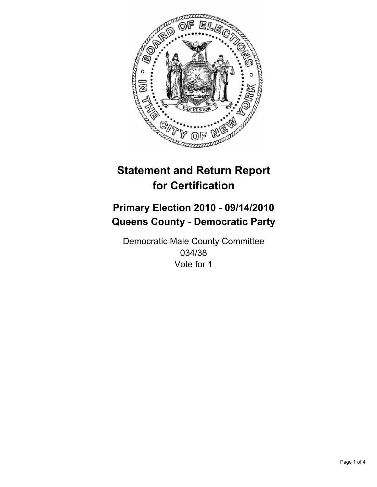

## **Primary Election 2010 - 09/14/2010 Queens County - Democratic Party**

Democratic Male County Committee 034/38 Vote for 1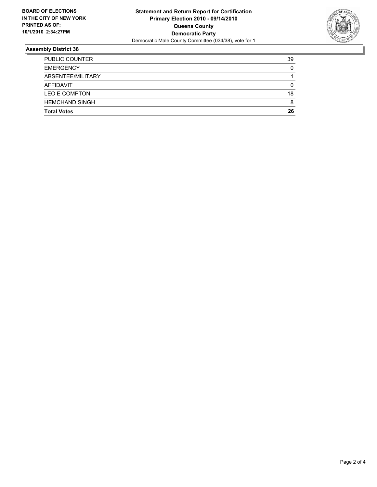

| <b>Total Votes</b>    | 26 |
|-----------------------|----|
| <b>HEMCHAND SINGH</b> | 8  |
| <b>LEO E COMPTON</b>  | 18 |
| AFFIDAVIT             | 0  |
| ABSENTEE/MILITARY     |    |
| <b>EMERGENCY</b>      | 0  |
| PUBLIC COUNTER        | 39 |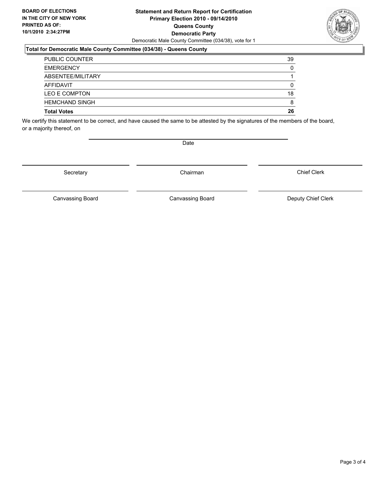## **Statement and Return Report for Certification Primary Election 2010 - 09/14/2010 Queens County Democratic Party** Democratic Male County Committee (034/38), vote for 1

#### **Total for Democratic Male County Committee (034/38) - Queens County**

| AFFIDAVIT                              | 0       |
|----------------------------------------|---------|
| LEO E COMPTON<br><b>HEMCHAND SINGH</b> | 18<br>8 |
| <b>Total Votes</b>                     | 26      |

We certify this statement to be correct, and have caused the same to be attested by the signatures of the members of the board, or a majority thereof, on

Secretary **Chairman** 

Canvassing Board **Canvassing Board** Canvassing Board **Deputy Chief Clerk** 

Canvassing Board

Chief Clerk

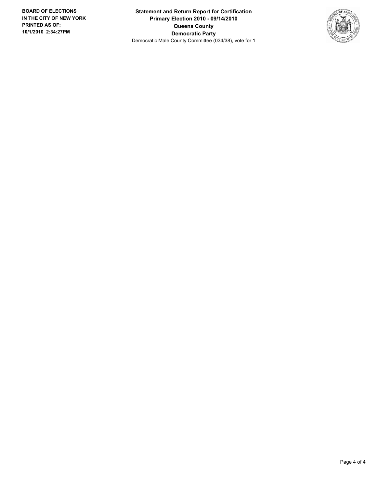**Statement and Return Report for Certification Primary Election 2010 - 09/14/2010 Queens County Democratic Party** Democratic Male County Committee (034/38), vote for 1

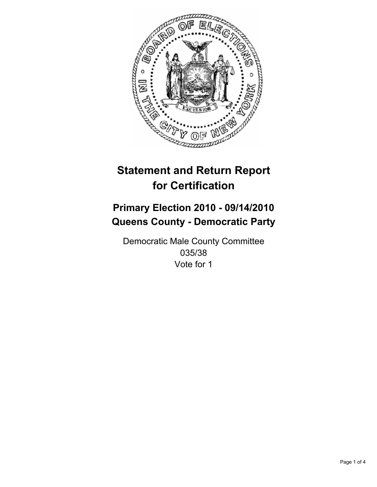

## **Primary Election 2010 - 09/14/2010 Queens County - Democratic Party**

Democratic Male County Committee 035/38 Vote for 1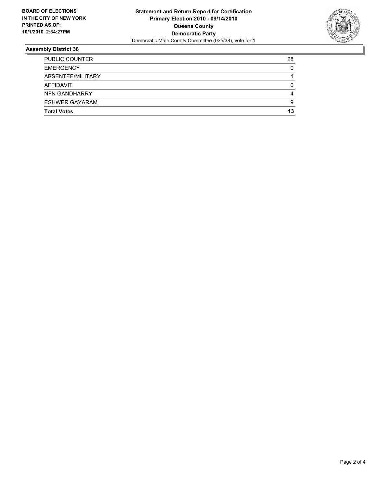

| <b>Total Votes</b>    | 13 |
|-----------------------|----|
| <b>ESHWER GAYARAM</b> | 9  |
| NFN GANDHARRY         | 4  |
| AFFIDAVIT             | 0  |
| ABSENTEE/MILITARY     |    |
| <b>EMERGENCY</b>      | 0  |
| <b>PUBLIC COUNTER</b> | 28 |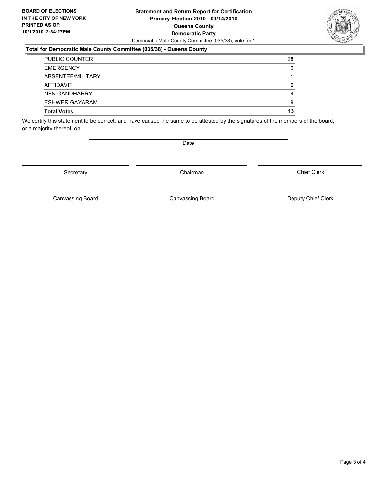## **Statement and Return Report for Certification Primary Election 2010 - 09/14/2010 Queens County Democratic Party** Democratic Male County Committee (035/38), vote for 1

#### **Total for Democratic Male County Committee (035/38) - Queens County**

| <b>Total Votes</b>    | 13 |
|-----------------------|----|
| <b>ESHWER GAYARAM</b> | 9  |
| <b>NFN GANDHARRY</b>  | 4  |
| AFFIDAVIT             | 0  |
| ABSENTEE/MILITARY     |    |
| <b>EMERGENCY</b>      | 0  |
| <b>PUBLIC COUNTER</b> | 28 |

We certify this statement to be correct, and have caused the same to be attested by the signatures of the members of the board, or a majority thereof, on

Secretary **Chairman** 

Canvassing Board

Canvassing Board **Canvassing Board** Canvassing Board **Deputy Chief Clerk** 

Chief Clerk

Page 3 of 4

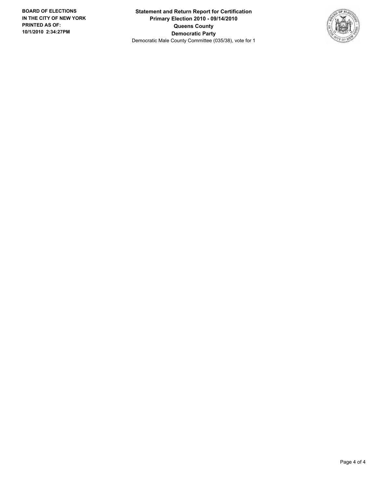**Statement and Return Report for Certification Primary Election 2010 - 09/14/2010 Queens County Democratic Party** Democratic Male County Committee (035/38), vote for 1

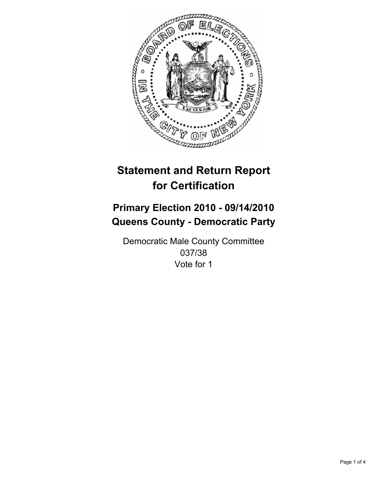

## **Primary Election 2010 - 09/14/2010 Queens County - Democratic Party**

Democratic Male County Committee 037/38 Vote for 1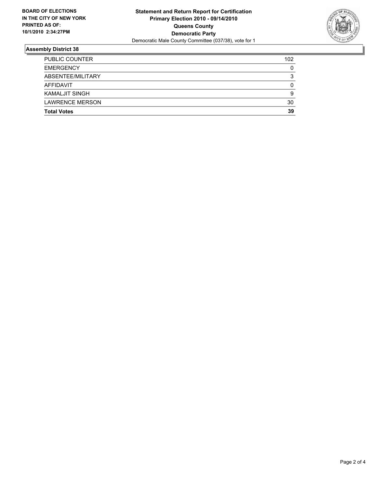

| <b>Total Votes</b>     | 39  |
|------------------------|-----|
| <b>LAWRENCE MERSON</b> | 30  |
| <b>KAMALJIT SINGH</b>  | 9   |
| AFFIDAVIT              | 0   |
| ABSENTEE/MILITARY      | 3   |
| <b>EMERGENCY</b>       | 0   |
| <b>PUBLIC COUNTER</b>  | 102 |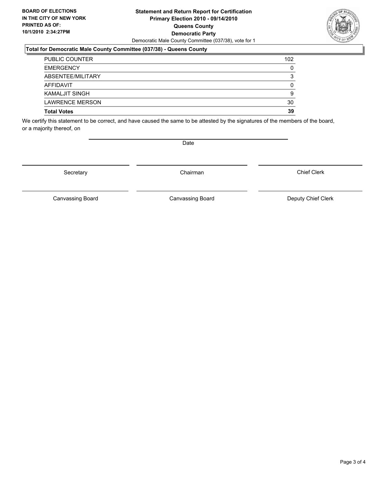## **Statement and Return Report for Certification Primary Election 2010 - 09/14/2010 Queens County Democratic Party** Democratic Male County Committee (037/38), vote for 1

#### **Total for Democratic Male County Committee (037/38) - Queens County**

| <b>PUBLIC COUNTER</b>  | 102 |
|------------------------|-----|
| <b>EMERGENCY</b>       | 0   |
| ABSENTEE/MILITARY      | 3   |
| AFFIDAVIT              | 0   |
| <b>KAMALJIT SINGH</b>  | 9   |
| <b>LAWRENCE MERSON</b> | 30  |
| <b>Total Votes</b>     | 39  |

We certify this statement to be correct, and have caused the same to be attested by the signatures of the members of the board, or a majority thereof, on

Secretary **Chairman** 

Canvassing Board **Canvassing Board** Canvassing Board **Deputy Chief Clerk** 

Canvassing Board

Chief Clerk

Page 3 of 4

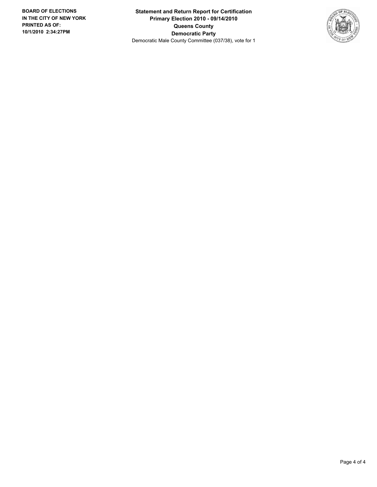**Statement and Return Report for Certification Primary Election 2010 - 09/14/2010 Queens County Democratic Party** Democratic Male County Committee (037/38), vote for 1

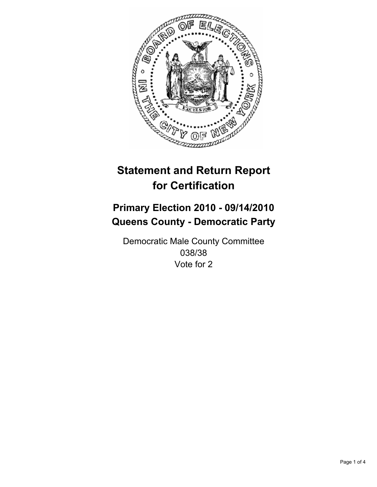

## **Primary Election 2010 - 09/14/2010 Queens County - Democratic Party**

Democratic Male County Committee 038/38 Vote for 2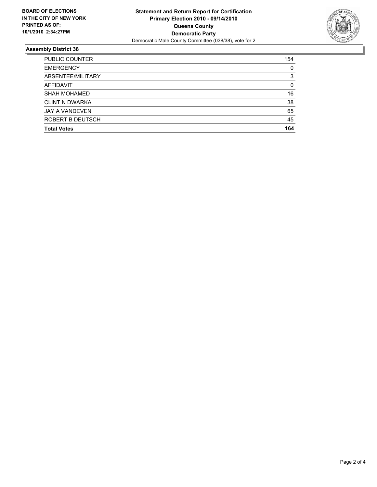

| <b>PUBLIC COUNTER</b> | 154 |
|-----------------------|-----|
| <b>EMERGENCY</b>      | 0   |
| ABSENTEE/MILITARY     | 3   |
| <b>AFFIDAVIT</b>      | 0   |
| <b>SHAH MOHAMED</b>   | 16  |
| <b>CLINT N DWARKA</b> | 38  |
| JAY A VANDEVEN        | 65  |
| ROBERT B DEUTSCH      | 45  |
| <b>Total Votes</b>    | 164 |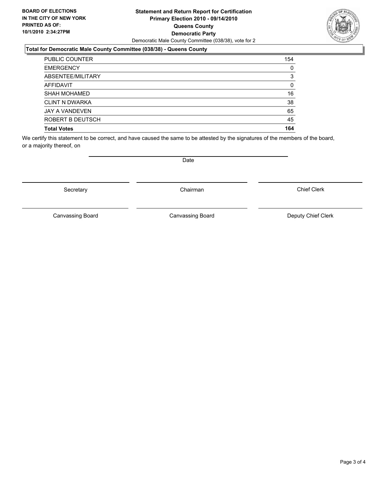## **Statement and Return Report for Certification Primary Election 2010 - 09/14/2010 Queens County Democratic Party** Democratic Male County Committee (038/38), vote for 2

## **Total for Democratic Male County Committee (038/38) - Queens County**

| <b>PUBLIC COUNTER</b> | 154 |
|-----------------------|-----|
| <b>EMERGENCY</b>      | 0   |
| ABSENTEE/MILITARY     | 3   |
| <b>AFFIDAVIT</b>      | 0   |
| <b>SHAH MOHAMED</b>   | 16  |
| <b>CLINT N DWARKA</b> | 38  |
| JAY A VANDEVEN        | 65  |
| ROBERT B DEUTSCH      | 45  |
| <b>Total Votes</b>    | 164 |

We certify this statement to be correct, and have caused the same to be attested by the signatures of the members of the board, or a majority thereof, on

Secretary **Chairman** 

Canvassing Board

Canvassing Board **Canvassing Board** Canvassing Board **Deputy Chief Clerk** 

Chief Clerk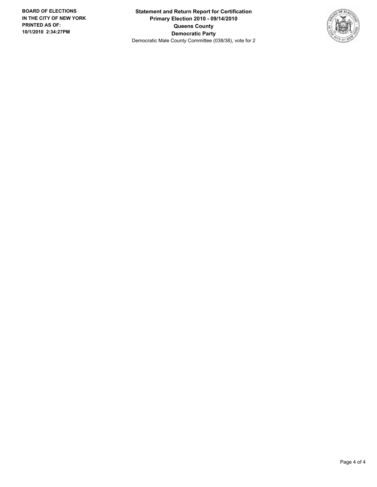**Statement and Return Report for Certification Primary Election 2010 - 09/14/2010 Queens County Democratic Party** Democratic Male County Committee (038/38), vote for 2

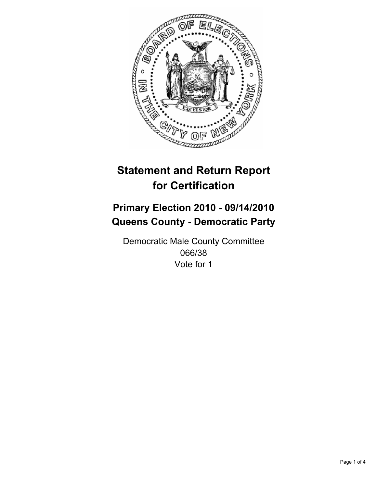

## **Primary Election 2010 - 09/14/2010 Queens County - Democratic Party**

Democratic Male County Committee 066/38 Vote for 1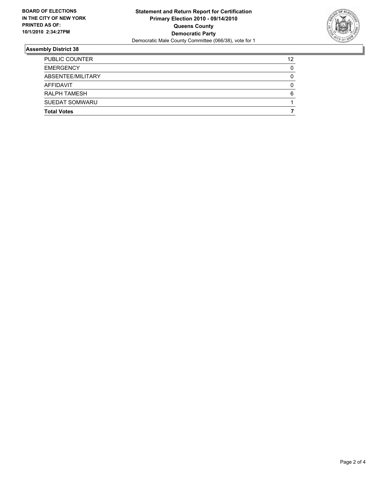

| <b>Total Votes</b>    |    |
|-----------------------|----|
| <b>SUEDAT SOMWARU</b> |    |
| <b>RALPH TAMESH</b>   | 6  |
| AFFIDAVIT             | 0  |
| ABSENTEE/MILITARY     | 0  |
| <b>EMERGENCY</b>      | 0  |
| PUBLIC COUNTER        | 12 |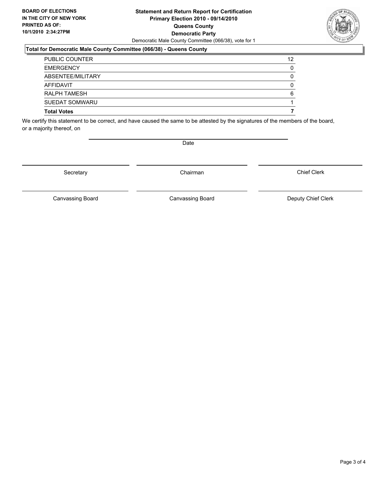## **Statement and Return Report for Certification Primary Election 2010 - 09/14/2010 Queens County Democratic Party** Democratic Male County Committee (066/38), vote for 1

#### **Total for Democratic Male County Committee (066/38) - Queens County**

| <b>Total Votes</b>    |    |
|-----------------------|----|
| <b>SUEDAT SOMWARU</b> |    |
| RALPH TAMESH          | 6  |
| AFFIDAVIT             | 0  |
| ABSENTEE/MILITARY     | 0  |
| <b>EMERGENCY</b>      | 0  |
| <b>PUBLIC COUNTER</b> | 12 |

We certify this statement to be correct, and have caused the same to be attested by the signatures of the members of the board, or a majority thereof, on

Secretary **Chairman** 

Canvassing Board

Canvassing Board **Canvassing Board** Canvassing Board **Deputy Chief Clerk** 

Chief Clerk

Page 3 of 4

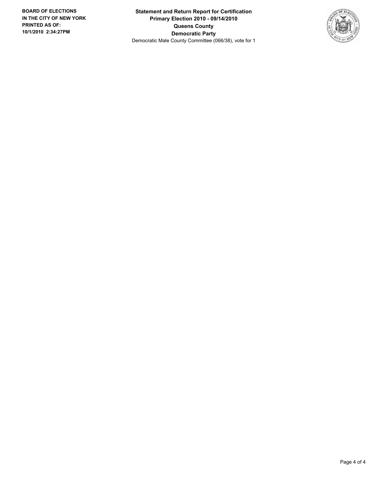**Statement and Return Report for Certification Primary Election 2010 - 09/14/2010 Queens County Democratic Party** Democratic Male County Committee (066/38), vote for 1

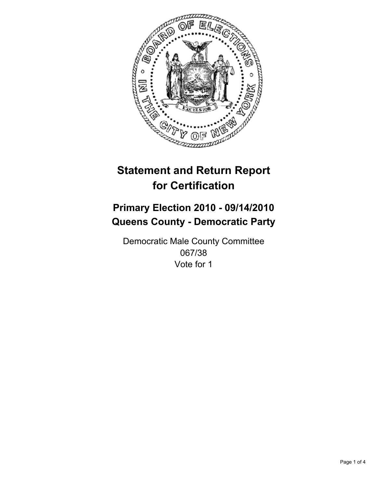

## **Primary Election 2010 - 09/14/2010 Queens County - Democratic Party**

Democratic Male County Committee 067/38 Vote for 1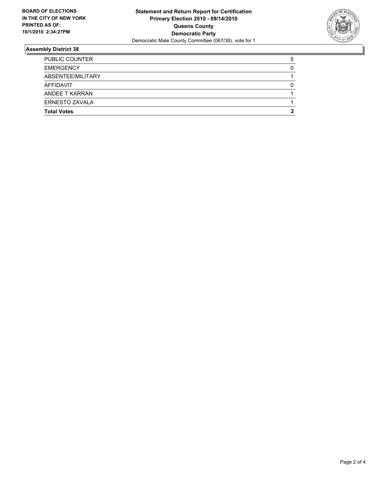

| <b>Total Votes</b>    | າ |
|-----------------------|---|
| <b>ERNESTO ZAVALA</b> |   |
| ANDEE T KARRAN        |   |
| AFFIDAVIT             | 0 |
| ABSENTEE/MILITARY     |   |
| <b>EMERGENCY</b>      | 0 |
| <b>PUBLIC COUNTER</b> | 5 |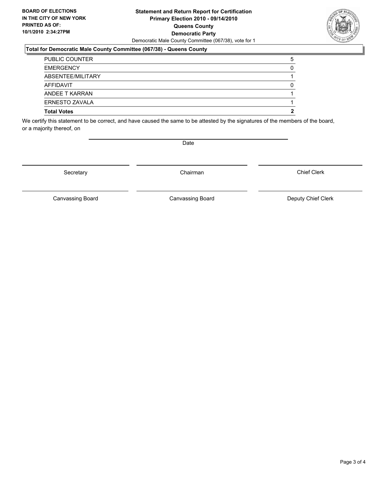## **Statement and Return Report for Certification Primary Election 2010 - 09/14/2010 Queens County Democratic Party** Democratic Male County Committee (067/38), vote for 1

### **Total for Democratic Male County Committee (067/38) - Queens County**

| <b>Total Votes</b>    | 2 |
|-----------------------|---|
| <b>ERNESTO ZAVALA</b> |   |
| ANDEE T KARRAN        |   |
| AFFIDAVIT             | 0 |
| ABSENTEE/MILITARY     |   |
| <b>EMERGENCY</b>      | 0 |
| <b>PUBLIC COUNTER</b> | 5 |

We certify this statement to be correct, and have caused the same to be attested by the signatures of the members of the board, or a majority thereof, on

Secretary **Chairman** 

Canvassing Board

Canvassing Board **Canvassing Board** Canvassing Board **Deputy Chief Clerk** 

Chief Clerk

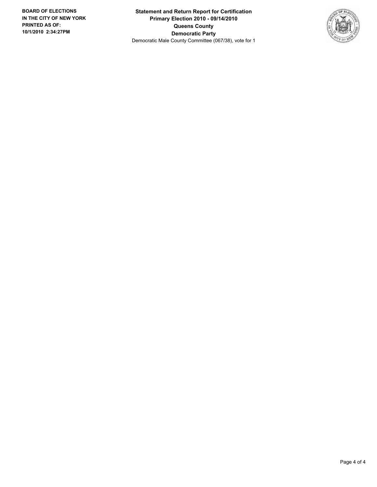**Statement and Return Report for Certification Primary Election 2010 - 09/14/2010 Queens County Democratic Party** Democratic Male County Committee (067/38), vote for 1

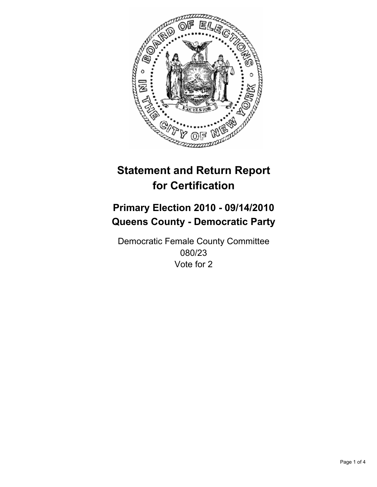

## **Primary Election 2010 - 09/14/2010 Queens County - Democratic Party**

Democratic Female County Committee 080/23 Vote for 2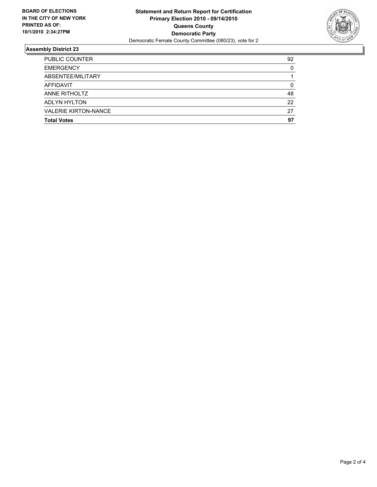

| <b>Total Votes</b>          | 97 |
|-----------------------------|----|
| <b>VALERIE KIRTON-NANCE</b> | 27 |
| <b>ADLYN HYLTON</b>         | 22 |
| <b>ANNE RITHOLTZ</b>        | 48 |
| AFFIDAVIT                   | 0  |
| ABSENTEE/MILITARY           |    |
| <b>EMERGENCY</b>            | 0  |
| <b>PUBLIC COUNTER</b>       | 92 |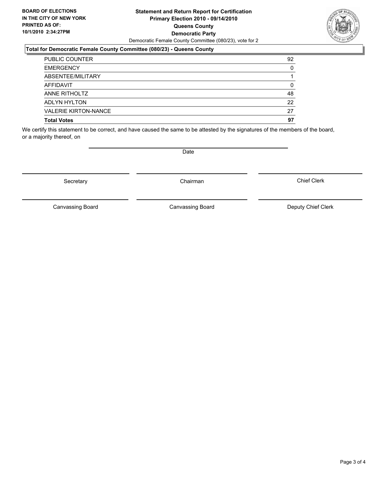#### **Statement and Return Report for Certification Primary Election 2010 - 09/14/2010 Queens County Democratic Party** Democratic Female County Committee (080/23), vote for 2

#### **Total for Democratic Female County Committee (080/23) - Queens County**

| <b>PUBLIC COUNTER</b>       | 92 |
|-----------------------------|----|
| <b>EMERGENCY</b>            | 0  |
| ABSENTEE/MILITARY           |    |
| AFFIDAVIT                   | 0  |
| <b>ANNE RITHOLTZ</b>        | 48 |
| <b>ADLYN HYLTON</b>         | 22 |
| <b>VALERIE KIRTON-NANCE</b> | 27 |
| <b>Total Votes</b>          | 97 |

We certify this statement to be correct, and have caused the same to be attested by the signatures of the members of the board, or a majority thereof, on

Secretary **Chairman** 

Canvassing Board **Canvassing Board** Canvassing Board **Deputy Chief Clerk** 

Chief Clerk

Canvassing Board



**Date**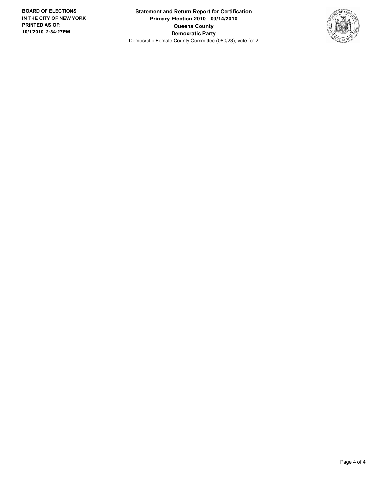**Statement and Return Report for Certification Primary Election 2010 - 09/14/2010 Queens County Democratic Party** Democratic Female County Committee (080/23), vote for 2

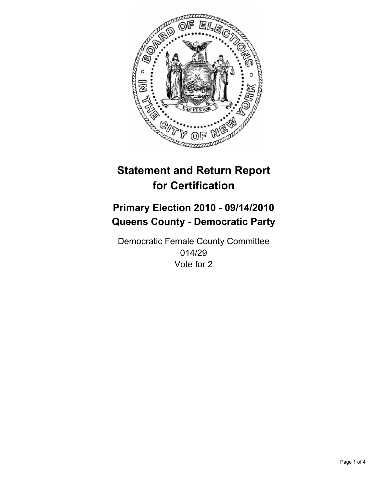

## **Primary Election 2010 - 09/14/2010 Queens County - Democratic Party**

Democratic Female County Committee 014/29 Vote for 2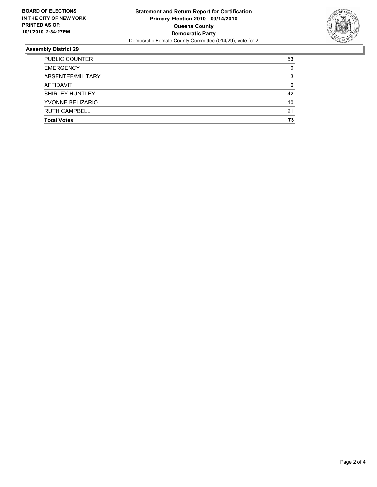

| <b>Total Votes</b>     | 73 |
|------------------------|----|
| <b>RUTH CAMPBELL</b>   | 21 |
| YVONNE BELIZARIO       | 10 |
| <b>SHIRLEY HUNTLEY</b> | 42 |
| <b>AFFIDAVIT</b>       | 0  |
| ABSENTEE/MILITARY      | 3  |
| <b>EMERGENCY</b>       | 0  |
| <b>PUBLIC COUNTER</b>  | 53 |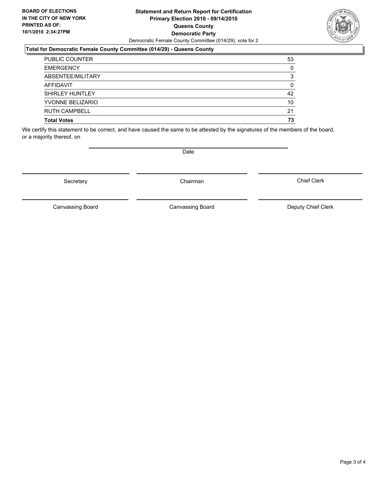#### **Statement and Return Report for Certification Primary Election 2010 - 09/14/2010 Queens County Democratic Party** Democratic Female County Committee (014/29), vote for 2

#### **Total for Democratic Female County Committee (014/29) - Queens County**

| <b>PUBLIC COUNTER</b> | 53 |
|-----------------------|----|
| <b>EMERGENCY</b>      | 0  |
| ABSENTEE/MILITARY     | 3  |
| AFFIDAVIT             | 0  |
| SHIRLEY HUNTLEY       | 42 |
| YVONNE BELIZARIO      | 10 |
| <b>RUTH CAMPBELL</b>  | 21 |
| <b>Total Votes</b>    | 73 |

We certify this statement to be correct, and have caused the same to be attested by the signatures of the members of the board, or a majority thereof, on

Secretary **Chairman** 

Canvassing Board

Canvassing Board **Canvassing Board** Canvassing Board **Deputy Chief Clerk** 

Chief Clerk



**Date**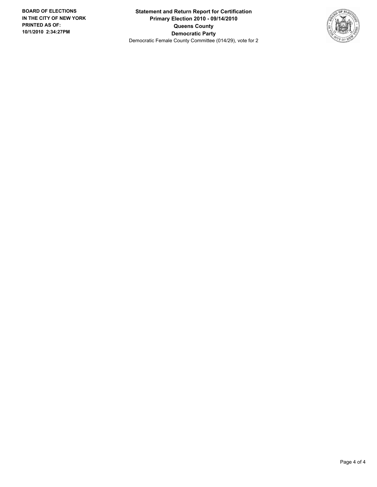**Statement and Return Report for Certification Primary Election 2010 - 09/14/2010 Queens County Democratic Party** Democratic Female County Committee (014/29), vote for 2

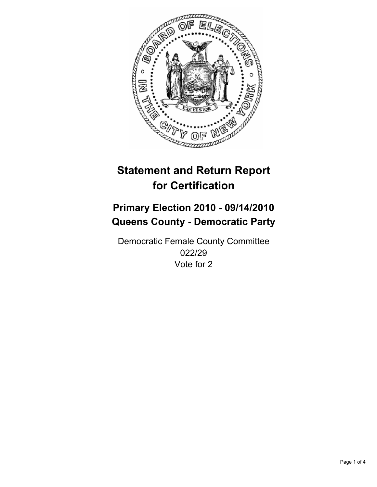

## **Primary Election 2010 - 09/14/2010 Queens County - Democratic Party**

Democratic Female County Committee 022/29 Vote for 2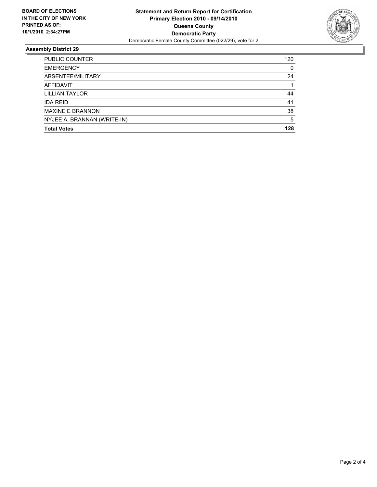

| <b>PUBLIC COUNTER</b>       | 120 |
|-----------------------------|-----|
| <b>EMERGENCY</b>            | 0   |
| ABSENTEE/MILITARY           | 24  |
| AFFIDAVIT                   |     |
| LILLIAN TAYLOR              | 44  |
| <b>IDA REID</b>             | 41  |
| <b>MAXINE E BRANNON</b>     | 38  |
| NYJEE A. BRANNAN (WRITE-IN) | 5   |
| <b>Total Votes</b>          | 128 |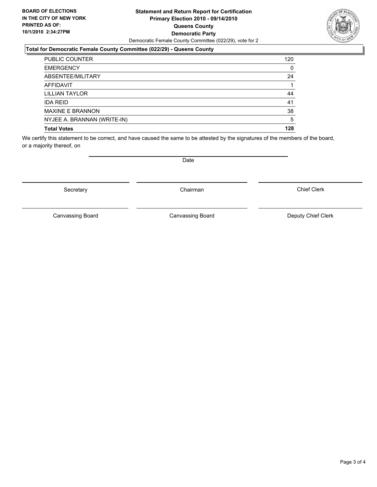#### **Statement and Return Report for Certification Primary Election 2010 - 09/14/2010 Queens County Democratic Party** Democratic Female County Committee (022/29), vote for 2

#### **Total for Democratic Female County Committee (022/29) - Queens County**

| PUBLIC COUNTER              | 120 |
|-----------------------------|-----|
| <b>EMERGENCY</b>            | 0   |
| ABSENTEE/MILITARY           | 24  |
| <b>AFFIDAVIT</b>            |     |
| <b>LILLIAN TAYLOR</b>       | 44  |
| IDA REID                    | 41  |
| <b>MAXINE E BRANNON</b>     | 38  |
| NYJEE A. BRANNAN (WRITE-IN) | 5   |
| <b>Total Votes</b>          | 128 |

We certify this statement to be correct, and have caused the same to be attested by the signatures of the members of the board, or a majority thereof, on

Secretary **Chairman** 

Canvassing Board

Date

Canvassing Board **Canvassing Board** Canvassing Board **Deputy Chief Clerk** 

Chief Clerk

Page 3 of 4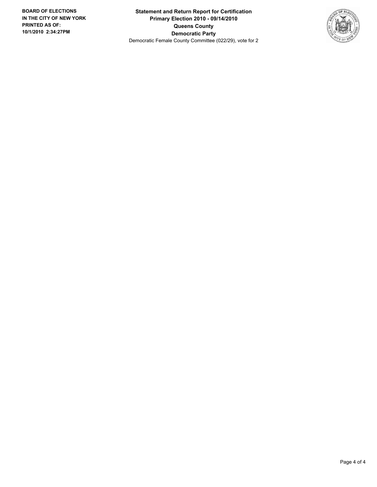**Statement and Return Report for Certification Primary Election 2010 - 09/14/2010 Queens County Democratic Party** Democratic Female County Committee (022/29), vote for 2

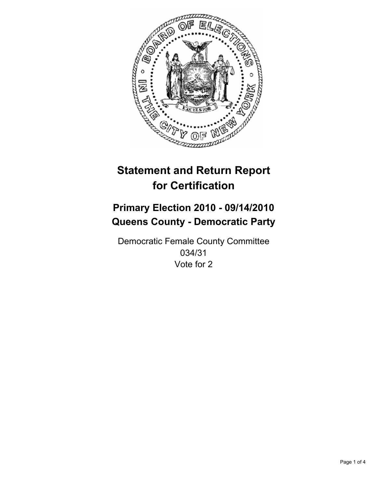

## **Primary Election 2010 - 09/14/2010 Queens County - Democratic Party**

Democratic Female County Committee 034/31 Vote for 2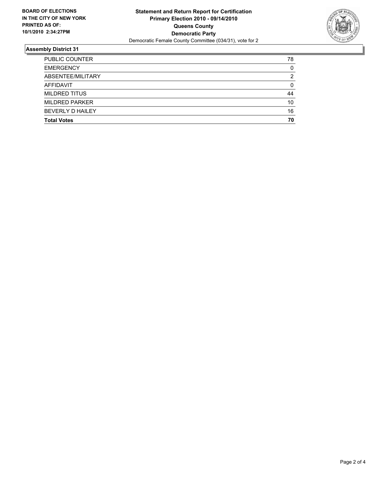

| <b>Total Votes</b>      | 70 |
|-------------------------|----|
| <b>BEVERLY D HAILEY</b> | 16 |
| <b>MILDRED PARKER</b>   | 10 |
| <b>MILDRED TITUS</b>    | 44 |
| <b>AFFIDAVIT</b>        | 0  |
| ABSENTEE/MILITARY       | 2  |
| <b>EMERGENCY</b>        | 0  |
| <b>PUBLIC COUNTER</b>   | 78 |
|                         |    |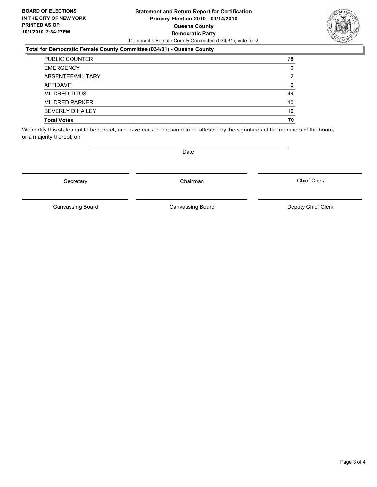#### **Statement and Return Report for Certification Primary Election 2010 - 09/14/2010 Queens County Democratic Party** Democratic Female County Committee (034/31), vote for 2

#### **Total for Democratic Female County Committee (034/31) - Queens County**

| <b>PUBLIC COUNTER</b>   | 78 |
|-------------------------|----|
| <b>EMERGENCY</b>        | 0  |
| ABSENTEE/MILITARY       | 2  |
| AFFIDAVIT               | 0  |
| <b>MILDRED TITUS</b>    | 44 |
| <b>MILDRED PARKER</b>   | 10 |
| <b>BEVERLY D HAILEY</b> | 16 |
| <b>Total Votes</b>      | 70 |

We certify this statement to be correct, and have caused the same to be attested by the signatures of the members of the board, or a majority thereof, on

Secretary **Chairman** 

Canvassing Board

Canvassing Board **Canvassing Board** Canvassing Board **Deputy Chief Clerk** 

Chief Clerk



**Date**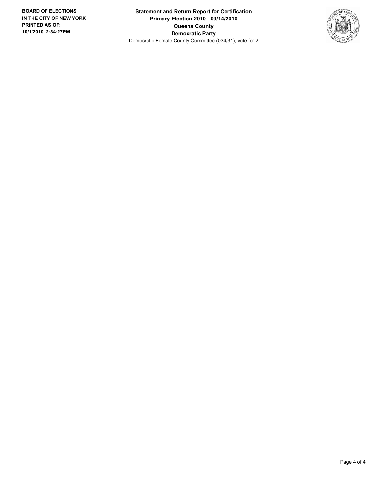**Statement and Return Report for Certification Primary Election 2010 - 09/14/2010 Queens County Democratic Party** Democratic Female County Committee (034/31), vote for 2

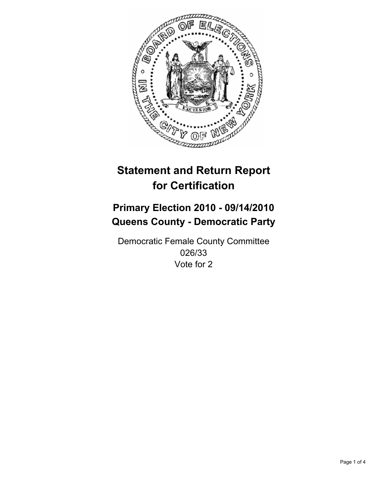

## **Primary Election 2010 - 09/14/2010 Queens County - Democratic Party**

Democratic Female County Committee 026/33 Vote for 2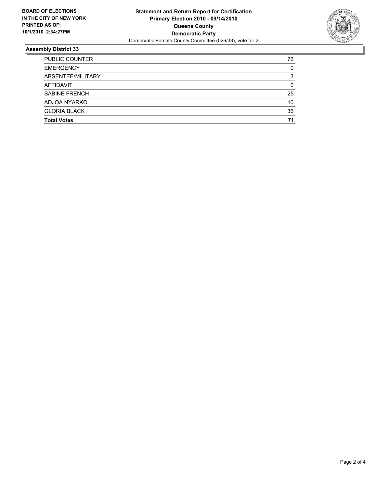

| <b>Total Votes</b>    | 71 |
|-----------------------|----|
| <b>GLORIA BLACK</b>   | 36 |
| ADJOA NYARKO          | 10 |
| SABINE FRENCH         | 25 |
| <b>AFFIDAVIT</b>      | 0  |
| ABSENTEE/MILITARY     | 3  |
| <b>EMERGENCY</b>      | 0  |
| <b>PUBLIC COUNTER</b> | 76 |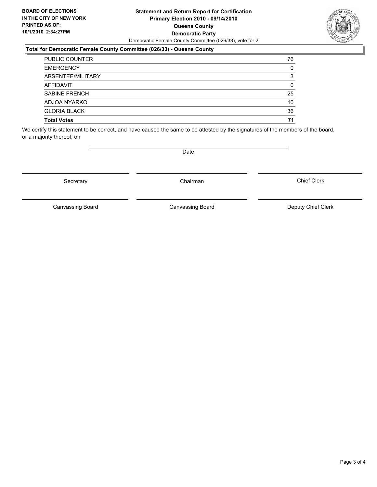#### **Statement and Return Report for Certification Primary Election 2010 - 09/14/2010 Queens County Democratic Party** Democratic Female County Committee (026/33), vote for 2

#### **Total for Democratic Female County Committee (026/33) - Queens County**

| <b>PUBLIC COUNTER</b> | 76 |
|-----------------------|----|
| <b>EMERGENCY</b>      | 0  |
| ABSENTEE/MILITARY     | 3  |
| AFFIDAVIT             | 0  |
| <b>SABINE FRENCH</b>  | 25 |
| ADJOA NYARKO          | 10 |
| <b>GLORIA BLACK</b>   | 36 |
| <b>Total Votes</b>    | 71 |

We certify this statement to be correct, and have caused the same to be attested by the signatures of the members of the board, or a majority thereof, on

Canvassing Board

**Date** 

Canvassing Board **Canvassing Board** Canvassing Board **Deputy Chief Clerk** 

Chief Clerk



Secretary **Chairman**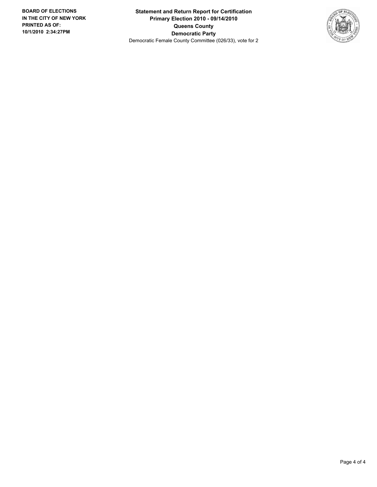**Statement and Return Report for Certification Primary Election 2010 - 09/14/2010 Queens County Democratic Party** Democratic Female County Committee (026/33), vote for 2

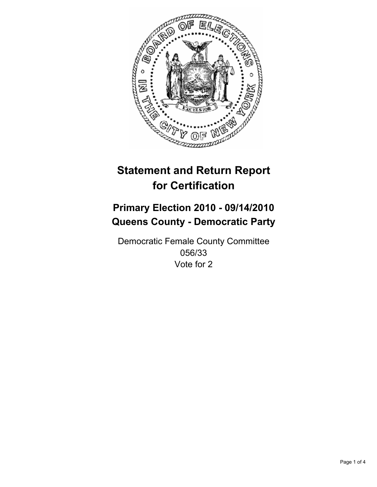

## **Primary Election 2010 - 09/14/2010 Queens County - Democratic Party**

Democratic Female County Committee 056/33 Vote for 2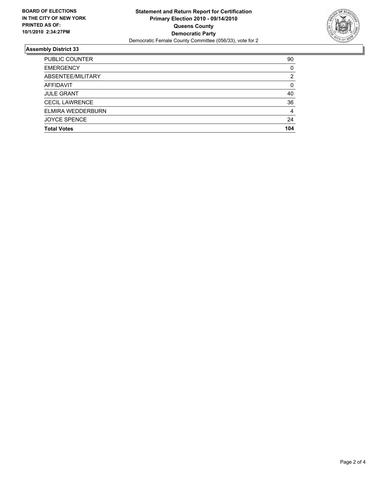

| <b>PUBLIC COUNTER</b> | 90  |
|-----------------------|-----|
| <b>EMERGENCY</b>      | 0   |
| ABSENTEE/MILITARY     | 2   |
| AFFIDAVIT             | 0   |
| <b>JULE GRANT</b>     | 40  |
| <b>CECIL LAWRENCE</b> | 36  |
| ELMIRA WEDDERBURN     | 4   |
| <b>JOYCE SPENCE</b>   | 24  |
| <b>Total Votes</b>    | 104 |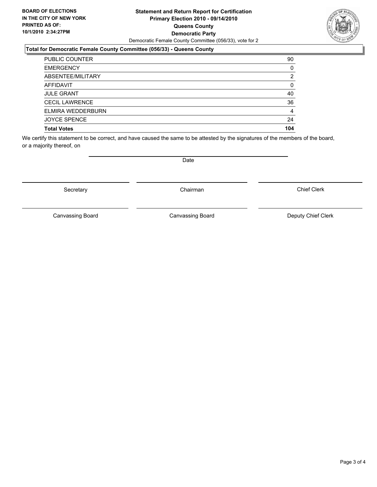#### **Statement and Return Report for Certification Primary Election 2010 - 09/14/2010 Queens County Democratic Party** Democratic Female County Committee (056/33), vote for 2

#### **Total for Democratic Female County Committee (056/33) - Queens County**

| <b>PUBLIC COUNTER</b> | 90  |
|-----------------------|-----|
| <b>EMERGENCY</b>      | 0   |
| ABSENTEE/MILITARY     | 2   |
| AFFIDAVIT             | 0   |
| <b>JULE GRANT</b>     | 40  |
| <b>CECIL LAWRENCE</b> | 36  |
| ELMIRA WEDDERBURN     | 4   |
| <b>JOYCE SPENCE</b>   | 24  |
| <b>Total Votes</b>    | 104 |

We certify this statement to be correct, and have caused the same to be attested by the signatures of the members of the board, or a majority thereof, on

Secretary **Chairman** 

Canvassing Board

Date

Canvassing Board **Canvassing Board** Canvassing Board **Deputy Chief Clerk** 

Chief Clerk

Page 3 of 4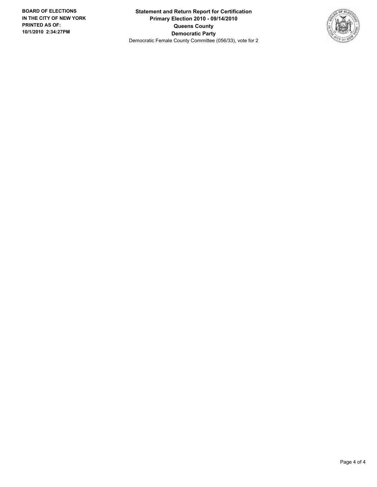**Statement and Return Report for Certification Primary Election 2010 - 09/14/2010 Queens County Democratic Party** Democratic Female County Committee (056/33), vote for 2

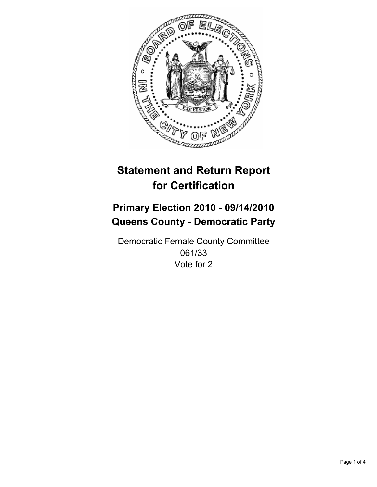

## **Primary Election 2010 - 09/14/2010 Queens County - Democratic Party**

Democratic Female County Committee 061/33 Vote for 2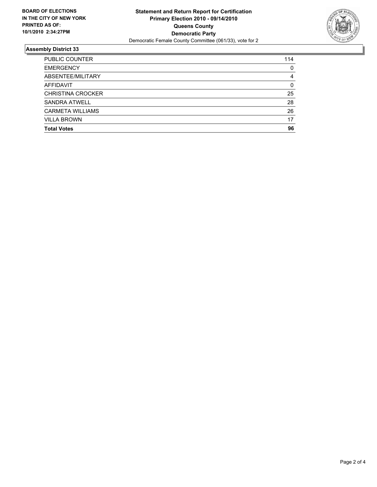

| <b>PUBLIC COUNTER</b>    | 114 |
|--------------------------|-----|
| <b>EMERGENCY</b>         | 0   |
| ABSENTEE/MILITARY        | 4   |
| AFFIDAVIT                | 0   |
| <b>CHRISTINA CROCKER</b> | 25  |
| <b>SANDRA ATWELL</b>     | 28  |
| <b>CARMETA WILLIAMS</b>  | 26  |
| <b>VILLA BROWN</b>       | 17  |
| <b>Total Votes</b>       | 96  |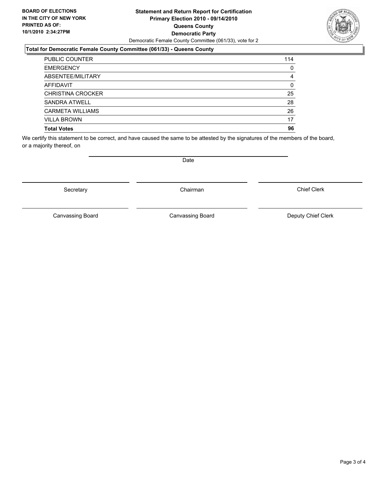#### **Statement and Return Report for Certification Primary Election 2010 - 09/14/2010 Queens County Democratic Party** Democratic Female County Committee (061/33), vote for 2

#### **Total for Democratic Female County Committee (061/33) - Queens County**

| <b>PUBLIC COUNTER</b>    | 114      |
|--------------------------|----------|
| <b>EMERGENCY</b>         | 0        |
| ABSENTEE/MILITARY        | 4        |
| <b>AFFIDAVIT</b>         | $\Omega$ |
| <b>CHRISTINA CROCKER</b> | 25       |
| <b>SANDRA ATWELL</b>     | 28       |
| <b>CARMETA WILLIAMS</b>  | 26       |
| <b>VILLA BROWN</b>       | 17       |
| <b>Total Votes</b>       | 96       |

We certify this statement to be correct, and have caused the same to be attested by the signatures of the members of the board, or a majority thereof, on

Date

Secretary **Chairman** 

Canvassing Board

Chief Clerk

Canvassing Board **Canvassing Board** Canvassing Board **Deputy Chief Clerk**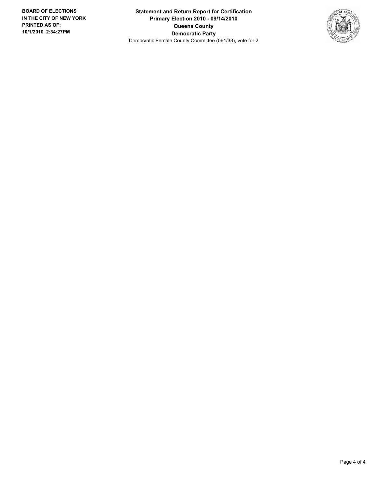**Statement and Return Report for Certification Primary Election 2010 - 09/14/2010 Queens County Democratic Party** Democratic Female County Committee (061/33), vote for 2

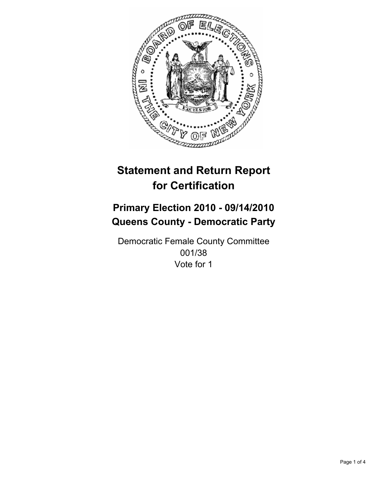

## **Primary Election 2010 - 09/14/2010 Queens County - Democratic Party**

Democratic Female County Committee 001/38 Vote for 1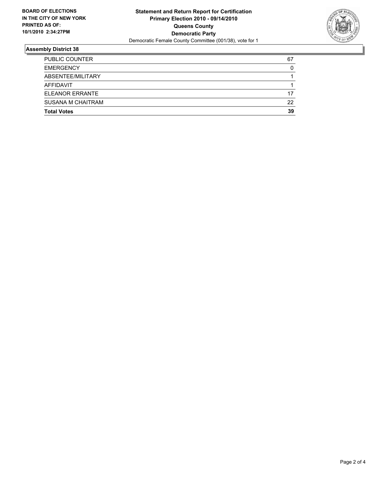

| 67<br><b>EMERGENCY</b><br>0<br>ABSENTEE/MILITARY<br>ELEANOR ERRANTE<br>17<br>39<br><b>Total Votes</b> |                       |    |
|-------------------------------------------------------------------------------------------------------|-----------------------|----|
|                                                                                                       | <b>PUBLIC COUNTER</b> |    |
|                                                                                                       |                       |    |
|                                                                                                       |                       |    |
|                                                                                                       | AFFIDAVIT             |    |
|                                                                                                       |                       |    |
|                                                                                                       | SUSANA M CHAITRAM     | 22 |
|                                                                                                       |                       |    |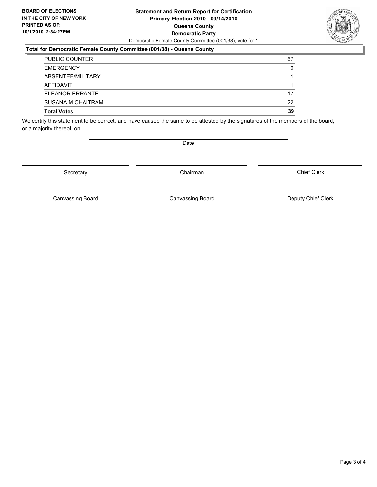#### **Statement and Return Report for Certification Primary Election 2010 - 09/14/2010 Queens County Democratic Party** Democratic Female County Committee (001/38), vote for 1

### **Total for Democratic Female County Committee (001/38) - Queens County**

| PUBLIC COUNTER           | 67 |
|--------------------------|----|
| <b>EMERGENCY</b>         | 0  |
| ABSENTEE/MILITARY        |    |
| AFFIDAVIT                |    |
| ELEANOR ERRANTE          | 17 |
| <b>SUSANA M CHAITRAM</b> | 22 |
| <b>Total Votes</b>       | 39 |

We certify this statement to be correct, and have caused the same to be attested by the signatures of the members of the board, or a majority thereof, on

Secretary **Chairman** 

Canvassing Board **Canvassing Board** Canvassing Board **Deputy Chief Clerk** 

Canvassing Board

Chief Clerk



Date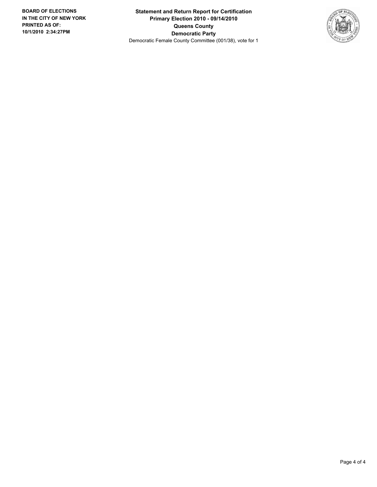**Statement and Return Report for Certification Primary Election 2010 - 09/14/2010 Queens County Democratic Party** Democratic Female County Committee (001/38), vote for 1

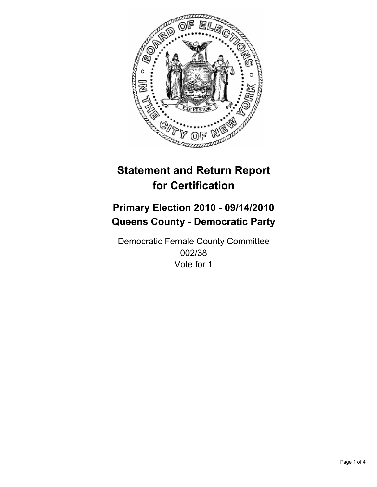

## **Primary Election 2010 - 09/14/2010 Queens County - Democratic Party**

Democratic Female County Committee 002/38 Vote for 1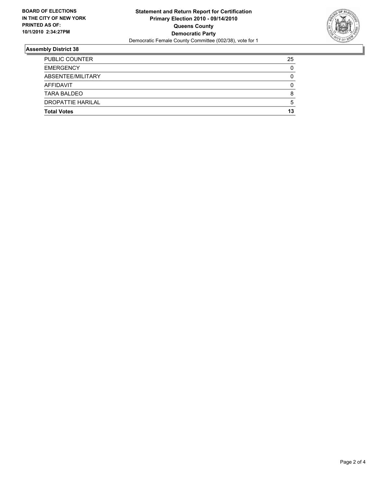

| <b>Total Votes</b>       | 13 |
|--------------------------|----|
| <b>DROPATTIE HARILAL</b> | 5  |
| <b>TARA BALDEO</b>       | 8  |
| AFFIDAVIT                | 0  |
| ABSENTEE/MILITARY        | 0  |
| <b>EMERGENCY</b>         | 0  |
| <b>PUBLIC COUNTER</b>    | 25 |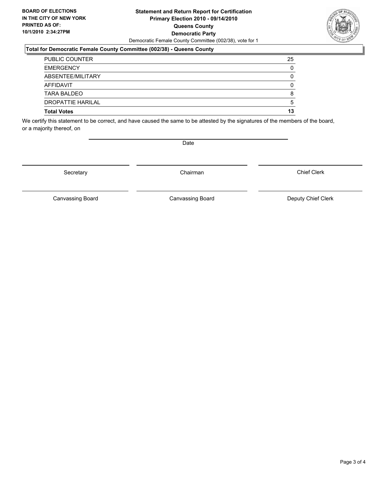#### **Statement and Return Report for Certification Primary Election 2010 - 09/14/2010 Queens County Democratic Party** Democratic Female County Committee (002/38), vote for 1

#### **Total for Democratic Female County Committee (002/38) - Queens County**

| <b>PUBLIC COUNTER</b> | 25 |
|-----------------------|----|
| <b>EMERGENCY</b>      | 0  |
| ABSENTEE/MILITARY     | 0  |
| AFFIDAVIT             | 0  |
| <b>TARA BALDEO</b>    | 8  |
| DROPATTIE HARILAL     | 5  |
| <b>Total Votes</b>    | 13 |

We certify this statement to be correct, and have caused the same to be attested by the signatures of the members of the board, or a majority thereof, on

Secretary **Chairman** 

Canvassing Board **Canvassing Board** Canvassing Board **Deputy Chief Clerk** 

Canvassing Board

Chief Clerk

Page 3 of 4



Date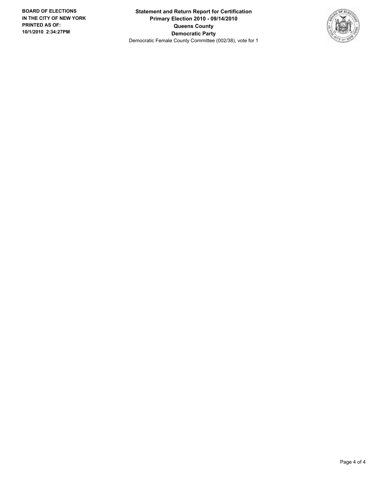**Statement and Return Report for Certification Primary Election 2010 - 09/14/2010 Queens County Democratic Party** Democratic Female County Committee (002/38), vote for 1

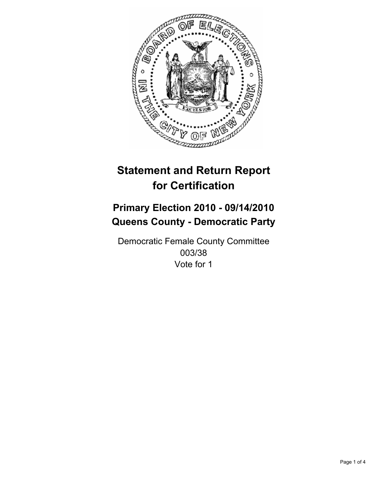

## **Primary Election 2010 - 09/14/2010 Queens County - Democratic Party**

Democratic Female County Committee 003/38 Vote for 1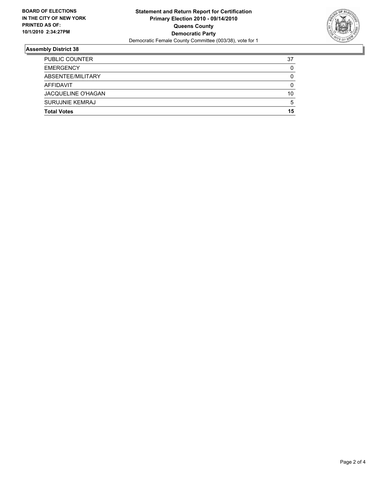

| <b>Total Votes</b>        | 15 |
|---------------------------|----|
| <b>SURUJNIE KEMRAJ</b>    | 5  |
| <b>JACQUELINE O'HAGAN</b> | 10 |
| AFFIDAVIT                 | 0  |
| ABSENTEE/MILITARY         | 0  |
| <b>EMERGENCY</b>          | 0  |
| <b>PUBLIC COUNTER</b>     | 37 |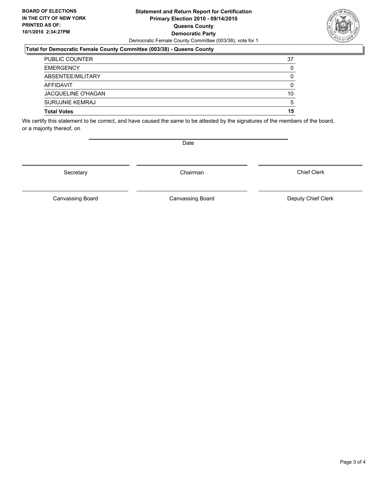#### **Statement and Return Report for Certification Primary Election 2010 - 09/14/2010 Queens County Democratic Party** Democratic Female County Committee (003/38), vote for 1

#### **Total for Democratic Female County Committee (003/38) - Queens County**

| <b>PUBLIC COUNTER</b>     | 37 |
|---------------------------|----|
| <b>EMERGENCY</b>          | 0  |
| ABSENTEE/MILITARY         | 0  |
| AFFIDAVIT                 | 0  |
| <b>JACQUELINE O'HAGAN</b> | 10 |
| <b>SURUJNIE KEMRAJ</b>    | 5  |
| <b>Total Votes</b>        | 15 |

We certify this statement to be correct, and have caused the same to be attested by the signatures of the members of the board, or a majority thereof, on

Secretary **Chairman** 

Date

Chief Clerk

Canvassing Board **Canvassing Board** Canvassing Board **Deputy Chief Clerk** 

Canvassing Board

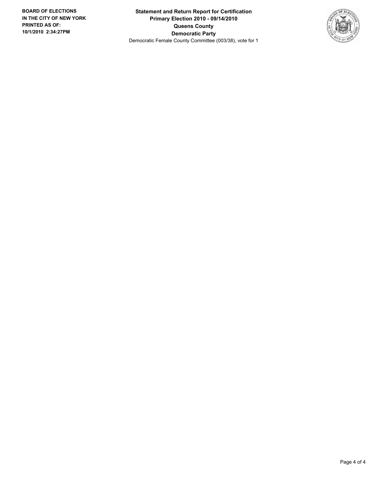**Statement and Return Report for Certification Primary Election 2010 - 09/14/2010 Queens County Democratic Party** Democratic Female County Committee (003/38), vote for 1

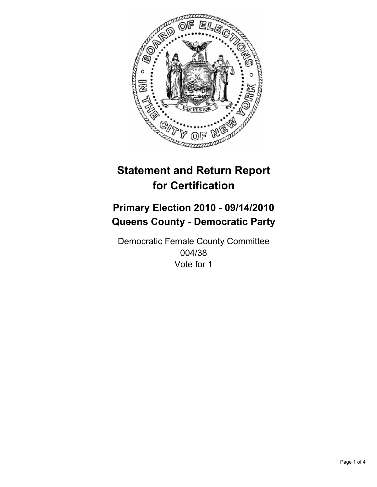

## **Primary Election 2010 - 09/14/2010 Queens County - Democratic Party**

Democratic Female County Committee 004/38 Vote for 1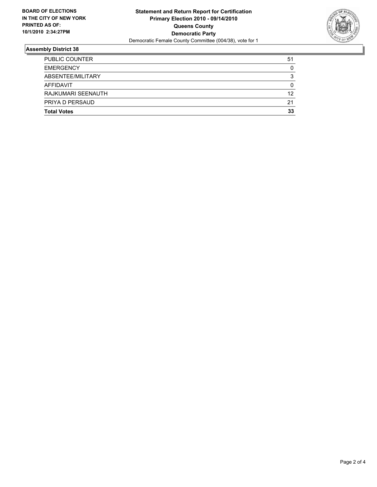

| <b>Total Votes</b>    | 33 |
|-----------------------|----|
| PRIYA D PERSAUD       | 21 |
| RAJKUMARI SEENAUTH    | 12 |
| AFFIDAVIT             | 0  |
| ABSENTEE/MILITARY     | 3  |
| <b>EMERGENCY</b>      | 0  |
| <b>PUBLIC COUNTER</b> | 51 |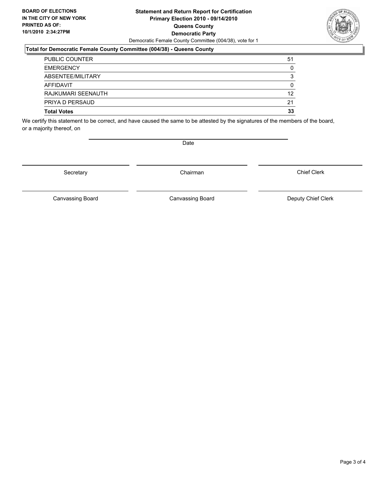#### **Statement and Return Report for Certification Primary Election 2010 - 09/14/2010 Queens County Democratic Party** Democratic Female County Committee (004/38), vote for 1

#### **Total for Democratic Female County Committee (004/38) - Queens County**

| <b>PUBLIC COUNTER</b> | 51 |
|-----------------------|----|
| <b>EMERGENCY</b>      | 0  |
| ABSENTEE/MILITARY     | 3  |
| AFFIDAVIT             | 0  |
| RAJKUMARI SEENAUTH    | 12 |
| PRIYA D PERSAUD       | 21 |
| <b>Total Votes</b>    | 33 |

We certify this statement to be correct, and have caused the same to be attested by the signatures of the members of the board, or a majority thereof, on

Secretary **Chairman** 

Canvassing Board

Canvassing Board **Canvassing Board** Canvassing Board **Deputy Chief Clerk** 

Chief Clerk

Page 3 of 4

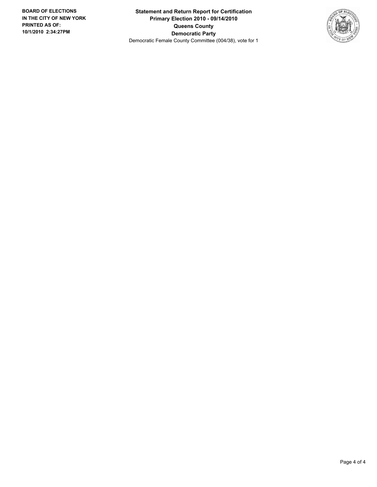**Statement and Return Report for Certification Primary Election 2010 - 09/14/2010 Queens County Democratic Party** Democratic Female County Committee (004/38), vote for 1

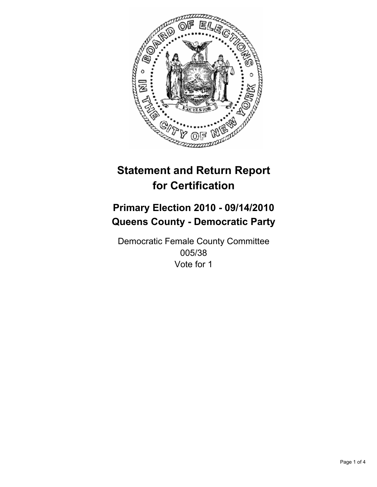

## **Primary Election 2010 - 09/14/2010 Queens County - Democratic Party**

Democratic Female County Committee 005/38 Vote for 1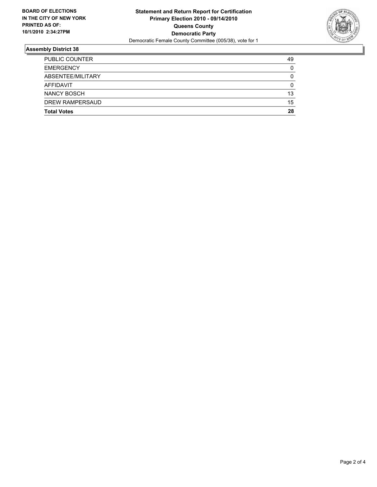

| <b>Total Votes</b>     | 28       |
|------------------------|----------|
| <b>DREW RAMPERSAUD</b> | 15       |
| NANCY BOSCH            | 13       |
| AFFIDAVIT              | $\Omega$ |
| ABSENTEE/MILITARY      | 0        |
| <b>EMERGENCY</b>       | 0        |
| <b>PUBLIC COUNTER</b>  | 49       |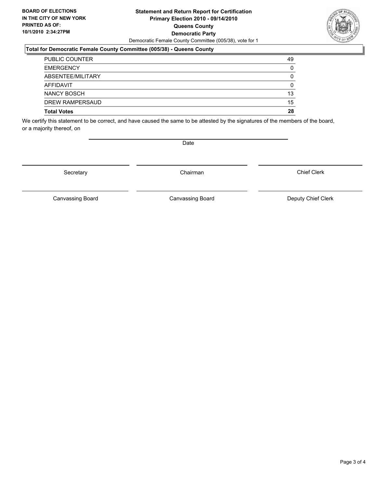#### **Statement and Return Report for Certification Primary Election 2010 - 09/14/2010 Queens County Democratic Party** Democratic Female County Committee (005/38), vote for 1

#### **Total for Democratic Female County Committee (005/38) - Queens County**

| <b>PUBLIC COUNTER</b> | 49 |
|-----------------------|----|
| <b>EMERGENCY</b>      | 0  |
| ABSENTEE/MILITARY     | 0  |
| AFFIDAVIT             | 0  |
| NANCY BOSCH           | 13 |
| DREW RAMPERSAUD       | 15 |
| <b>Total Votes</b>    | 28 |

We certify this statement to be correct, and have caused the same to be attested by the signatures of the members of the board, or a majority thereof, on

Secretary **Chairman** 

Canvassing Board

Canvassing Board **Canvassing Board** Canvassing Board **Deputy Chief Clerk** 

Chief Clerk

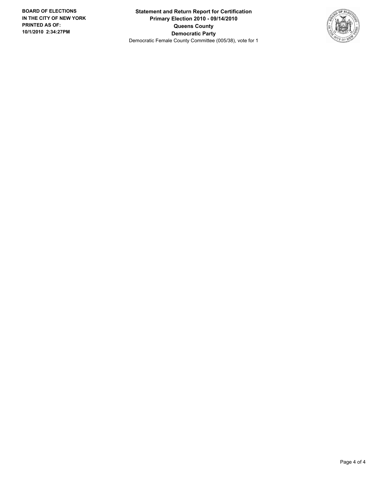**Statement and Return Report for Certification Primary Election 2010 - 09/14/2010 Queens County Democratic Party** Democratic Female County Committee (005/38), vote for 1

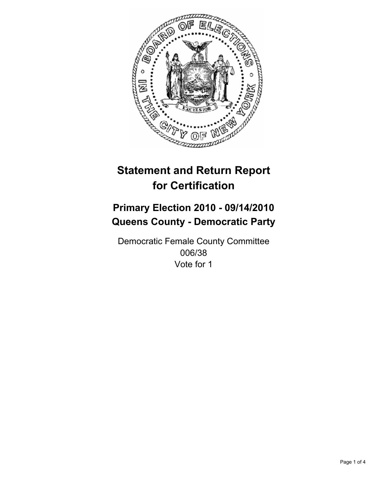

## **Primary Election 2010 - 09/14/2010 Queens County - Democratic Party**

Democratic Female County Committee 006/38 Vote for 1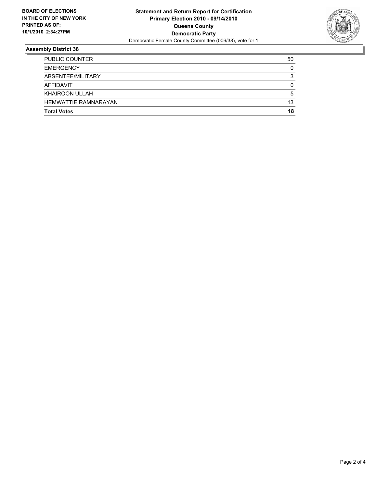

| <b>Total Votes</b>          | 18 |
|-----------------------------|----|
| <b>HEMWATTIE RAMNARAYAN</b> | 13 |
| <b>KHAIROON ULLAH</b>       | 5  |
| AFFIDAVIT                   | 0  |
| ABSENTEE/MILITARY           | 3  |
| <b>EMERGENCY</b>            | 0  |
| PUBLIC COUNTER              | 50 |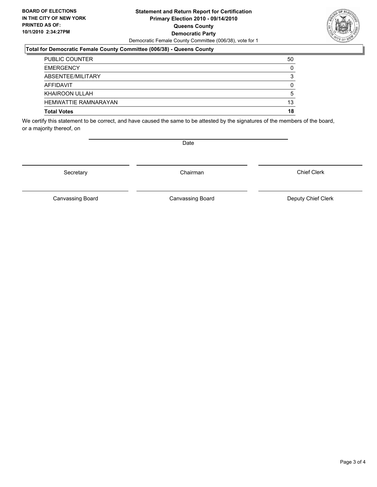#### **Statement and Return Report for Certification Primary Election 2010 - 09/14/2010 Queens County Democratic Party** Democratic Female County Committee (006/38), vote for 1

#### **Total for Democratic Female County Committee (006/38) - Queens County**

| <b>PUBLIC COUNTER</b>       | 50 |
|-----------------------------|----|
| <b>EMERGENCY</b>            | 0  |
| ABSENTEE/MILITARY           | 3  |
| AFFIDAVIT                   | 0  |
| <b>KHAIROON ULLAH</b>       | 5  |
| <b>HEMWATTIE RAMNARAYAN</b> | 13 |
| <b>Total Votes</b>          | 18 |

We certify this statement to be correct, and have caused the same to be attested by the signatures of the members of the board, or a majority thereof, on

Secretary **Chairman** 

Canvassing Board **Canvassing Board** Canvassing Board **Deputy Chief Clerk** 

Canvassing Board

Chief Clerk

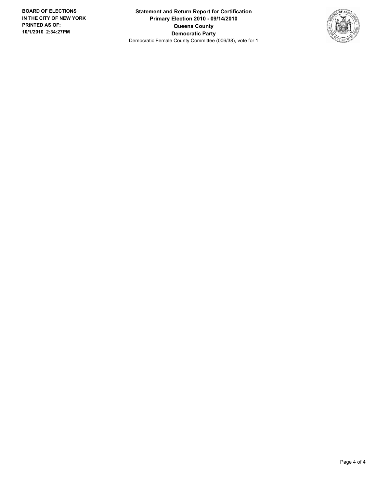**Statement and Return Report for Certification Primary Election 2010 - 09/14/2010 Queens County Democratic Party** Democratic Female County Committee (006/38), vote for 1

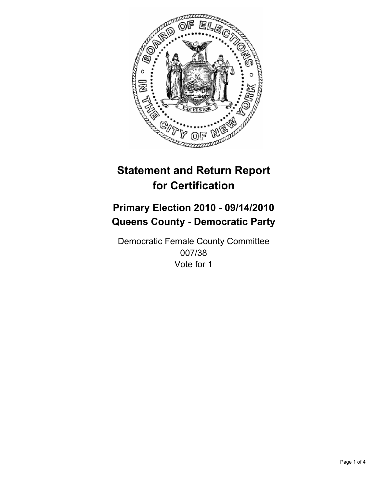

## **Primary Election 2010 - 09/14/2010 Queens County - Democratic Party**

Democratic Female County Committee 007/38 Vote for 1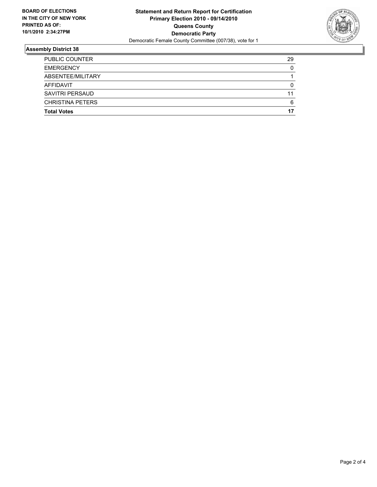

| <b>Total Votes</b>      | 17 |
|-------------------------|----|
| <b>CHRISTINA PETERS</b> | 6  |
| <b>SAVITRI PERSAUD</b>  | 11 |
| AFFIDAVIT               | 0  |
| ABSENTEE/MILITARY       |    |
| <b>EMERGENCY</b>        | 0  |
| <b>PUBLIC COUNTER</b>   | 29 |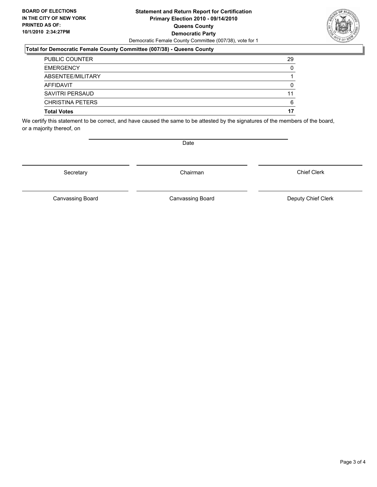#### **Statement and Return Report for Certification Primary Election 2010 - 09/14/2010 Queens County Democratic Party** Democratic Female County Committee (007/38), vote for 1

#### **Total for Democratic Female County Committee (007/38) - Queens County**

| <b>Total Votes</b>      | 17 |
|-------------------------|----|
| <b>CHRISTINA PETERS</b> | 6  |
| SAVITRI PERSAUD         | 11 |
| AFFIDAVIT               | 0  |
| ABSENTEE/MILITARY       |    |
| <b>EMERGENCY</b>        | 0  |
| <b>PUBLIC COUNTER</b>   | 29 |

We certify this statement to be correct, and have caused the same to be attested by the signatures of the members of the board, or a majority thereof, on

Secretary **Chairman** 

Canvassing Board **Canvassing Board** Canvassing Board **Deputy Chief Clerk** 

Canvassing Board

Chief Clerk

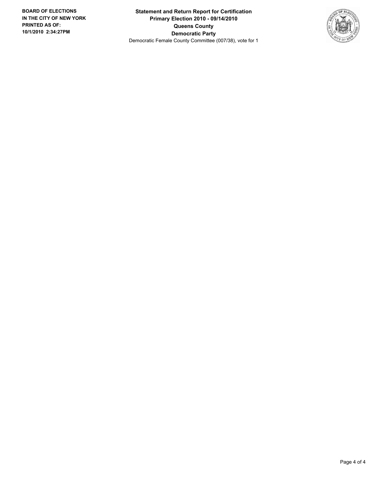**Statement and Return Report for Certification Primary Election 2010 - 09/14/2010 Queens County Democratic Party** Democratic Female County Committee (007/38), vote for 1

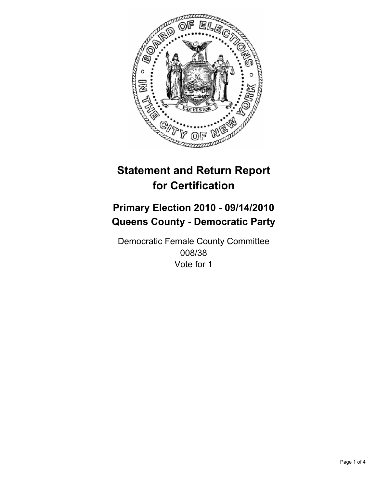

## **Primary Election 2010 - 09/14/2010 Queens County - Democratic Party**

Democratic Female County Committee 008/38 Vote for 1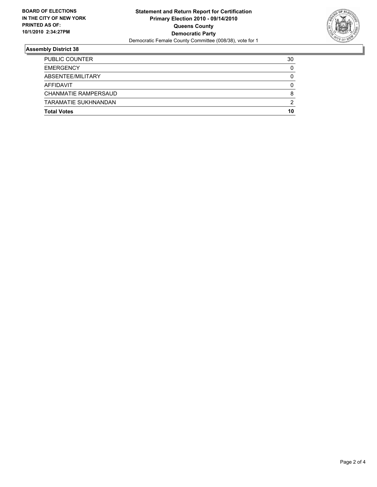

| <b>Total Votes</b>          | 10       |
|-----------------------------|----------|
| TARAMATIE SUKHNANDAN        | 2        |
| <b>CHANMATIE RAMPERSAUD</b> | 8        |
| AFFIDAVIT                   | $\Omega$ |
| ABSENTEE/MILITARY           | 0        |
| <b>EMERGENCY</b>            | 0        |
| <b>PUBLIC COUNTER</b>       | 30       |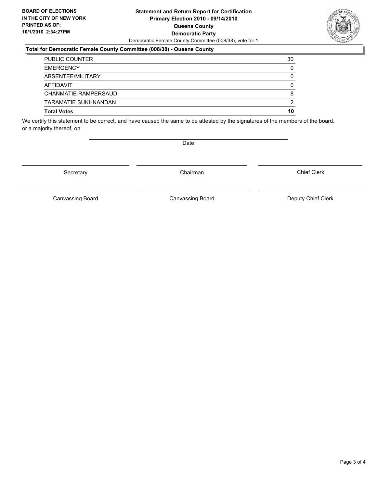#### **Statement and Return Report for Certification Primary Election 2010 - 09/14/2010 Queens County Democratic Party** Democratic Female County Committee (008/38), vote for 1

#### **Total for Democratic Female County Committee (008/38) - Queens County**

| AFFIDAVIT                   | 0  |
|-----------------------------|----|
| <b>CHANMATIE RAMPERSAUD</b> | 8  |
| <b>TARAMATIE SUKHNANDAN</b> | 2  |
| <b>Total Votes</b>          | 10 |

We certify this statement to be correct, and have caused the same to be attested by the signatures of the members of the board, or a majority thereof, on

Secretary **Chairman** 

Canvassing Board **Canvassing Board** Canvassing Board **Deputy Chief Clerk** 

Canvassing Board

Chief Clerk

Page 3 of 4

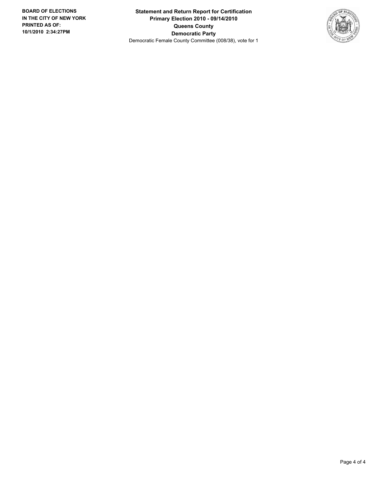**Statement and Return Report for Certification Primary Election 2010 - 09/14/2010 Queens County Democratic Party** Democratic Female County Committee (008/38), vote for 1

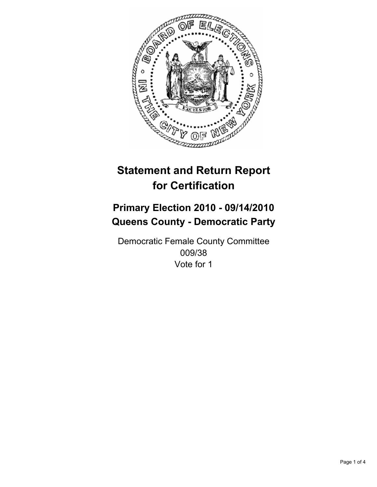

## **Primary Election 2010 - 09/14/2010 Queens County - Democratic Party**

Democratic Female County Committee 009/38 Vote for 1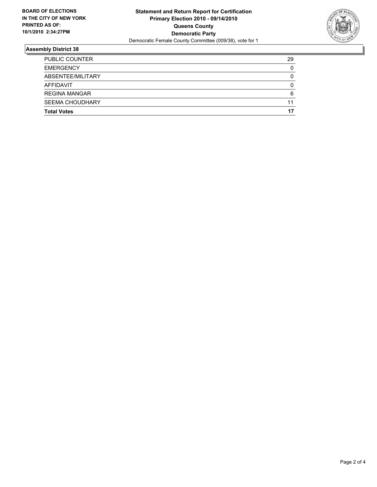

| <b>Total Votes</b>     | 17 |
|------------------------|----|
| <b>SEEMA CHOUDHARY</b> | 11 |
| <b>REGINA MANGAR</b>   | 6  |
| AFFIDAVIT              | 0  |
| ABSENTEE/MILITARY      | 0  |
| <b>EMERGENCY</b>       | 0  |
| <b>PUBLIC COUNTER</b>  | 29 |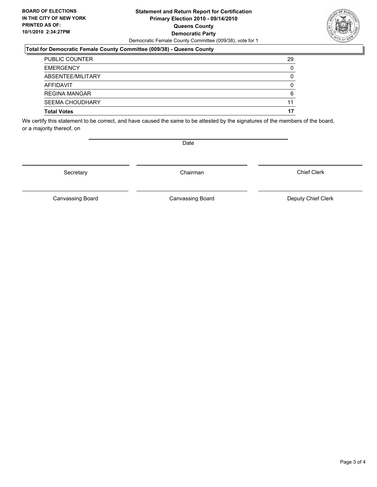#### **Statement and Return Report for Certification Primary Election 2010 - 09/14/2010 Queens County Democratic Party** Democratic Female County Committee (009/38), vote for 1

#### **Total for Democratic Female County Committee (009/38) - Queens County**

| <b>PUBLIC COUNTER</b>  | 29 |
|------------------------|----|
| <b>EMERGENCY</b>       | 0  |
| ABSENTEE/MILITARY      | 0  |
| AFFIDAVIT              | 0  |
| <b>REGINA MANGAR</b>   | 6  |
| <b>SEEMA CHOUDHARY</b> | 11 |
| <b>Total Votes</b>     | 17 |

We certify this statement to be correct, and have caused the same to be attested by the signatures of the members of the board, or a majority thereof, on

Secretary **Chairman** 

Canvassing Board

Canvassing Board **Canvassing Board** Canvassing Board **Deputy Chief Clerk** 

Chief Clerk

Page 3 of 4

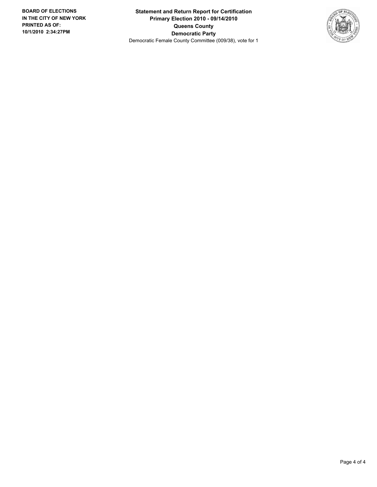**Statement and Return Report for Certification Primary Election 2010 - 09/14/2010 Queens County Democratic Party** Democratic Female County Committee (009/38), vote for 1

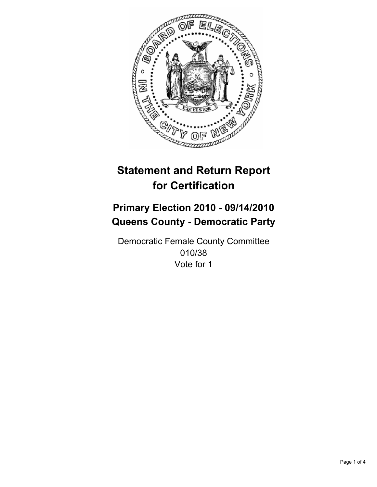

## **Primary Election 2010 - 09/14/2010 Queens County - Democratic Party**

Democratic Female County Committee 010/38 Vote for 1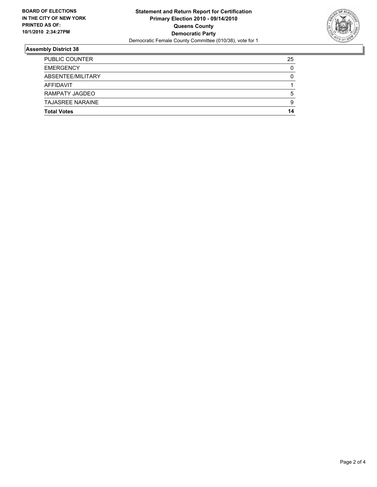

| <b>Total Votes</b>      | 14 |
|-------------------------|----|
| <b>TAJASREE NARAINE</b> | 9  |
| RAMPATY JAGDEO          | 5  |
| AFFIDAVIT               |    |
| ABSENTEE/MILITARY       | 0  |
| <b>EMERGENCY</b>        | 0  |
| <b>PUBLIC COUNTER</b>   | 25 |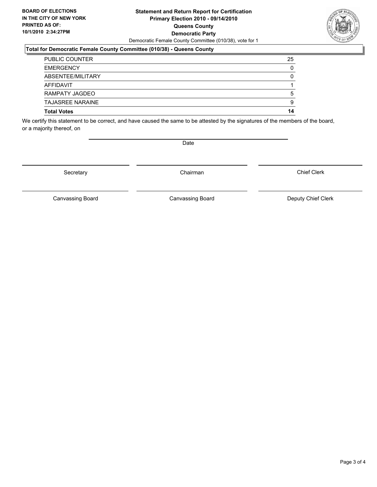#### **Statement and Return Report for Certification Primary Election 2010 - 09/14/2010 Queens County Democratic Party** Democratic Female County Committee (010/38), vote for 1

#### **Total for Democratic Female County Committee (010/38) - Queens County**

| <b>Total Votes</b>      | 14 |
|-------------------------|----|
| <b>TAJASREE NARAINE</b> | 9  |
| RAMPATY JAGDEO          | 5  |
| AFFIDAVIT               |    |
| ABSENTEE/MILITARY       | 0  |
| <b>EMERGENCY</b>        | 0  |
| PUBLIC COUNTER          | 25 |

We certify this statement to be correct, and have caused the same to be attested by the signatures of the members of the board, or a majority thereof, on

Secretary **Chairman** 

Canvassing Board

Canvassing Board **Canvassing Board** Canvassing Board **Deputy Chief Clerk** 

Chief Clerk

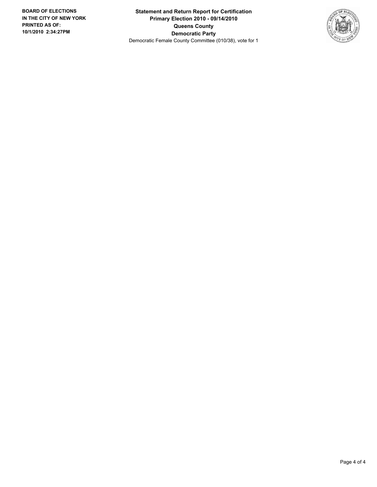**Statement and Return Report for Certification Primary Election 2010 - 09/14/2010 Queens County Democratic Party** Democratic Female County Committee (010/38), vote for 1

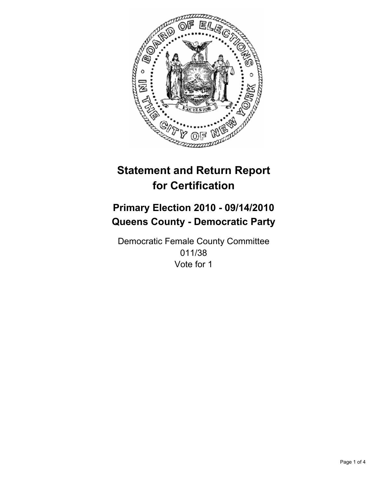

## **Primary Election 2010 - 09/14/2010 Queens County - Democratic Party**

Democratic Female County Committee 011/38 Vote for 1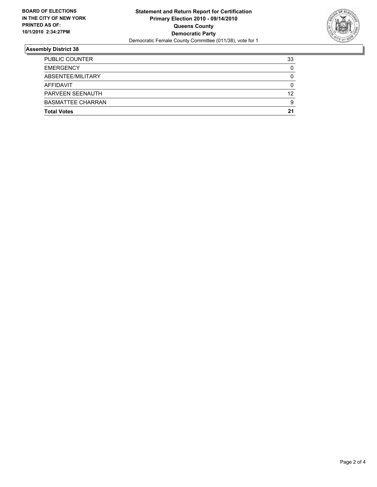

| <b>PUBLIC COUNTER</b>    | 33 |
|--------------------------|----|
| <b>EMERGENCY</b>         | 0  |
| ABSENTEE/MILITARY        | 0  |
| AFFIDAVIT                | 0  |
| <b>PARVEEN SEENAUTH</b>  | 12 |
| <b>BASMATTEE CHARRAN</b> | 9  |
| <b>Total Votes</b>       | 21 |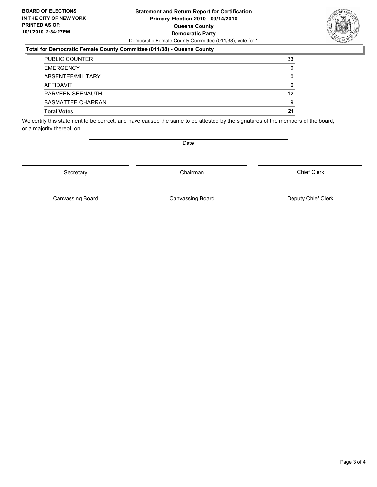#### **Statement and Return Report for Certification Primary Election 2010 - 09/14/2010 Queens County Democratic Party** Democratic Female County Committee (011/38), vote for 1

### **Total for Democratic Female County Committee (011/38) - Queens County**

| <b>PUBLIC COUNTER</b>    | 33       |
|--------------------------|----------|
| <b>EMERGENCY</b>         | 0        |
| ABSENTEE/MILITARY        | 0        |
| AFFIDAVIT                | $\Omega$ |
| <b>PARVEEN SEENAUTH</b>  | 12       |
| <b>BASMATTEE CHARRAN</b> | 9        |
| <b>Total Votes</b>       | 21       |

We certify this statement to be correct, and have caused the same to be attested by the signatures of the members of the board, or a majority thereof, on

Secretary **Chairman** 

Canvassing Board **Canvassing Board** Canvassing Board **Deputy Chief Clerk** 

Canvassing Board

Chief Clerk

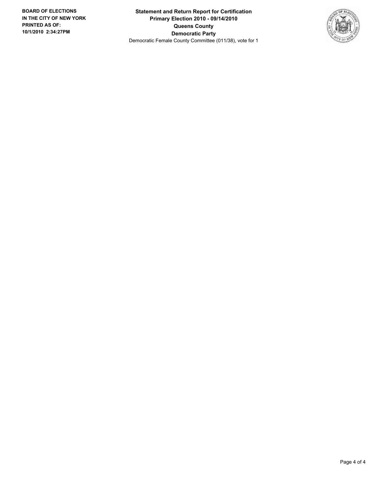**Statement and Return Report for Certification Primary Election 2010 - 09/14/2010 Queens County Democratic Party** Democratic Female County Committee (011/38), vote for 1

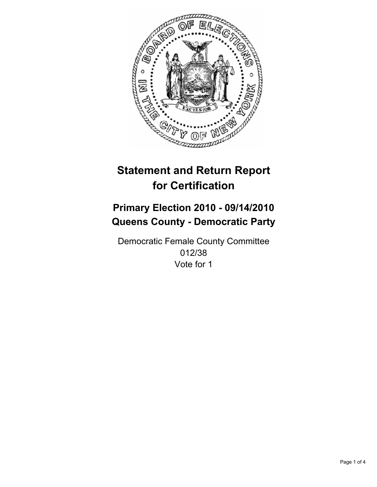

## **Primary Election 2010 - 09/14/2010 Queens County - Democratic Party**

Democratic Female County Committee 012/38 Vote for 1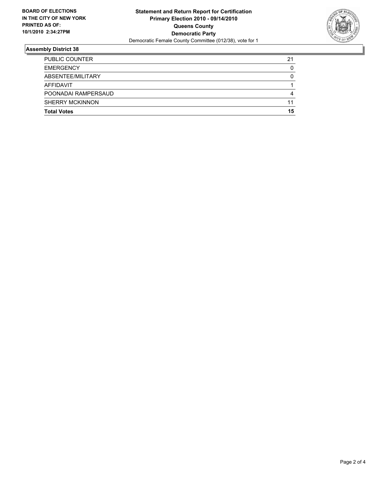

| <b>Total Votes</b>     | 15 |
|------------------------|----|
| <b>SHERRY MCKINNON</b> | 11 |
| POONADAI RAMPERSAUD    | 4  |
| AFFIDAVIT              |    |
| ABSENTEE/MILITARY      | 0  |
| <b>EMERGENCY</b>       | 0  |
| <b>PUBLIC COUNTER</b>  | 21 |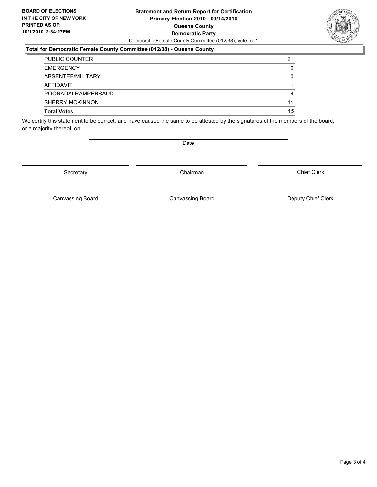#### **Statement and Return Report for Certification Primary Election 2010 - 09/14/2010 Queens County Democratic Party** Democratic Female County Committee (012/38), vote for 1

#### **Total for Democratic Female County Committee (012/38) - Queens County**

| <b>Total Votes</b>     | 15 |
|------------------------|----|
| <b>SHERRY MCKINNON</b> | 11 |
| POONADAI RAMPERSAUD    | 4  |
| AFFIDAVIT              |    |
| ABSENTEE/MILITARY      | 0  |
| <b>EMERGENCY</b>       | 0  |
| <b>PUBLIC COUNTER</b>  | 21 |

We certify this statement to be correct, and have caused the same to be attested by the signatures of the members of the board, or a majority thereof, on

Secretary **Chairman** 

Canvassing Board

Canvassing Board **Canvassing Board** Canvassing Board **Deputy Chief Clerk** 

Chief Clerk

Page 3 of 4

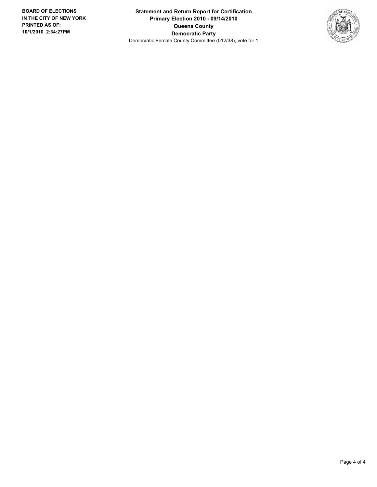**Statement and Return Report for Certification Primary Election 2010 - 09/14/2010 Queens County Democratic Party** Democratic Female County Committee (012/38), vote for 1

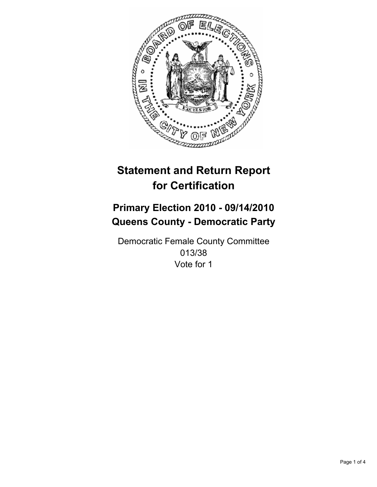

## **Primary Election 2010 - 09/14/2010 Queens County - Democratic Party**

Democratic Female County Committee 013/38 Vote for 1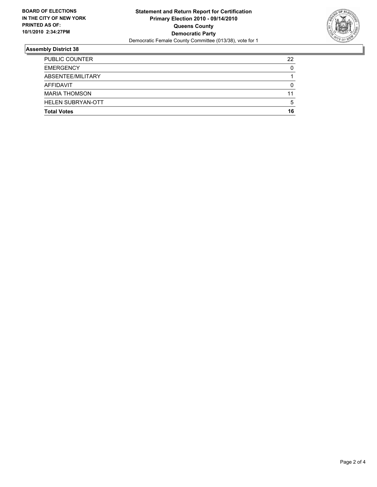

| <b>Total Votes</b>       | 16 |
|--------------------------|----|
| <b>HELEN SUBRYAN-OTT</b> | 5  |
| <b>MARIA THOMSON</b>     | 11 |
| AFFIDAVIT                | 0  |
| ABSENTEE/MILITARY        |    |
| <b>EMERGENCY</b>         | 0  |
| <b>PUBLIC COUNTER</b>    | 22 |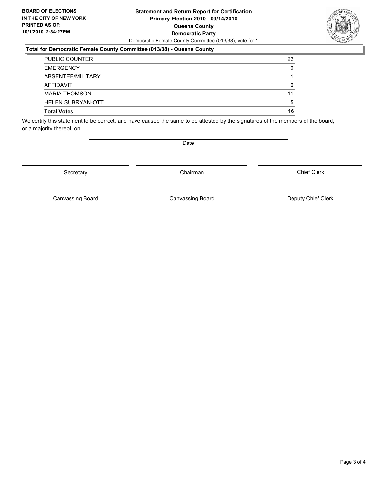#### **Statement and Return Report for Certification Primary Election 2010 - 09/14/2010 Queens County Democratic Party** Democratic Female County Committee (013/38), vote for 1

#### **Total for Democratic Female County Committee (013/38) - Queens County**

| <b>Total Votes</b>       | 16 |
|--------------------------|----|
| <b>HELEN SUBRYAN-OTT</b> | 5  |
| <b>MARIA THOMSON</b>     | 11 |
| AFFIDAVIT                | 0  |
| ABSENTEE/MILITARY        |    |
| <b>EMERGENCY</b>         | 0  |
| <b>PUBLIC COUNTER</b>    | 22 |

We certify this statement to be correct, and have caused the same to be attested by the signatures of the members of the board, or a majority thereof, on

Secretary **Chairman** 

Canvassing Board

Canvassing Board **Canvassing Board** Canvassing Board **Deputy Chief Clerk** 

Chief Clerk

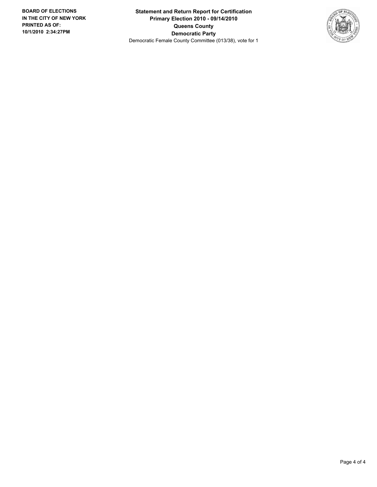**Statement and Return Report for Certification Primary Election 2010 - 09/14/2010 Queens County Democratic Party** Democratic Female County Committee (013/38), vote for 1

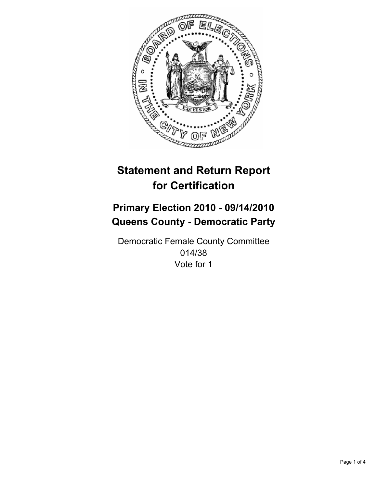

## **Primary Election 2010 - 09/14/2010 Queens County - Democratic Party**

Democratic Female County Committee 014/38 Vote for 1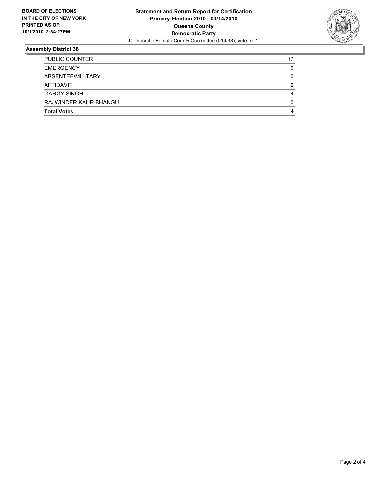

| <b>Total Votes</b>    | 4  |
|-----------------------|----|
| RAJWINDER KAUR BHANGU | 0  |
| <b>GARGY SINGH</b>    | 4  |
| AFFIDAVIT             | 0  |
| ABSENTEE/MILITARY     | 0  |
| <b>EMERGENCY</b>      | 0  |
| <b>PUBLIC COUNTER</b> | 17 |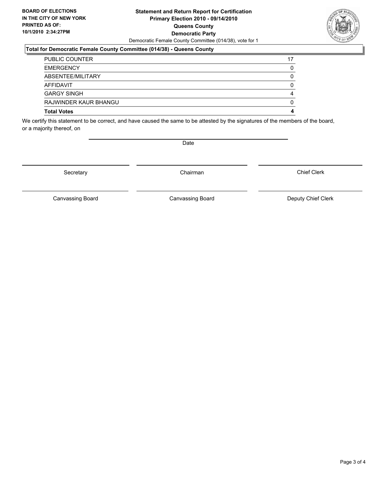#### **Statement and Return Report for Certification Primary Election 2010 - 09/14/2010 Queens County Democratic Party** Democratic Female County Committee (014/38), vote for 1

#### **Total for Democratic Female County Committee (014/38) - Queens County**

| <b>Total Votes</b>    | 4  |
|-----------------------|----|
| RAJWINDER KAUR BHANGU | 0  |
| <b>GARGY SINGH</b>    | 4  |
| AFFIDAVIT             | 0  |
| ABSENTEE/MILITARY     | 0  |
| <b>EMERGENCY</b>      | 0  |
| <b>PUBLIC COUNTER</b> | 17 |

We certify this statement to be correct, and have caused the same to be attested by the signatures of the members of the board, or a majority thereof, on

Secretary **Chairman** 

Canvassing Board **Canvassing Board** Canvassing Board **Deputy Chief Clerk** 

Canvassing Board

Chief Clerk

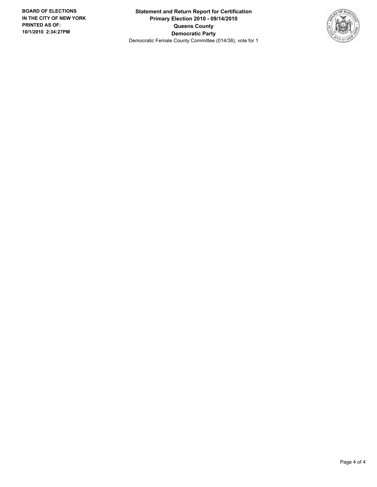**Statement and Return Report for Certification Primary Election 2010 - 09/14/2010 Queens County Democratic Party** Democratic Female County Committee (014/38), vote for 1

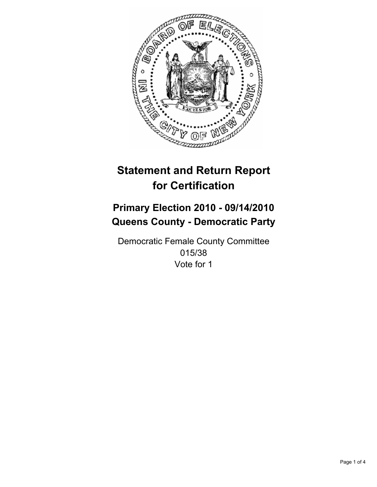

## **Primary Election 2010 - 09/14/2010 Queens County - Democratic Party**

Democratic Female County Committee 015/38 Vote for 1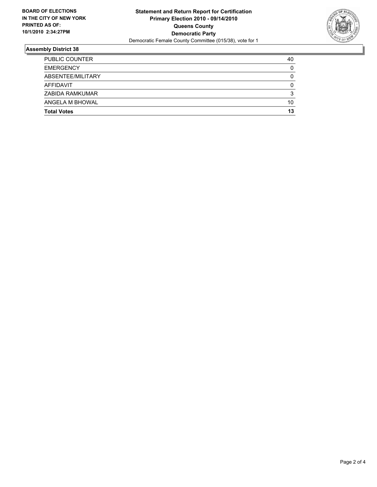

| <b>Total Votes</b>    | 13 |
|-----------------------|----|
| ANGELA M BHOWAL       | 10 |
| ZABIDA RAMKUMAR       | 3  |
| AFFIDAVIT             | 0  |
| ABSENTEE/MILITARY     | 0  |
| <b>EMERGENCY</b>      | 0  |
| <b>PUBLIC COUNTER</b> | 40 |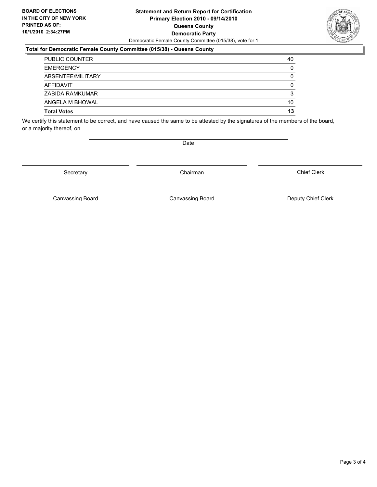#### **Statement and Return Report for Certification Primary Election 2010 - 09/14/2010 Queens County Democratic Party** Democratic Female County Committee (015/38), vote for 1

#### **Total for Democratic Female County Committee (015/38) - Queens County**

| <b>Total Votes</b>    | 13 |
|-----------------------|----|
| ANGELA M BHOWAL       | 10 |
| ZABIDA RAMKUMAR       | 3  |
| AFFIDAVIT             | 0  |
| ABSENTEE/MILITARY     | 0  |
| <b>EMERGENCY</b>      | 0  |
| <b>PUBLIC COUNTER</b> | 40 |

We certify this statement to be correct, and have caused the same to be attested by the signatures of the members of the board, or a majority thereof, on

Secretary **Chairman** 

Canvassing Board **Canvassing Board** Canvassing Board **Deputy Chief Clerk** 

Canvassing Board

Chief Clerk

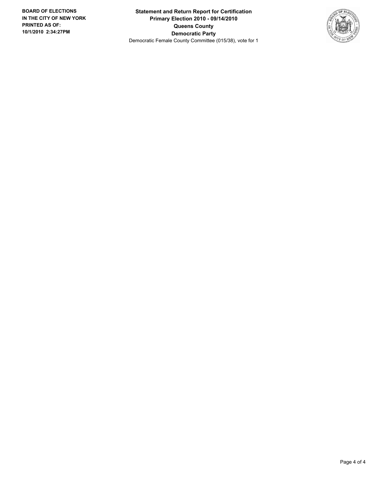**Statement and Return Report for Certification Primary Election 2010 - 09/14/2010 Queens County Democratic Party** Democratic Female County Committee (015/38), vote for 1

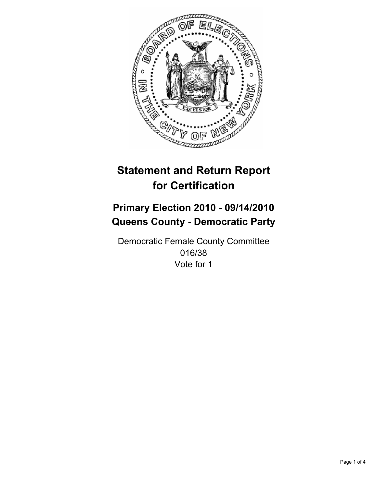

## **Primary Election 2010 - 09/14/2010 Queens County - Democratic Party**

Democratic Female County Committee 016/38 Vote for 1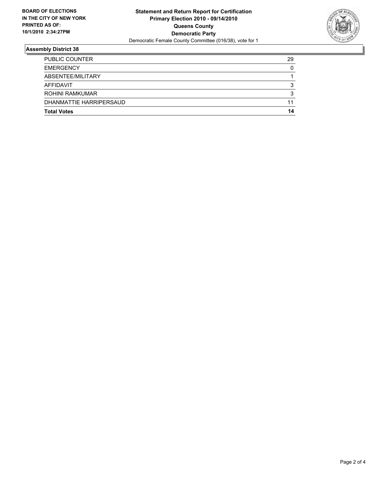

| <b>Total Votes</b>      | 14 |
|-------------------------|----|
| DHANMATTIE HARRIPERSAUD | 11 |
| <b>ROHINI RAMKUMAR</b>  | 3  |
| AFFIDAVIT               | 3  |
| ABSENTEE/MILITARY       |    |
| <b>EMERGENCY</b>        | 0  |
| <b>PUBLIC COUNTER</b>   | 29 |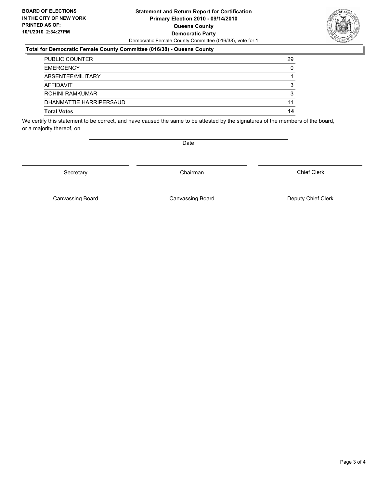#### **Statement and Return Report for Certification Primary Election 2010 - 09/14/2010 Queens County Democratic Party** Democratic Female County Committee (016/38), vote for 1

#### **Total for Democratic Female County Committee (016/38) - Queens County**

| <b>Total Votes</b>      | 14 |
|-------------------------|----|
| DHANMATTIE HARRIPERSAUD | 11 |
| <b>ROHINI RAMKUMAR</b>  | 3  |
| AFFIDAVIT               | 3  |
| ABSENTEE/MILITARY       |    |
| <b>EMERGENCY</b>        | 0  |
| <b>PUBLIC COUNTER</b>   | 29 |

We certify this statement to be correct, and have caused the same to be attested by the signatures of the members of the board, or a majority thereof, on

Secretary **Chairman** 

Canvassing Board **Canvassing Board** Canvassing Board **Deputy Chief Clerk** 

Canvassing Board

Chief Clerk

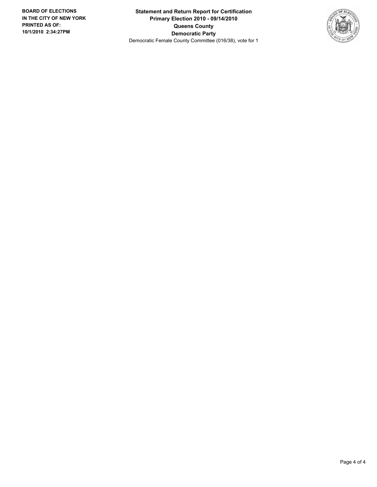**Statement and Return Report for Certification Primary Election 2010 - 09/14/2010 Queens County Democratic Party** Democratic Female County Committee (016/38), vote for 1

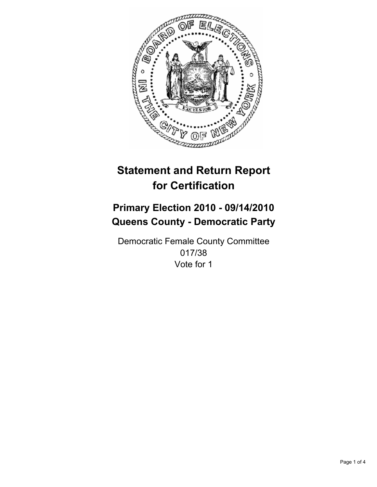

## **Primary Election 2010 - 09/14/2010 Queens County - Democratic Party**

Democratic Female County Committee 017/38 Vote for 1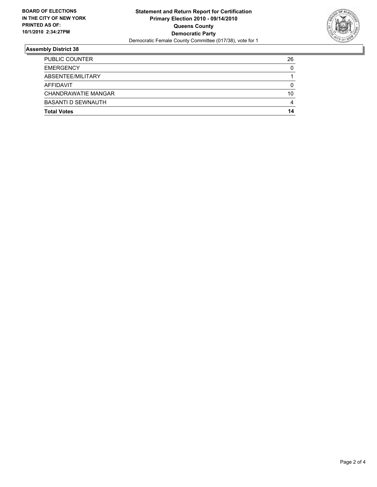

| <b>Total Votes</b>        | 14 |
|---------------------------|----|
| <b>BASANTI D SEWNAUTH</b> | 4  |
| CHANDRAWATIE MANGAR       | 10 |
| AFFIDAVIT                 | 0  |
| ABSENTEE/MILITARY         |    |
| <b>EMERGENCY</b>          | 0  |
| <b>PUBLIC COUNTER</b>     | 26 |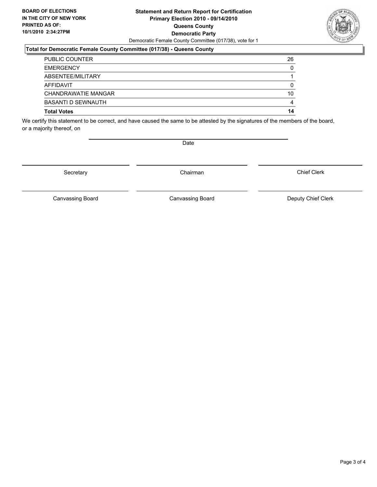#### **Statement and Return Report for Certification Primary Election 2010 - 09/14/2010 Queens County Democratic Party** Democratic Female County Committee (017/38), vote for 1

#### **Total for Democratic Female County Committee (017/38) - Queens County**

| <b>Total Votes</b>         | 14 |
|----------------------------|----|
| <b>BASANTI D SEWNAUTH</b>  | 4  |
| <b>CHANDRAWATIE MANGAR</b> | 10 |
| AFFIDAVIT                  | 0  |
| ABSENTEE/MILITARY          |    |
| <b>EMERGENCY</b>           | 0  |
| <b>PUBLIC COUNTER</b>      | 26 |

We certify this statement to be correct, and have caused the same to be attested by the signatures of the members of the board, or a majority thereof, on

Secretary **Chairman** 

Canvassing Board

Canvassing Board **Canvassing Board** Canvassing Board **Deputy Chief Clerk** 

Chief Clerk

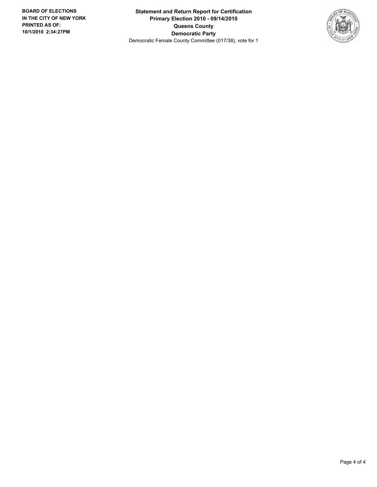**Statement and Return Report for Certification Primary Election 2010 - 09/14/2010 Queens County Democratic Party** Democratic Female County Committee (017/38), vote for 1

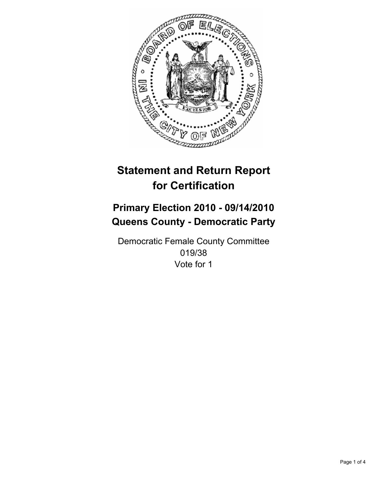

## **Primary Election 2010 - 09/14/2010 Queens County - Democratic Party**

Democratic Female County Committee 019/38 Vote for 1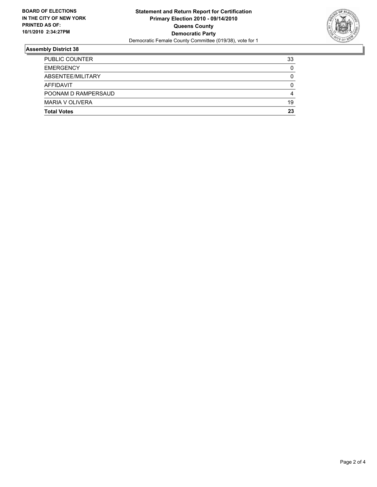

| <b>Total Votes</b>     | 23 |
|------------------------|----|
| <b>MARIA V OLIVERA</b> | 19 |
| POONAM D RAMPERSAUD    | 4  |
| AFFIDAVIT              | 0  |
| ABSENTEE/MILITARY      | 0  |
| <b>EMERGENCY</b>       | 0  |
| <b>PUBLIC COUNTER</b>  | 33 |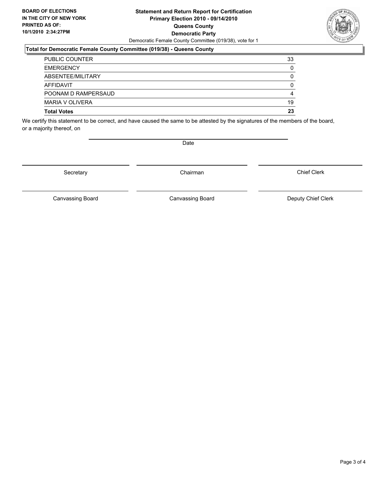#### **Statement and Return Report for Certification Primary Election 2010 - 09/14/2010 Queens County Democratic Party** Democratic Female County Committee (019/38), vote for 1

#### **Total for Democratic Female County Committee (019/38) - Queens County**

| <b>Total Votes</b>     | 23       |
|------------------------|----------|
| <b>MARIA V OLIVERA</b> | 19       |
| POONAM D RAMPERSAUD    | 4        |
| AFFIDAVIT              | $\Omega$ |
| ABSENTEE/MILITARY      | 0        |
| <b>EMERGENCY</b>       | 0        |
| <b>PUBLIC COUNTER</b>  | 33       |

We certify this statement to be correct, and have caused the same to be attested by the signatures of the members of the board, or a majority thereof, on

Secretary **Chairman** 

Canvassing Board

Canvassing Board **Canvassing Board** Canvassing Board **Deputy Chief Clerk** 

Chief Clerk

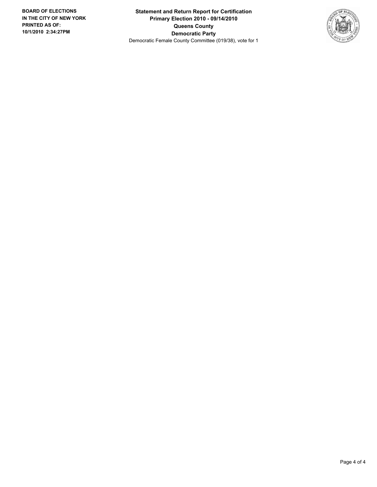**Statement and Return Report for Certification Primary Election 2010 - 09/14/2010 Queens County Democratic Party** Democratic Female County Committee (019/38), vote for 1

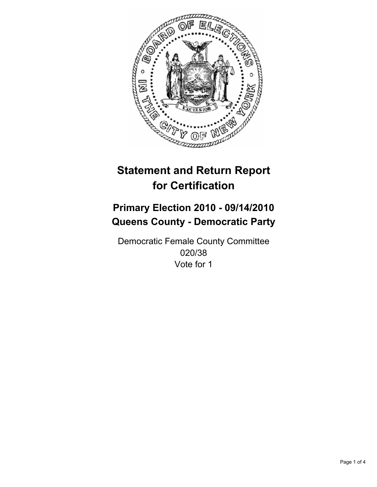

## **Primary Election 2010 - 09/14/2010 Queens County - Democratic Party**

Democratic Female County Committee 020/38 Vote for 1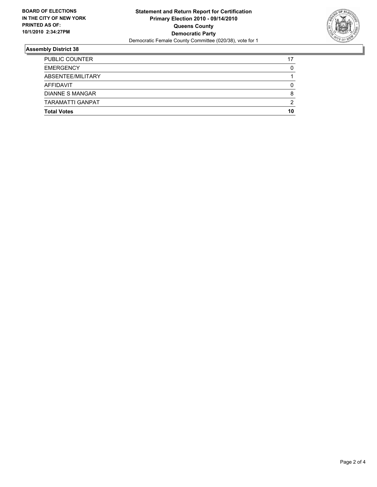

| <b>DIANNE S MANGAR</b><br>TARAMATTI GANPAT | 8<br>2 |
|--------------------------------------------|--------|
|                                            |        |
| AFFIDAVIT                                  | 0      |
| ABSENTEE/MILITARY                          |        |
| <b>EMERGENCY</b>                           | 0      |
| <b>PUBLIC COUNTER</b>                      | 17     |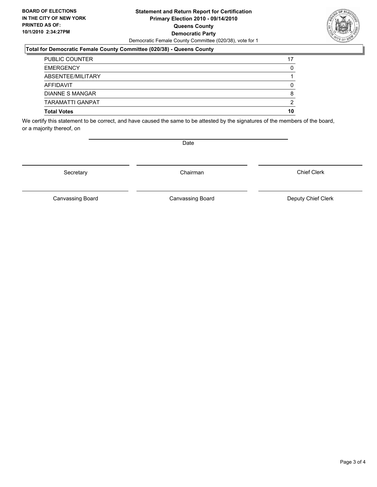#### **Statement and Return Report for Certification Primary Election 2010 - 09/14/2010 Queens County Democratic Party** Democratic Female County Committee (020/38), vote for 1

#### **Total for Democratic Female County Committee (020/38) - Queens County**

| <b>PUBLIC COUNTER</b>   | 17 |
|-------------------------|----|
| <b>EMERGENCY</b>        | 0  |
| ABSENTEE/MILITARY       |    |
| AFFIDAVIT               | 0  |
| <b>DIANNE S MANGAR</b>  | 8  |
| <b>TARAMATTI GANPAT</b> | 2  |
| <b>Total Votes</b>      | 10 |

We certify this statement to be correct, and have caused the same to be attested by the signatures of the members of the board, or a majority thereof, on

Secretary **Chairman** 

Canvassing Board **Canvassing Board** Canvassing Board **Deputy Chief Clerk** 

Canvassing Board

Chief Clerk

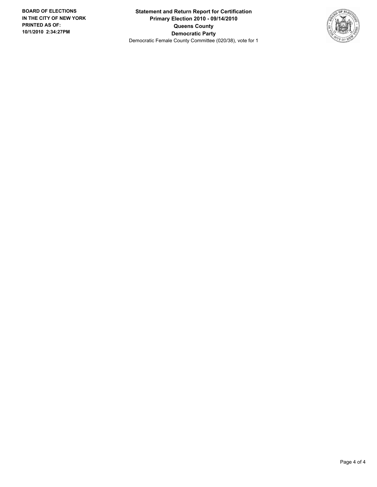**Statement and Return Report for Certification Primary Election 2010 - 09/14/2010 Queens County Democratic Party** Democratic Female County Committee (020/38), vote for 1

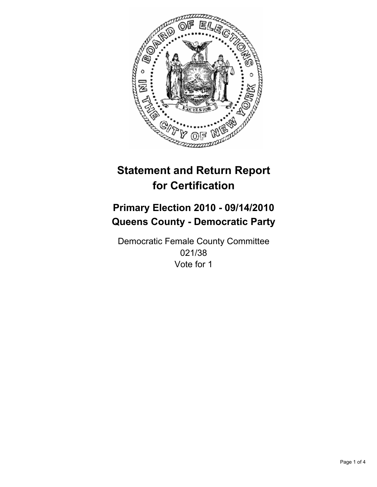

## **Primary Election 2010 - 09/14/2010 Queens County - Democratic Party**

Democratic Female County Committee 021/38 Vote for 1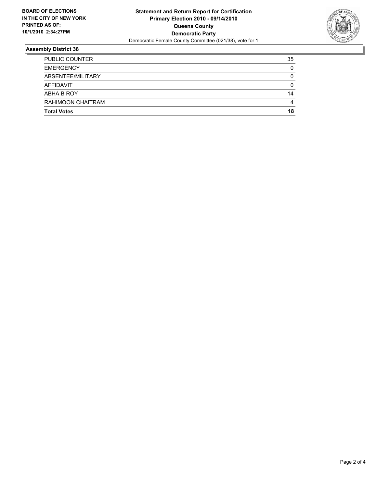

| <b>Total Votes</b>    | 18 |
|-----------------------|----|
| RAHIMOON CHAITRAM     | 4  |
| ABHA B ROY            | 14 |
| AFFIDAVIT             | 0  |
| ABSENTEE/MILITARY     | 0  |
| <b>EMERGENCY</b>      | 0  |
| <b>PUBLIC COUNTER</b> | 35 |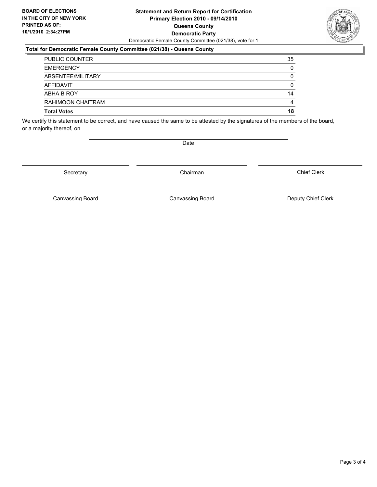#### **Statement and Return Report for Certification Primary Election 2010 - 09/14/2010 Queens County Democratic Party** Democratic Female County Committee (021/38), vote for 1

#### **Total for Democratic Female County Committee (021/38) - Queens County**

| <b>Total Votes</b>    | 18 |
|-----------------------|----|
| RAHIMOON CHAITRAM     | 4  |
| ABHA B ROY            | 14 |
| AFFIDAVIT             | 0  |
| ABSENTEE/MILITARY     | 0  |
| <b>EMERGENCY</b>      | 0  |
| <b>PUBLIC COUNTER</b> | 35 |

We certify this statement to be correct, and have caused the same to be attested by the signatures of the members of the board, or a majority thereof, on

Secretary **Chairman** 

Date

Canvassing Board

Canvassing Board **Canvassing Board** Canvassing Board **Deputy Chief Clerk** 

Chief Clerk

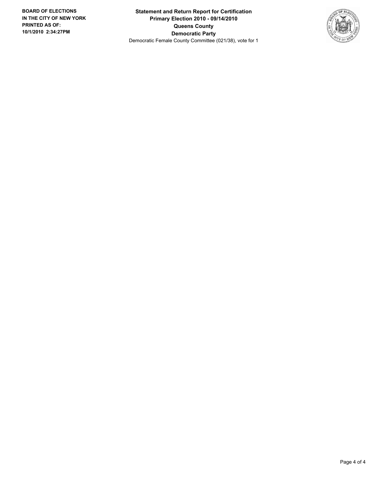**Statement and Return Report for Certification Primary Election 2010 - 09/14/2010 Queens County Democratic Party** Democratic Female County Committee (021/38), vote for 1

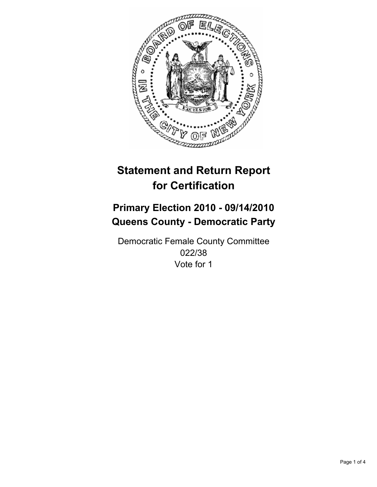

## **Primary Election 2010 - 09/14/2010 Queens County - Democratic Party**

Democratic Female County Committee 022/38 Vote for 1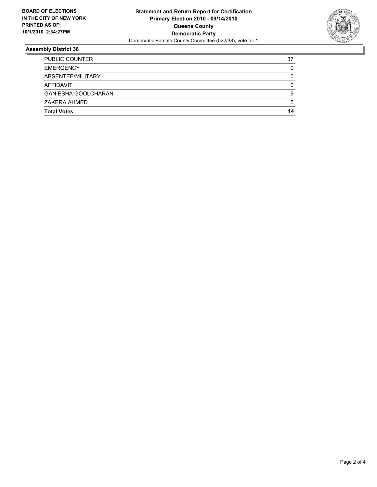

| <b>Total Votes</b>         | 14 |
|----------------------------|----|
| ZAKERA AHMED               | 5  |
| <b>GANIESHA GOOLCHARAN</b> | 9  |
| AFFIDAVIT                  | 0  |
| ABSENTEE/MILITARY          | 0  |
| <b>EMERGENCY</b>           | 0  |
| <b>PUBLIC COUNTER</b>      | 37 |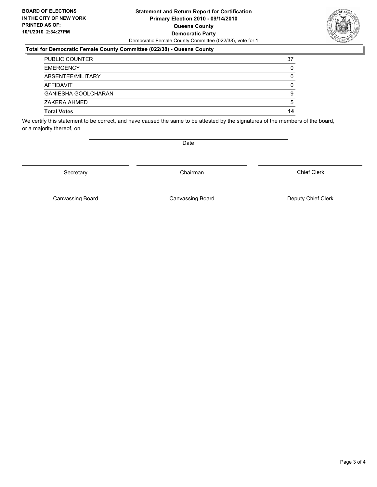#### **Statement and Return Report for Certification Primary Election 2010 - 09/14/2010 Queens County Democratic Party** Democratic Female County Committee (022/38), vote for 1

#### **Total for Democratic Female County Committee (022/38) - Queens County**

| <b>PUBLIC COUNTER</b>      | 37 |
|----------------------------|----|
| <b>EMERGENCY</b>           | 0  |
| ABSENTEE/MILITARY          | 0  |
| AFFIDAVIT                  | 0  |
| <b>GANIESHA GOOLCHARAN</b> | 9  |
| ZAKERA AHMED               | 5  |
| <b>Total Votes</b>         | 14 |

We certify this statement to be correct, and have caused the same to be attested by the signatures of the members of the board, or a majority thereof, on

Secretary **Chairman** 

Canvassing Board

Canvassing Board **Canvassing Board** Canvassing Board **Deputy Chief Clerk** 

Chief Clerk

Page 3 of 4



Date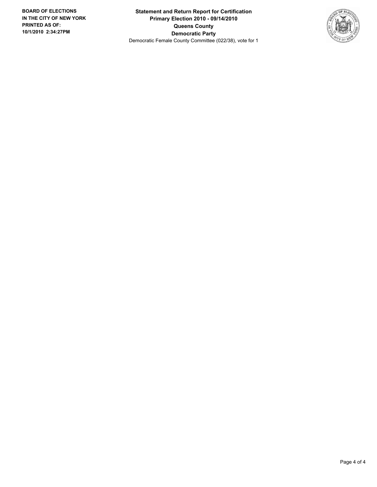**Statement and Return Report for Certification Primary Election 2010 - 09/14/2010 Queens County Democratic Party** Democratic Female County Committee (022/38), vote for 1

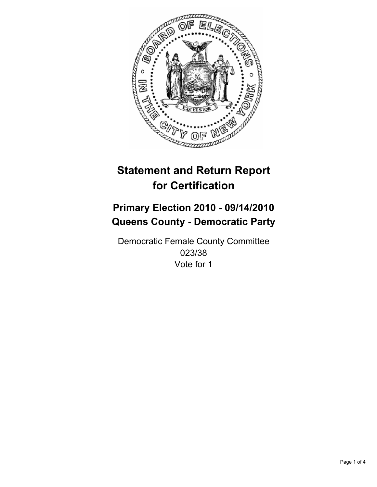

## **Primary Election 2010 - 09/14/2010 Queens County - Democratic Party**

Democratic Female County Committee 023/38 Vote for 1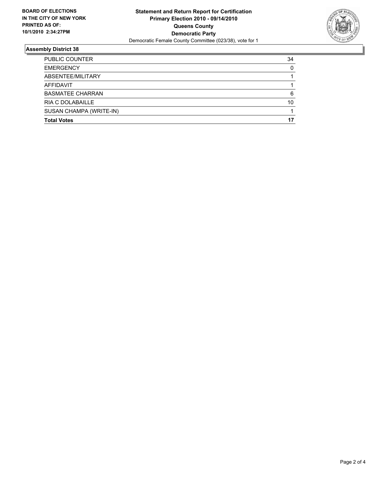

| <b>Total Votes</b>      | 17 |
|-------------------------|----|
| SUSAN CHAMPA (WRITE-IN) |    |
| RIA C DOLABAILLE        | 10 |
| <b>BASMATEE CHARRAN</b> | 6  |
| <b>AFFIDAVIT</b>        |    |
| ABSENTEE/MILITARY       |    |
| <b>EMERGENCY</b>        | 0  |
| <b>PUBLIC COUNTER</b>   | 34 |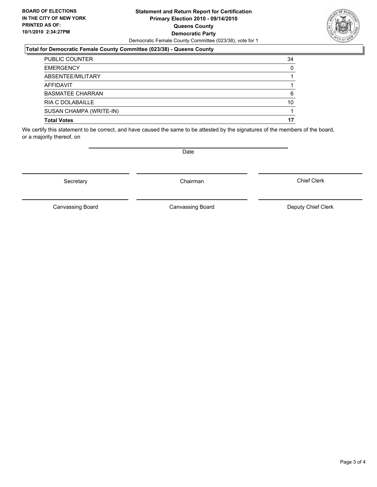#### **Statement and Return Report for Certification Primary Election 2010 - 09/14/2010 Queens County Democratic Party** Democratic Female County Committee (023/38), vote for 1

#### **Total for Democratic Female County Committee (023/38) - Queens County**

| <b>Total Votes</b>      | 17 |
|-------------------------|----|
| SUSAN CHAMPA (WRITE-IN) |    |
| <b>RIA C DOLABAILLE</b> | 10 |
| <b>BASMATEE CHARRAN</b> | 6  |
| <b>AFFIDAVIT</b>        |    |
| ABSENTEE/MILITARY       |    |
| <b>EMERGENCY</b>        | 0  |
| PUBLIC COUNTER          | 34 |

We certify this statement to be correct, and have caused the same to be attested by the signatures of the members of the board, or a majority thereof, on

Secretary **Chairman** 

**Date** 

Chief Clerk

Canvassing Board

Canvassing Board **Canvassing Board** Canvassing Board **Deputy Chief Clerk**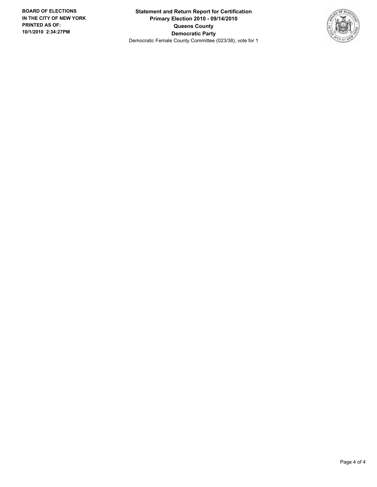**Statement and Return Report for Certification Primary Election 2010 - 09/14/2010 Queens County Democratic Party** Democratic Female County Committee (023/38), vote for 1

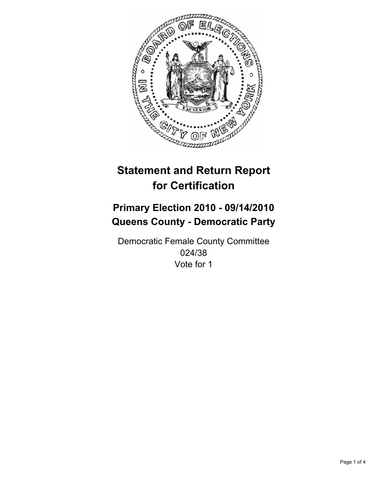

## **Primary Election 2010 - 09/14/2010 Queens County - Democratic Party**

Democratic Female County Committee 024/38 Vote for 1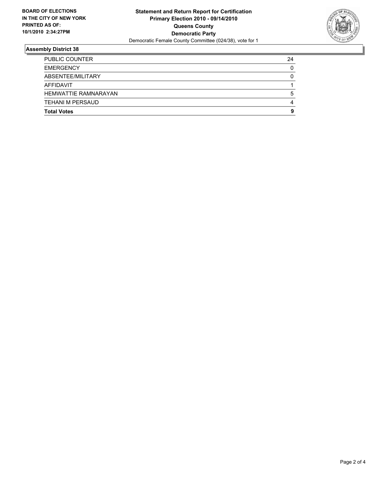

| <b>Total Votes</b>          | 9  |
|-----------------------------|----|
| <b>TEHANI M PERSAUD</b>     | 4  |
| <b>HEMWATTIE RAMNARAYAN</b> | 5  |
| AFFIDAVIT                   |    |
| ABSENTEE/MILITARY           | 0  |
| <b>EMERGENCY</b>            | 0  |
| <b>PUBLIC COUNTER</b>       | 24 |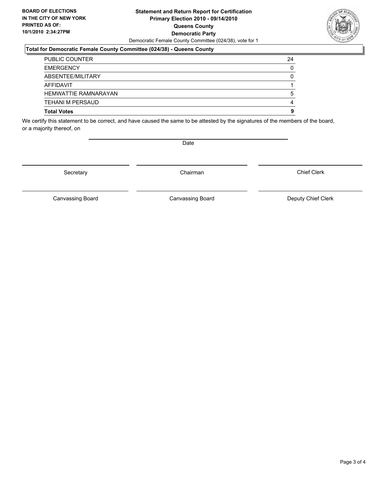#### **Statement and Return Report for Certification Primary Election 2010 - 09/14/2010 Queens County Democratic Party** Democratic Female County Committee (024/38), vote for 1

#### **Total for Democratic Female County Committee (024/38) - Queens County**

| <b>PUBLIC COUNTER</b>       | 24 |
|-----------------------------|----|
| <b>EMERGENCY</b>            | 0  |
| ABSENTEE/MILITARY           | 0  |
| AFFIDAVIT                   |    |
| <b>HEMWATTIE RAMNARAYAN</b> | 5  |
| <b>TEHANI M PERSAUD</b>     | 4  |
| <b>Total Votes</b>          | 9  |

We certify this statement to be correct, and have caused the same to be attested by the signatures of the members of the board, or a majority thereof, on

Secretary **Chairman** 

Canvassing Board **Canvassing Board** Canvassing Board **Deputy Chief Clerk** 

Canvassing Board

Chief Clerk

Page 3 of 4



Date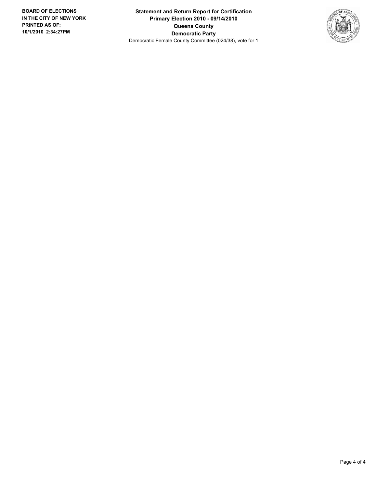**Statement and Return Report for Certification Primary Election 2010 - 09/14/2010 Queens County Democratic Party** Democratic Female County Committee (024/38), vote for 1

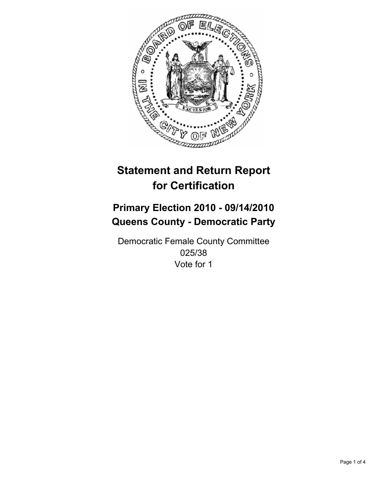

## **Primary Election 2010 - 09/14/2010 Queens County - Democratic Party**

Democratic Female County Committee 025/38 Vote for 1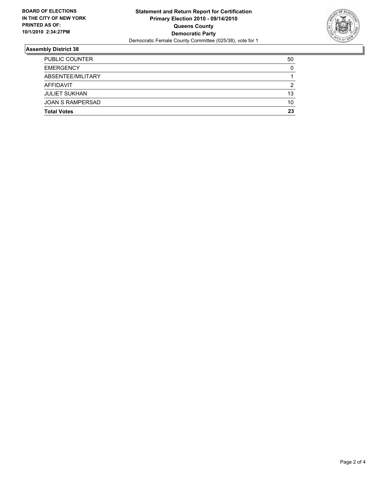

| <b>Total Votes</b>      | 23 |
|-------------------------|----|
| <b>JOAN S RAMPERSAD</b> | 10 |
| <b>JULIET SUKHAN</b>    | 13 |
| AFFIDAVIT               | 2  |
| ABSENTEE/MILITARY       |    |
| <b>EMERGENCY</b>        | 0  |
| <b>PUBLIC COUNTER</b>   | 50 |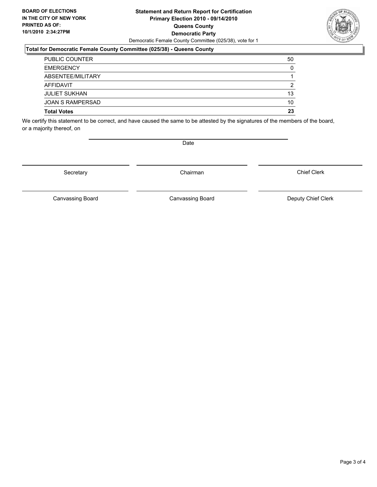#### **Statement and Return Report for Certification Primary Election 2010 - 09/14/2010 Queens County Democratic Party** Democratic Female County Committee (025/38), vote for 1

#### **Total for Democratic Female County Committee (025/38) - Queens County**

| <b>Total Votes</b>      | 23 |
|-------------------------|----|
| <b>JOAN S RAMPERSAD</b> | 10 |
| <b>JULIET SUKHAN</b>    | 13 |
| AFFIDAVIT               | 2  |
| ABSENTEE/MILITARY       |    |
| <b>EMERGENCY</b>        | 0  |
| <b>PUBLIC COUNTER</b>   | 50 |

We certify this statement to be correct, and have caused the same to be attested by the signatures of the members of the board, or a majority thereof, on

Secretary **Chairman** 

Canvassing Board **Canvassing Board** Canvassing Board **Deputy Chief Clerk** 

Canvassing Board

Chief Clerk



Date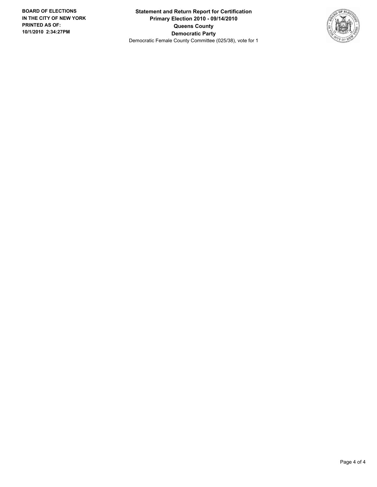**Statement and Return Report for Certification Primary Election 2010 - 09/14/2010 Queens County Democratic Party** Democratic Female County Committee (025/38), vote for 1

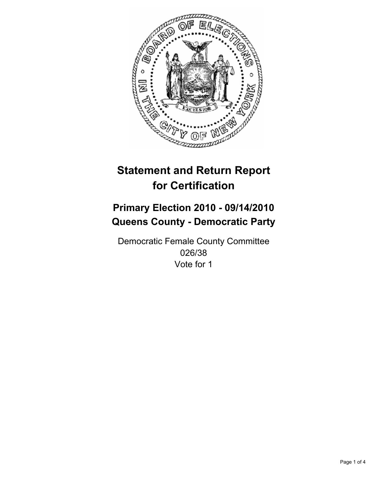

## **Primary Election 2010 - 09/14/2010 Queens County - Democratic Party**

Democratic Female County Committee 026/38 Vote for 1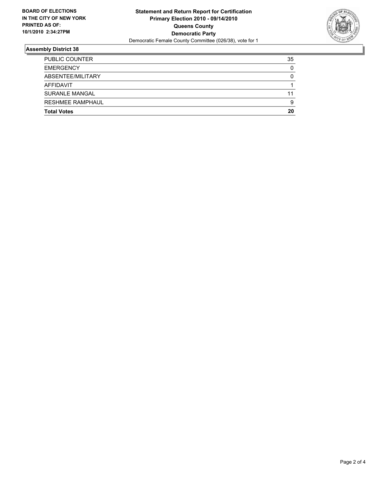

| <b>Total Votes</b>      | 20 |
|-------------------------|----|
| <b>RESHMEE RAMPHAUL</b> | 9  |
| <b>SURANLE MANGAL</b>   | 11 |
| AFFIDAVIT               |    |
| ABSENTEE/MILITARY       | 0  |
| <b>EMERGENCY</b>        | 0  |
| <b>PUBLIC COUNTER</b>   | 35 |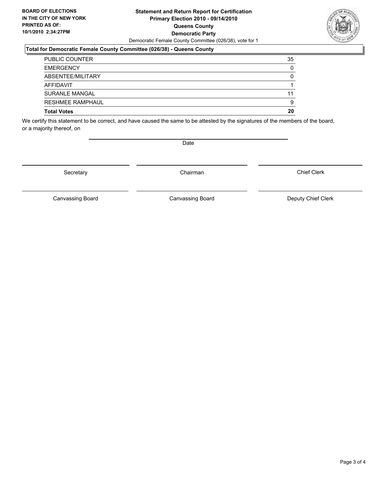#### **Statement and Return Report for Certification Primary Election 2010 - 09/14/2010 Queens County Democratic Party** Democratic Female County Committee (026/38), vote for 1

### **Total for Democratic Female County Committee (026/38) - Queens County**

| <b>PUBLIC COUNTER</b>   | 35 |
|-------------------------|----|
| <b>EMERGENCY</b>        | 0  |
| ABSENTEE/MILITARY       | 0  |
| AFFIDAVIT               |    |
| <b>SURANLE MANGAL</b>   | 11 |
| <b>RESHMEE RAMPHAUL</b> | 9  |
| <b>Total Votes</b>      | 20 |

We certify this statement to be correct, and have caused the same to be attested by the signatures of the members of the board, or a majority thereof, on

Secretary **Chairman** 

Canvassing Board

Canvassing Board **Canvassing Board** Canvassing Board **Deputy Chief Clerk** 

Chief Clerk



Date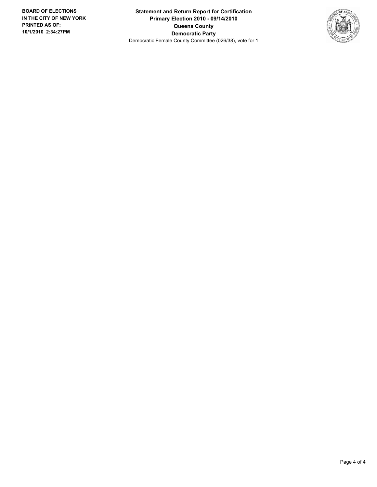**Statement and Return Report for Certification Primary Election 2010 - 09/14/2010 Queens County Democratic Party** Democratic Female County Committee (026/38), vote for 1

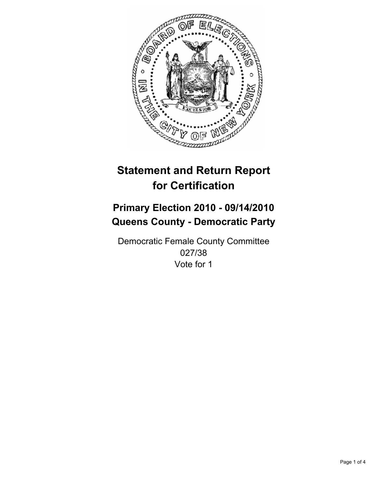

## **Primary Election 2010 - 09/14/2010 Queens County - Democratic Party**

Democratic Female County Committee 027/38 Vote for 1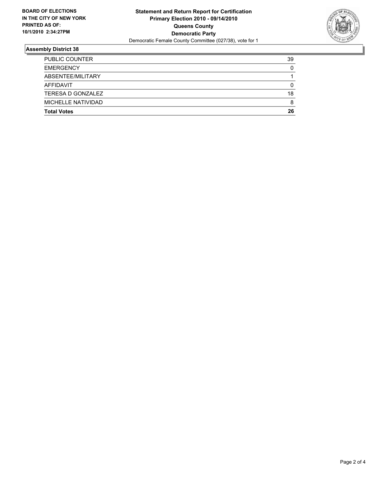

| <b>PUBLIC COUNTER</b>     | 39 |
|---------------------------|----|
| <b>EMERGENCY</b>          | 0  |
| ABSENTEE/MILITARY         |    |
| AFFIDAVIT                 | 0  |
| TERESA D GONZALEZ         | 18 |
| <b>MICHELLE NATIVIDAD</b> | 8  |
| <b>Total Votes</b>        | 26 |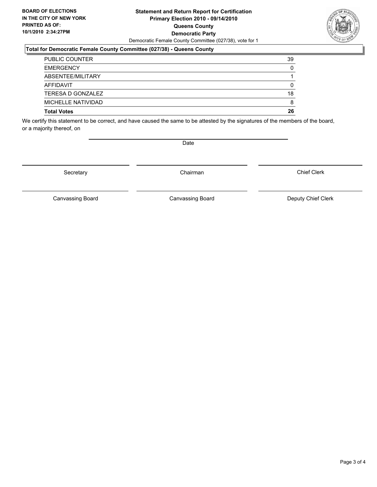#### **Statement and Return Report for Certification Primary Election 2010 - 09/14/2010 Queens County Democratic Party** Democratic Female County Committee (027/38), vote for 1

#### **Total for Democratic Female County Committee (027/38) - Queens County**

| <b>PUBLIC COUNTER</b> | 39 |
|-----------------------|----|
| <b>EMERGENCY</b>      | 0  |
| ABSENTEE/MILITARY     |    |
| AFFIDAVIT             | 0  |
| TERESA D GONZALEZ     | 18 |
| MICHELLE NATIVIDAD    | 8  |
| <b>Total Votes</b>    | 26 |

We certify this statement to be correct, and have caused the same to be attested by the signatures of the members of the board, or a majority thereof, on

Secretary **Chairman** 

Canvassing Board

Canvassing Board **Canvassing Board** Canvassing Board **Deputy Chief Clerk** 

Chief Clerk



Date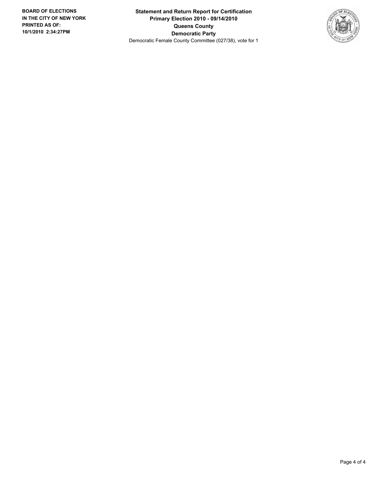**Statement and Return Report for Certification Primary Election 2010 - 09/14/2010 Queens County Democratic Party** Democratic Female County Committee (027/38), vote for 1

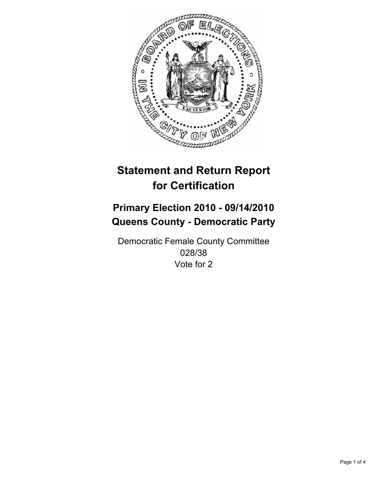

## **Primary Election 2010 - 09/14/2010 Queens County - Democratic Party**

Democratic Female County Committee 028/38 Vote for 2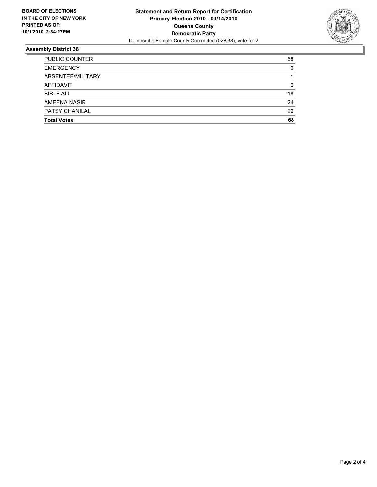

| <b>Total Votes</b>    | 68 |
|-----------------------|----|
| PATSY CHANILAL        | 26 |
| <b>AMEENA NASIR</b>   | 24 |
| <b>BIBI F ALI</b>     | 18 |
| <b>AFFIDAVIT</b>      | 0  |
| ABSENTEE/MILITARY     |    |
| <b>EMERGENCY</b>      | 0  |
| <b>PUBLIC COUNTER</b> | 58 |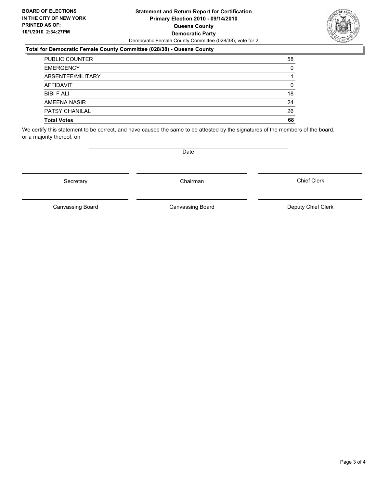#### **Statement and Return Report for Certification Primary Election 2010 - 09/14/2010 Queens County Democratic Party** Democratic Female County Committee (028/38), vote for 2

### **Total for Democratic Female County Committee (028/38) - Queens County**

| <b>PUBLIC COUNTER</b> | 58 |
|-----------------------|----|
| <b>EMERGENCY</b>      | 0  |
| ABSENTEE/MILITARY     |    |
| <b>AFFIDAVIT</b>      | 0  |
| <b>BIBI F ALI</b>     | 18 |
| AMEENA NASIR          | 24 |
| <b>PATSY CHANILAL</b> | 26 |
| <b>Total Votes</b>    | 68 |

We certify this statement to be correct, and have caused the same to be attested by the signatures of the members of the board, or a majority thereof, on

Secretary **Chairman** 

**Date** 

Canvassing Board **Canvassing Board** Canvassing Board **Deputy Chief Clerk** 

Chief Clerk

Canvassing Board

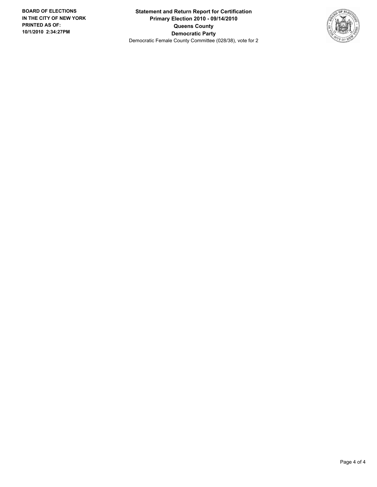**Statement and Return Report for Certification Primary Election 2010 - 09/14/2010 Queens County Democratic Party** Democratic Female County Committee (028/38), vote for 2

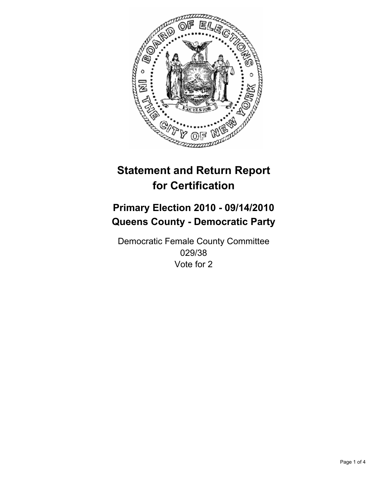

## **Primary Election 2010 - 09/14/2010 Queens County - Democratic Party**

Democratic Female County Committee 029/38 Vote for 2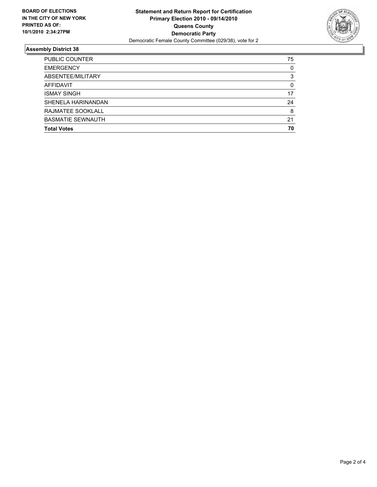

| <b>PUBLIC COUNTER</b>    | 75 |
|--------------------------|----|
| <b>EMERGENCY</b>         | 0  |
| ABSENTEE/MILITARY        | 3  |
| <b>AFFIDAVIT</b>         | 0  |
| <b>ISMAY SINGH</b>       | 17 |
| SHENELA HARINANDAN       | 24 |
| RAJMATEE SOOKLALL        | 8  |
| <b>BASMATIE SEWNAUTH</b> | 21 |
| <b>Total Votes</b>       | 70 |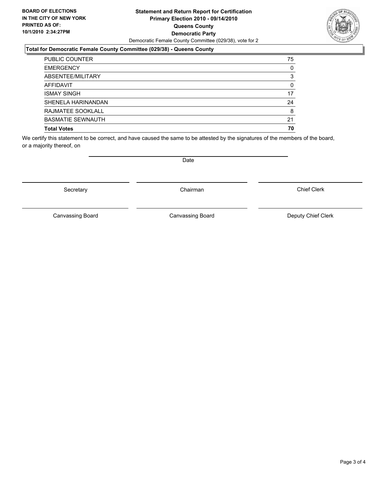#### **Statement and Return Report for Certification Primary Election 2010 - 09/14/2010 Queens County Democratic Party** Democratic Female County Committee (029/38), vote for 2

### **Total for Democratic Female County Committee (029/38) - Queens County**

| <b>PUBLIC COUNTER</b>    | 75 |
|--------------------------|----|
| <b>EMERGENCY</b>         | 0  |
| ABSENTEE/MILITARY        | 3  |
| <b>AFFIDAVIT</b>         | 0  |
| <b>ISMAY SINGH</b>       | 17 |
| SHENELA HARINANDAN       | 24 |
| RAJMATEE SOOKLALL        | 8  |
| <b>BASMATIE SEWNAUTH</b> | 21 |
| <b>Total Votes</b>       | 70 |

We certify this statement to be correct, and have caused the same to be attested by the signatures of the members of the board, or a majority thereof, on

Date

Canvassing Board

Canvassing Board **Canvassing Board** Canvassing Board **Deputy Chief Clerk** 

Chief Clerk



Secretary **Chairman**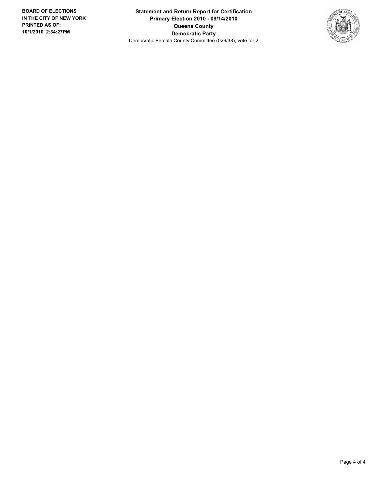**Statement and Return Report for Certification Primary Election 2010 - 09/14/2010 Queens County Democratic Party** Democratic Female County Committee (029/38), vote for 2

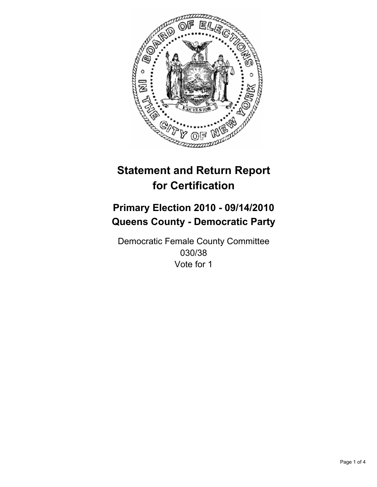

## **Primary Election 2010 - 09/14/2010 Queens County - Democratic Party**

Democratic Female County Committee 030/38 Vote for 1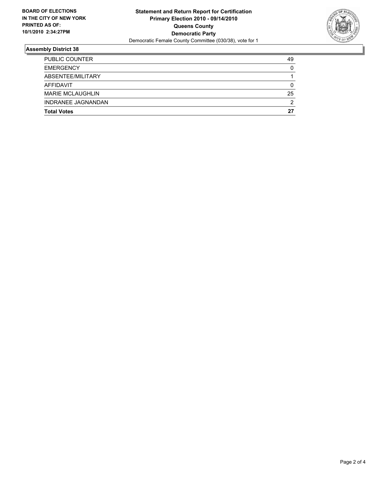

| <b>INDRANEE JAGNANDAN</b> | 2  |
|---------------------------|----|
| <b>MARIE MCLAUGHLIN</b>   | 25 |
| AFFIDAVIT                 | 0  |
| ABSENTEE/MILITARY         |    |
| <b>EMERGENCY</b>          | 0  |
| <b>PUBLIC COUNTER</b>     | 49 |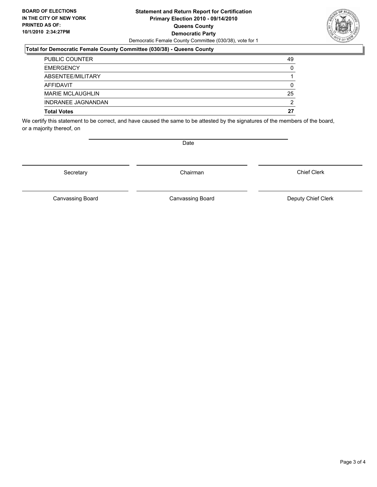#### **Statement and Return Report for Certification Primary Election 2010 - 09/14/2010 Queens County Democratic Party** Democratic Female County Committee (030/38), vote for 1

### **Total for Democratic Female County Committee (030/38) - Queens County**

| <b>PUBLIC COUNTER</b>     | 49 |
|---------------------------|----|
| <b>EMERGENCY</b>          | 0  |
| ABSENTEE/MILITARY         |    |
| AFFIDAVIT                 | 0  |
| <b>MARIE MCLAUGHLIN</b>   | 25 |
| <b>INDRANEE JAGNANDAN</b> | 2  |
| <b>Total Votes</b>        | 27 |

We certify this statement to be correct, and have caused the same to be attested by the signatures of the members of the board, or a majority thereof, on

Secretary **Chairman** 

Date

Canvassing Board **Canvassing Board** Canvassing Board **Deputy Chief Clerk** 

Canvassing Board

Chief Clerk

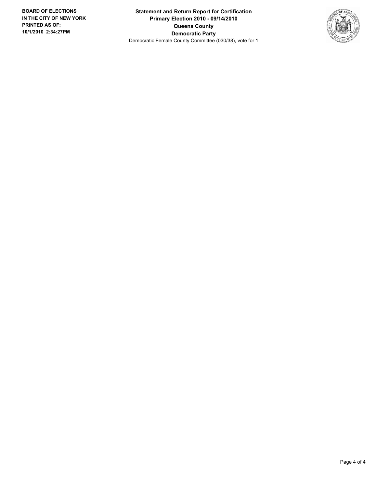**Statement and Return Report for Certification Primary Election 2010 - 09/14/2010 Queens County Democratic Party** Democratic Female County Committee (030/38), vote for 1

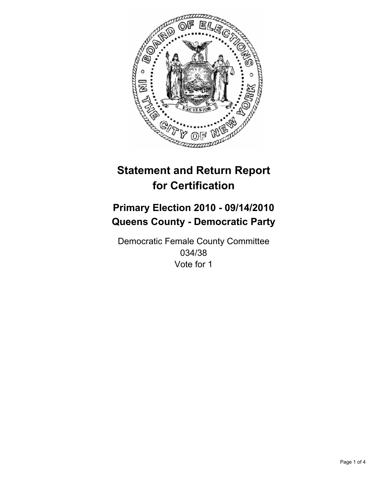

## **Primary Election 2010 - 09/14/2010 Queens County - Democratic Party**

Democratic Female County Committee 034/38 Vote for 1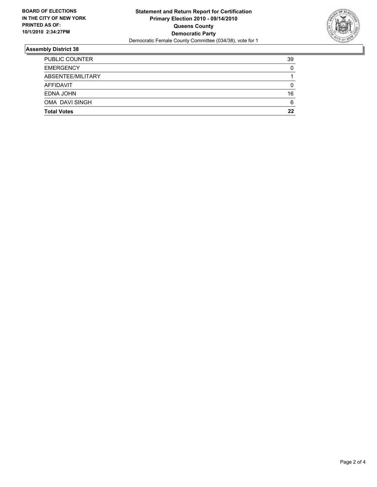

| <b>Total Votes</b>    |          |
|-----------------------|----------|
|                       | 22       |
| OMA DAVI SINGH        | 6        |
| EDNA JOHN             | 16       |
| AFFIDAVIT             | $\Omega$ |
| ABSENTEE/MILITARY     |          |
| <b>EMERGENCY</b>      | 0        |
| <b>PUBLIC COUNTER</b> | 39       |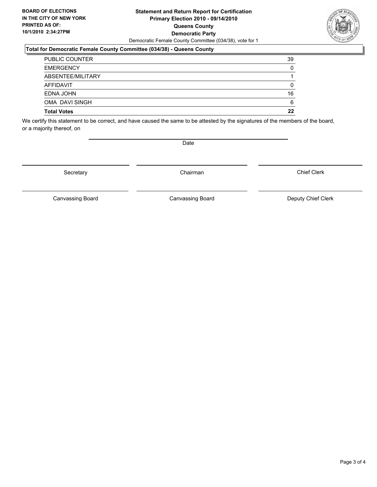#### **Statement and Return Report for Certification Primary Election 2010 - 09/14/2010 Queens County Democratic Party** Democratic Female County Committee (034/38), vote for 1

### **Total for Democratic Female County Committee (034/38) - Queens County**

| <b>Total Votes</b>    | 22 |
|-----------------------|----|
| OMA DAVI SINGH        | 6  |
| EDNA JOHN             | 16 |
| AFFIDAVIT             | 0  |
| ABSENTEE/MILITARY     |    |
| <b>EMERGENCY</b>      | 0  |
| <b>PUBLIC COUNTER</b> | 39 |

We certify this statement to be correct, and have caused the same to be attested by the signatures of the members of the board, or a majority thereof, on

Secretary **Chairman** 

Date

Chief Clerk

Canvassing Board **Canvassing Board** Canvassing Board **Deputy Chief Clerk** 

Canvassing Board

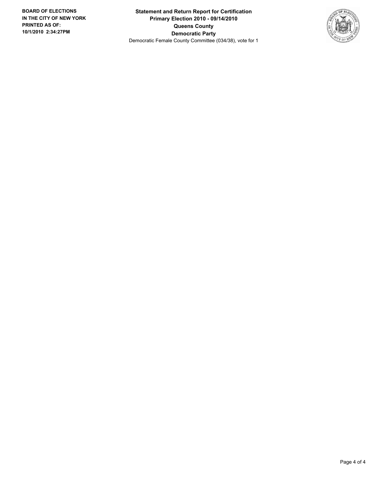**Statement and Return Report for Certification Primary Election 2010 - 09/14/2010 Queens County Democratic Party** Democratic Female County Committee (034/38), vote for 1

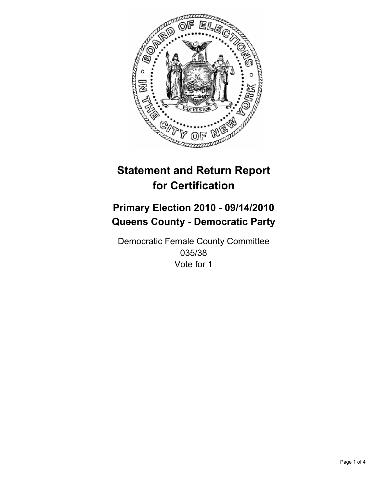

## **Primary Election 2010 - 09/14/2010 Queens County - Democratic Party**

Democratic Female County Committee 035/38 Vote for 1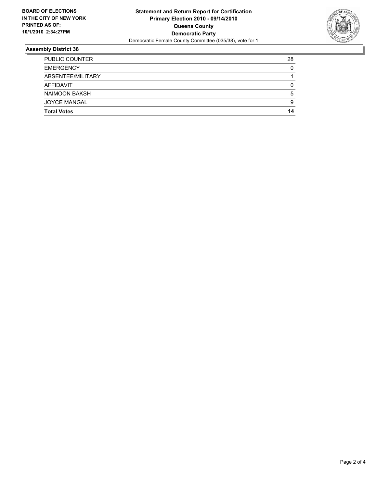

| <b>Total Votes</b>    | 14 |
|-----------------------|----|
| <b>JOYCE MANGAL</b>   | 9  |
| <b>NAIMOON BAKSH</b>  | 5  |
| AFFIDAVIT             | 0  |
| ABSENTEE/MILITARY     |    |
| <b>EMERGENCY</b>      | 0  |
| <b>PUBLIC COUNTER</b> | 28 |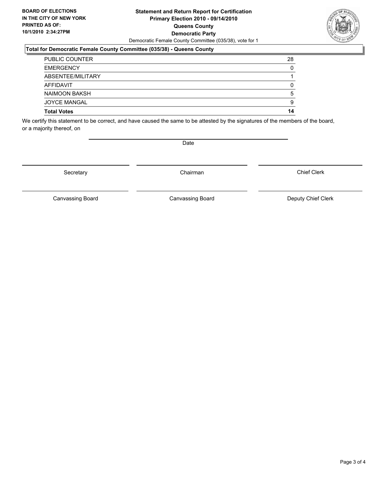#### **Statement and Return Report for Certification Primary Election 2010 - 09/14/2010 Queens County Democratic Party** Democratic Female County Committee (035/38), vote for 1

#### **Total for Democratic Female County Committee (035/38) - Queens County**

| <b>Total Votes</b>    | 14 |
|-----------------------|----|
| <b>JOYCE MANGAL</b>   | 9  |
| <b>NAIMOON BAKSH</b>  | 5  |
| AFFIDAVIT             | 0  |
| ABSENTEE/MILITARY     |    |
| <b>EMERGENCY</b>      | 0  |
| <b>PUBLIC COUNTER</b> | 28 |

We certify this statement to be correct, and have caused the same to be attested by the signatures of the members of the board, or a majority thereof, on

Secretary **Chairman** 

Canvassing Board

Canvassing Board **Canvassing Board** Canvassing Board **Deputy Chief Clerk** 

Chief Clerk

Page 3 of 4



Date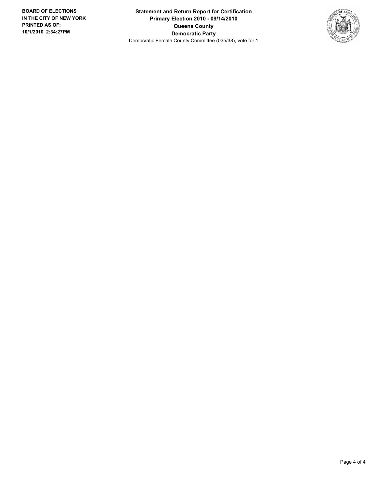**Statement and Return Report for Certification Primary Election 2010 - 09/14/2010 Queens County Democratic Party** Democratic Female County Committee (035/38), vote for 1

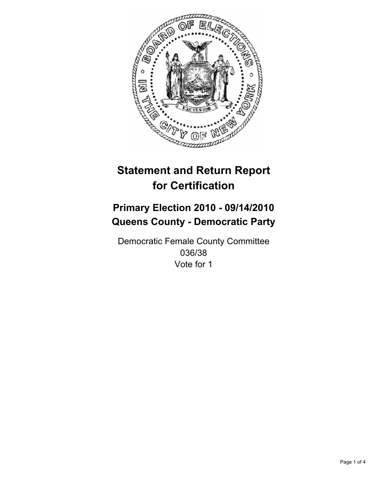

## **Primary Election 2010 - 09/14/2010 Queens County - Democratic Party**

Democratic Female County Committee 036/38 Vote for 1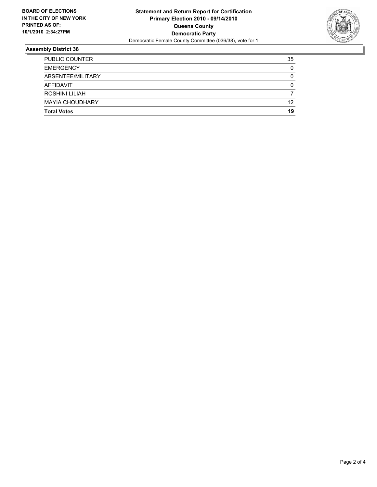

| <b>Total Votes</b>     | 19 |
|------------------------|----|
| <b>MAYIA CHOUDHARY</b> | 12 |
| ROSHINI LILIAH         |    |
| AFFIDAVIT              | 0  |
| ABSENTEE/MILITARY      | 0  |
| <b>EMERGENCY</b>       | 0  |
| <b>PUBLIC COUNTER</b>  | 35 |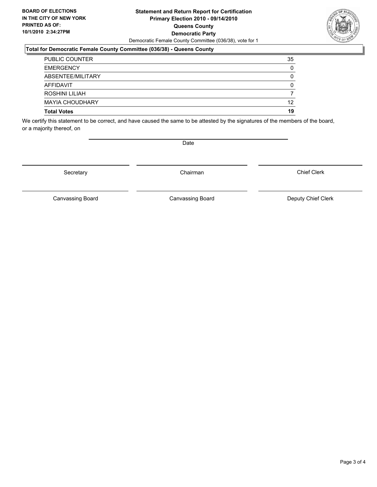#### **Statement and Return Report for Certification Primary Election 2010 - 09/14/2010 Queens County Democratic Party** Democratic Female County Committee (036/38), vote for 1

### **Total for Democratic Female County Committee (036/38) - Queens County**

| <b>Total Votes</b>     | 19 |
|------------------------|----|
| <b>MAYIA CHOUDHARY</b> | 12 |
| ROSHINI LILIAH         |    |
| AFFIDAVIT              | 0  |
| ABSENTEE/MILITARY      | 0  |
| <b>EMERGENCY</b>       | 0  |
| <b>PUBLIC COUNTER</b>  | 35 |

We certify this statement to be correct, and have caused the same to be attested by the signatures of the members of the board, or a majority thereof, on

Secretary **Chairman** 

Date

Canvassing Board

Canvassing Board **Canvassing Board** Canvassing Board **Deputy Chief Clerk** 

Chief Clerk

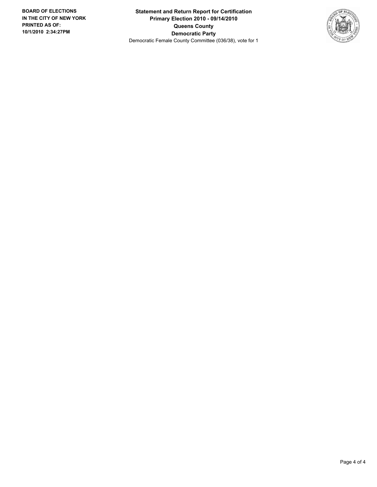**Statement and Return Report for Certification Primary Election 2010 - 09/14/2010 Queens County Democratic Party** Democratic Female County Committee (036/38), vote for 1

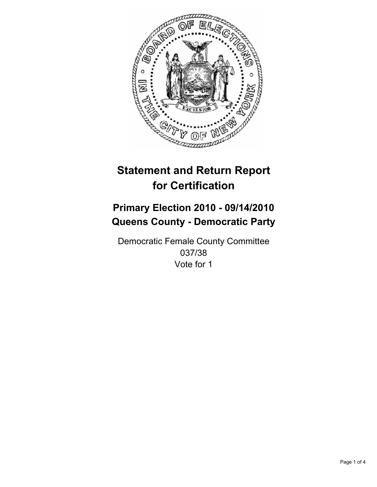

## **Primary Election 2010 - 09/14/2010 Queens County - Democratic Party**

Democratic Female County Committee 037/38 Vote for 1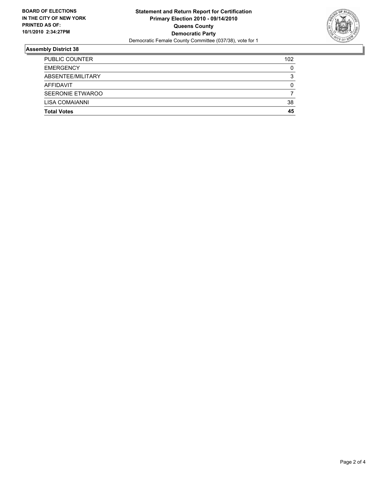

| <b>Total Votes</b>    | 45  |
|-----------------------|-----|
| LISA COMAIANNI        | 38  |
| SEERONIE ETWAROO      |     |
| AFFIDAVIT             | 0   |
| ABSENTEE/MILITARY     | 3   |
| <b>EMERGENCY</b>      | 0   |
| <b>PUBLIC COUNTER</b> | 102 |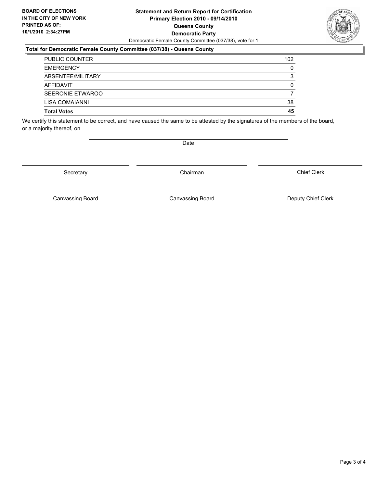#### **Statement and Return Report for Certification Primary Election 2010 - 09/14/2010 Queens County Democratic Party** Democratic Female County Committee (037/38), vote for 1

#### **Total for Democratic Female County Committee (037/38) - Queens County**

| <b>PUBLIC COUNTER</b> | 102 |
|-----------------------|-----|
| <b>EMERGENCY</b>      | 0   |
| ABSENTEE/MILITARY     | 3   |
| AFFIDAVIT             | 0   |
| SEERONIE ETWAROO      |     |
| LISA COMAIANNI        | 38  |
| <b>Total Votes</b>    | 45  |

We certify this statement to be correct, and have caused the same to be attested by the signatures of the members of the board, or a majority thereof, on

Secretary **Chairman** 

Canvassing Board

Canvassing Board **Canvassing Board** Canvassing Board **Deputy Chief Clerk** 

Chief Clerk



Date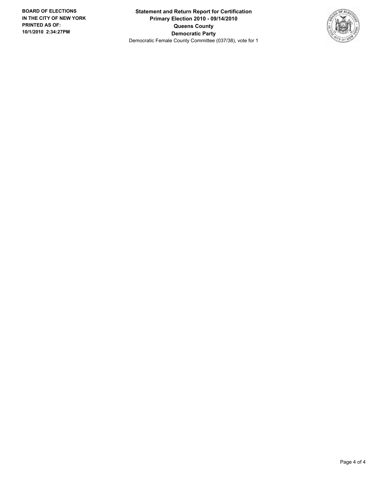**Statement and Return Report for Certification Primary Election 2010 - 09/14/2010 Queens County Democratic Party** Democratic Female County Committee (037/38), vote for 1

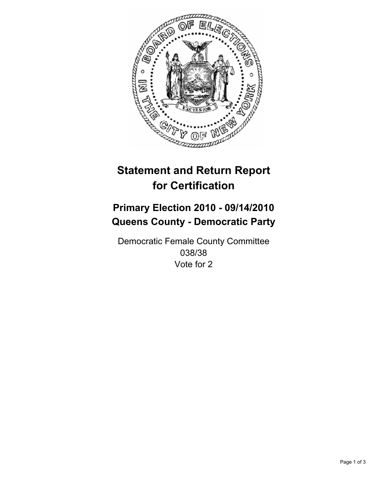

## **Primary Election 2010 - 09/14/2010 Queens County - Democratic Party**

Democratic Female County Committee 038/38 Vote for 2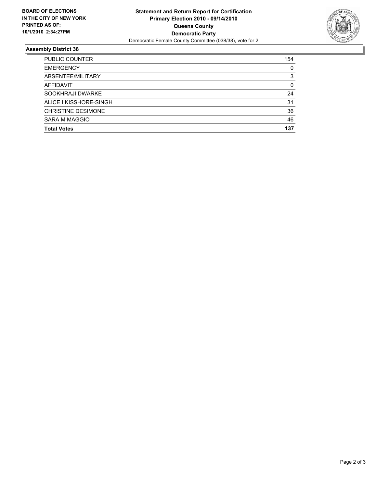

| <b>PUBLIC COUNTER</b>     | 154 |
|---------------------------|-----|
| <b>EMERGENCY</b>          | 0   |
| ABSENTEE/MILITARY         | 3   |
| AFFIDAVIT                 | 0   |
| SOOKHRAJI DWARKE          | 24  |
| ALICE I KISSHORE-SINGH    | 31  |
| <b>CHRISTINE DESIMONE</b> | 36  |
| SARA M MAGGIO             | 46  |
| <b>Total Votes</b>        | 137 |